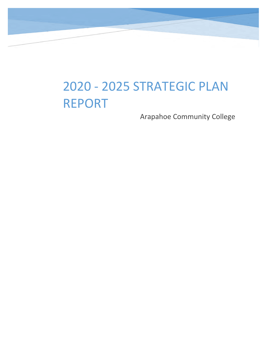# 2020 - 2025 STRATEGIC PLAN REPORT

Arapahoe Community College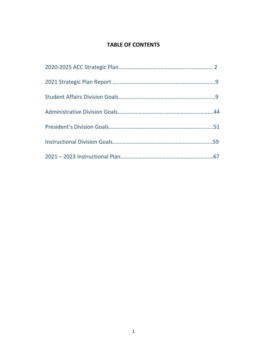## **TABLE OF CONTENTS**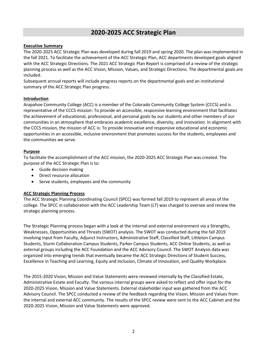## **2020-2025 ACC Strategic Plan**

#### <span id="page-2-0"></span>**Executive Summary**

The 2020-2025 ACC Strategic Plan was developed during fall 2019 and spring 2020. The plan was implemented in the fall 2021. To facilitate the achievement of the ACC Strategic Plan, ACC departments developed goals aligned with the ACC Strategic Directions. The 2021 ACC Strategic Plan Report is comprised of a review of the strategic planning process as well as the ACC Vision, Mission, Values, and Strategic Directions. The departmental goals are included.

Subsequent annual reports will include progress reports on the departmental goals and an institutional summary of the ACC Strategic Plan progress.

#### **Introduction**

Arapahoe Community College (ACC) is a member of the Colorado Community College System (CCCS) and is representative of the CCCS mission: To provide an accessible, responsive learning environment that facilitates the achievement of educational, professional, and personal goals by our students and other members of our communities in an atmosphere that embraces academic excellence, diversity, and innovation. In alignment with the CCCS mission, the mission of ACC is: To provide innovative and responsive educational and economic opportunities in an accessible, inclusive environment that promotes success for the students, employees and the communities we serve.

#### **Purpose**

To facilitate the accomplishment of the ACC mission, the 2020-2025 ACC Strategic Plan was created. The purpose of the ACC Strategic Plan is to:

- Guide decision making
- Direct resource allocation
- Serve students, employees and the community

#### **ACC Strategic Planning Process**

The ACC Strategic Planning Coordinating Council (SPCC) was formed fall 2019 to represent all areas of the college. The SPCC in collaboration with the ACC Leadership Team (LT) was charged to oversee and review the strategic planning process.

The Strategic Planning process began with a look at the internal and external environment via a Strengths, Weaknesses, Opportunities and Threats (SWOT) analysis. The SWOT was conducted during the fall 2019 involving input from Faculty, Adjunct Instructors, Administrative Staff, Classified Staff, Littleton Campus Students, Sturm Collaboration Campus Students, Parker Campus Students, ACC Online Students, as well as external groups including the ACC Foundation and the ACC Advisory Council. The SWOT Analysis data was organized into emerging trends that eventually became the ACC Strategic Directions of Student Success, Excellence in Teaching and Learning, Equity and Inclusion, Climate of Innovation, and Quality Workplace.

The 2015-2020 Vision, Mission and Value Statements were reviewed internally by the Classified Estate, Administrative Estate and Faculty. The various internal groups were asked to reflect and offer input for the 2020-2025 Vision, Mission and Value Statements. External stakeholder input was gathered from the ACC Advisory Council. The SPCC conducted a review of the feedback regarding the Vision, Mission and Values from the internal and external ACC community. The results of the SPCC review were sent to the ACC Cabinet and the 2020-2025 Vision, Mission and Value Statements were approved.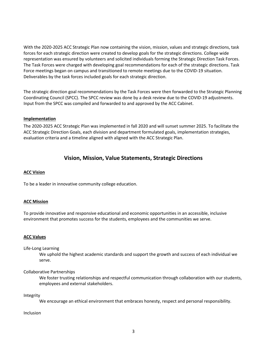With the 2020-2025 ACC Strategic Plan now containing the vision, mission, values and strategic directions, task forces for each strategic direction were created to develop goals for the strategic directions. College wide representation was ensured by volunteers and solicited individuals forming the Strategic Direction Task Forces. The Task Forces were charged with developing goal recommendations for each of the strategic directions. Task Force meetings began on campus and transitioned to remote meetings due to the COVID-19 situation. Deliverables by the task forces included goals for each strategic direction.

The strategic direction goal recommendations by the Task Forces were then forwarded to the Strategic Planning Coordinating Council (SPCC). The SPCC review was done by a desk review due to the COVID-19 adjustments. Input from the SPCC was compiled and forwarded to and approved by the ACC Cabinet.

#### **Implementation**

The 2020-2025 ACC Strategic Plan was implemented in fall 2020 and will sunset summer 2025. To facilitate the ACC Strategic Direction Goals, each division and department formulated goals, implementation strategies, evaluation criteria and a timeline aligned with aligned with the ACC Strategic Plan.

## **Vision, Mission, Value Statements, Strategic Directions**

#### **ACC Vision**

To be a leader in innovative community college education.

#### **ACC Mission**

To provide innovative and responsive educational and economic opportunities in an accessible, inclusive environment that promotes success for the students, employees and the communities we serve.

#### **ACC Values**

Life-Long Learning

We uphold the highest academic standards and support the growth and success of each individual we serve.

#### Collaborative Partnerships

We foster trusting relationships and respectful communication through collaboration with our students, employees and external stakeholders.

Integrity

We encourage an ethical environment that embraces honesty, respect and personal responsibility.

#### Inclusion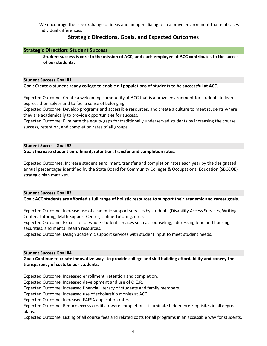We encourage the free exchange of ideas and an open dialogue in a brave environment that embraces individual differences.

## **Strategic Directions, Goals, and Expected Outcomes**

#### **Strategic Direction: Student Success**

**Student success is core to the mission of ACC, and each employee at ACC contributes to the success of our students.** 

#### **Student Success Goal #1**

#### **Goal: Create a student-ready college to enable all populations of students to be successful at ACC.**

Expected Outcome: Create a welcoming community at ACC that is a brave environment for students to learn, express themselves and to feel a sense of belonging.

Expected Outcome: Develop programs and accessible resources, and create a culture to meet students where they are academically to provide opportunities for success.

Expected Outcome: Eliminate the equity gaps for traditionally underserved students by increasing the course success, retention, and completion rates of all groups.

#### **Student Success Goal #2**

**Goal: Increase student enrollment, retention, transfer and completion rates.**

Expected Outcomes: Increase student enrollment, transfer and completion rates each year by the designated annual percentages identified by the State Board for Community Colleges & Occupational Education (SBCCOE) strategic plan matrixes.

#### **Student Success Goal #3**

#### **Goal: ACC students are afforded a full range of holistic resources to support their academic and career goals.**

Expected Outcome: Increase use of academic support services by students (Disability Access Services, Writing Center, Tutoring, Math Support Center, Online Tutoring, etc.).

Expected Outcome: Expansion of whole-student services such as counseling, addressing food and housing securities, and mental health resources.

Expected Outcome: Design academic support services with student input to meet student needs.

#### **Student Success Goal #4**

#### **Goal: Continue to create innovative ways to provide college and skill building affordability and convey the transparency of costs to our students.**

Expected Outcome: Increased enrollment, retention and completion.

Expected Outcome: Increased development and use of O.E.R.

Expected Outcome: Increased financial literacy of students and family members.

Expected Outcome: Increased use of scholarship monies at ACC.

Expected Outcome: Increased FAFSA application rates.

Expected Outcome: Reduce excess credits toward completion – illuminate hidden pre-requisites in all degree plans.

Expected Outcome: Listing of all course fees and related costs for all programs in an accessible way for students.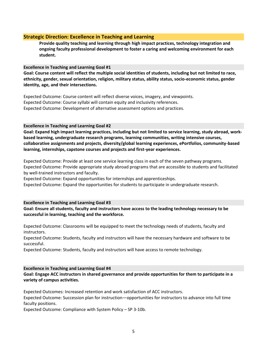#### **Strategic Direction: Excellence in Teaching and Learning**

**Provide quality teaching and learning through high impact practices, technology integration and ongoing faculty professional development to foster a caring and welcoming environment for each student.**

**Excellence in Teaching and Learning Goal #1**

**Goal: Course content will reflect the multiple social identities of students, including but not limited to race, ethnicity, gender, sexual orientation, religion, military status, ability status, socio-economic status, gender identity, age, and their intersections.** 

Expected Outcome: Course content will reflect diverse voices, imagery, and viewpoints. Expected Outcome: Course syllabi will contain equity and inclusivity references. Expected Outcome: Development of alternative assessment options and practices.

**Excellence in Teaching and Learning Goal #2**

**Goal: Expand high impact learning practices, including but not limited to service learning, study abroad, workbased learning, undergraduate research programs, learning communities, writing intensive courses, collaborative assignments and projects, diversity/global learning experiences, ePortfolios, community-based learning, internships, capstone courses and projects and first-year experiences.**

Expected Outcome: Provide at least one service learning class in each of the seven pathway programs. Expected Outcome: Provide appropriate study abroad programs that are accessible to students and facilitated by well-trained instructors and faculty.

Expected Outcome: Expand opportunities for internships and apprenticeships.

Expected Outcome: Expand the opportunities for students to participate in undergraduate research.

**Excellence in Teaching and Learning Goal #3**

**Goal: Ensure all students, faculty and instructors have access to the leading technology necessary to be successful in learning, teaching and the workforce.**

Expected Outcome: Classrooms will be equipped to meet the technology needs of students, faculty and instructors.

Expected Outcome: Students, faculty and instructors will have the necessary hardware and software to be successful.

Expected Outcome: Students, faculty and instructors will have access to remote technology.

**Excellence in Teaching and Learning Goal #4**

**Goal: Engage ACC instructors in shared governance and provide opportunities for them to participate in a variety of campus activities.**

Expected Outcomes: Increased retention and work satisfaction of ACC instructors.

Expected Outcome: Succession plan for instruction—opportunities for instructors to advance into full time faculty positions.

Expected Outcome: Compliance with System Policy – SP 3-10b.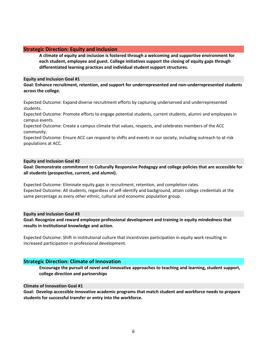#### **Strategic Direction: Equity and Inclusion**

**A climate of equity and inclusion is fostered through a welcoming and supportive environment for each student, employee and guest. College initiatives support the closing of equity gaps through differentiated learning practices and individual student support structures.** 

#### **Equity and Inclusion Goal #1**

#### **Goal: Enhance recruitment, retention, and support for underrepresented and non-underrepresented students across the college.**

Expected Outcome: Expand diverse recruitment efforts by capturing underserved and underrepresented students.

Expected Outcome: Promote efforts to engage potential students, current students, alumni and employees in campus events.

Expected Outcome: Create a campus climate that values, respects, and celebrates members of the ACC community.

Expected Outcome: Ensure ACC can respond to shifts and events in our society, including outreach to at risk populations at ACC.

#### **Equity and Inclusion Goal #2**

**Goal: Demonstrate commitment to Culturally Responsive Pedagogy and college policies that are accessible for all students (prospective, current, and alumni).**

Expected Outcome: Eliminate equity gaps in recruitment, retention, and completion rates. Expected Outcome: All students, regardless of self-identify and background, attain college credentials at the same percentage as every other ethnic, cultural and economic population group.

#### **Equity and Inclusion Goal #3**

**Goal: Recognize and reward employee professional development and training in equity mindedness that results in institutional knowledge and action.**

Expected Outcome: Shift in institutional culture that incentivizes participation in equity work resulting in increased participation in professional development.

#### **Strategic Direction: Climate of Innovation**

**Encourage the pursuit of novel and innovative approaches to teaching and learning, student support, college direction and partnerships**

#### **Climate of Innovation Goal #1**

**Goal: Develop accessible innovative academic programs that match student and workforce needs to prepare students for successful transfer or entry into the workforce.**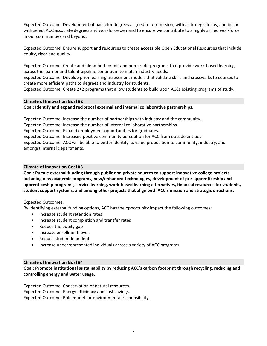Expected Outcome: Development of bachelor degrees aligned to our mission, with a strategic focus, and in line with select ACC associate degrees and workforce demand to ensure we contribute to a highly skilled workforce in our communities and beyond.

Expected Outcome: Ensure support and resources to create accessible Open Educational Resources that include equity, rigor and quality.

Expected Outcome: Create and blend both credit and non-credit programs that provide work-based learning across the learner and talent pipeline continuum to match industry needs.

Expected Outcome: Develop prior learning assessment models that validate skills and crosswalks to courses to create more efficient paths to degrees and industry for students.

Expected Outcome: Create 2+2 programs that allow students to build upon ACCs existing programs of study.

#### **Climate of Innovation Goal #2**

#### **Goal: Identify and expand reciprocal external and internal collaborative partnerships.**

Expected Outcome: Increase the number of partnerships with industry and the community.

Expected Outcome: Increase the number of internal collaborative partnerships.

Expected Outcome: Expand employment opportunities for graduates.

Expected Outcome: Increased positive community perception for ACC from outside entities.

Expected Outcome: ACC will be able to better identify its value proposition to community, industry, and amongst internal departments.

#### **Climate of Innovation Goal #3**

**Goal: Pursue external funding through public and private sources to support innovative college projects including new academic programs, new/enhanced technologies, development of pre-apprenticeship and apprenticeship programs, service learning, work-based learning alternatives, financial resources for students, student support systems, and among other projects that align with ACC's mission and strategic directions.**

#### Expected Outcomes:

By identifying external funding options, ACC has the opportunity impact the following outcomes:

- Increase student retention rates
- Increase student completion and transfer rates
- Reduce the equity gap
- Increase enrollment levels
- Reduce student loan debt
- Increase underrepresented individuals across a variety of ACC programs

#### **Climate of Innovation Goal #4**

**Goal: Promote institutional sustainability by reducing ACC's carbon footprint through recycling, reducing and controlling energy and water usage.**

Expected Outcome: Conservation of natural resources. Expected Outcome: Energy efficiency and cost savings. Expected Outcome: Role model for environmental responsibility.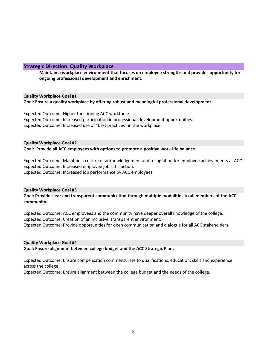#### **Strategic Direction: Quality Workplace**

**Maintain a workplace environment that focuses on employee strengths and provides opportunity for ongoing professional development and enrichment.** 

#### **Quality Workplace Goal #1**

**Goal: Ensure a quality workplace by offering robust and meaningful professional development.** 

Expected Outcome: Higher functioning ACC workforce. Expected Outcome: Increased participation in professional development opportunities. Expected Outcome: Increased use of "best practices" in the workplace.

#### **Quality Workplace Goal #2 Goal: Provide all ACC employees with options to promote a positive work-life balance.**

Expected Outcome: Maintain a culture of acknowledgement and recognition for employee achievements at ACC. Expected Outcome: Increased employee job satisfaction. Expected Outcome: Increased job performance by ACC employees.

#### **Quality Workplace Goal #3**

**Goal: Provide clear and transparent communication through multiple modalities to all members of the ACC community.**

Expected Outcome: ACC employees and the community have deeper overall knowledge of the college. Expected Outcome: Creation of an inclusive, transparent environment. Expected Outcome: Provide opportunities for open communication and dialogue for all ACC stakeholders.

#### **Quality Workplace Goal #4**

**Goal: Ensure alignment between college budget and the ACC Strategic Plan.**

Expected Outcome: Ensure compensation commensurate to qualifications, education, skills and experience across the college.

Expected Outcome: Ensure alignment between the college budget and the needs of the college.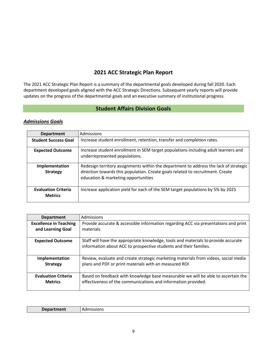## **2021 ACC Strategic Plan Report**

<span id="page-9-1"></span><span id="page-9-0"></span>The 2021 ACC Strategic Plan Report is a summary of the departmental goals developed during fall 2020. Each department developed goals aligned with the ACC Strategic Directions. Subsequent yearly reports will provide updates on the progress of the departmental goals and an executive summary of institutional progress.

## **Student Affairs Division Goals**

## *Admissions Goals*

| <b>Department</b>                            | <b>Admissions</b>                                                                                                                                                                                              |
|----------------------------------------------|----------------------------------------------------------------------------------------------------------------------------------------------------------------------------------------------------------------|
| <b>Student Success Goal</b>                  | Increase student enrollment, retention, transfer and completion rates.                                                                                                                                         |
| <b>Expected Outcome</b>                      | Increase student enrollment in SEM target populations including adult learners and<br>underrepresented populations.                                                                                            |
| Implementation<br><b>Strategy</b>            | Redesign territory assignments within the department to address the lack of strategic<br>direction towards this population. Create goals related to recruitment. Create<br>education & marketing opportunities |
| <b>Evaluation Criteria</b><br><b>Metrics</b> | Increase application yield for each of the SEM target populations by 5% by 2025                                                                                                                                |

| <b>Department</b>                            | Admissions                                                                                                                                              |
|----------------------------------------------|---------------------------------------------------------------------------------------------------------------------------------------------------------|
| <b>Excellence in Teaching</b>                | Provide accurate & accessible information regarding ACC via presentations and print                                                                     |
| and Learning Goal                            | materials                                                                                                                                               |
|                                              |                                                                                                                                                         |
| <b>Expected Outcome</b>                      | Staff will have the appropriate knowledge, tools and materials to provide accurate<br>information about ACC to prospective students and their families. |
| Implementation                               | Review, evaluate and create strategic marketing materials from videos, social media                                                                     |
| <b>Strategy</b>                              | plans and PDF or print materials with an measured ROI                                                                                                   |
| <b>Evaluation Criteria</b><br><b>Metrics</b> | Based on feedback with knowledge base measurable we will be able to ascertain the<br>effectiveness of the communications and information provided.      |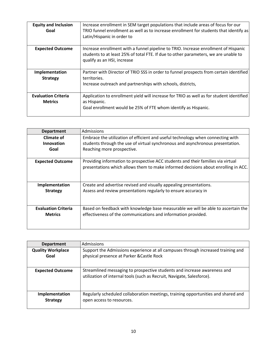| <b>Equity and Inclusion</b><br>Goal          | Increase enrollment in SEM target populations that include areas of focus for our<br>TRIO funnel enrollment as well as to increase enrollment for students that identify as<br>Latin/Hispanic in order to |
|----------------------------------------------|-----------------------------------------------------------------------------------------------------------------------------------------------------------------------------------------------------------|
| <b>Expected Outcome</b>                      | Increase enrollment with a funnel pipeline to TRIO. Increase enrollment of Hispanic<br>students to at least 25% of total FTE. If due to other parameters, we are unable to<br>qualify as an HSI, increase |
| Implementation<br><b>Strategy</b>            | Partner with Director of TRIO SSS in order to funnel prospects from certain identified<br>territories.<br>Increase outreach and partnerships with schools, districts,                                     |
| <b>Evaluation Criteria</b><br><b>Metrics</b> | Application to enrollment yield will increase for TRIO as well as for student identified<br>as Hispanic.<br>Goal enrollment would be 25% of FTE whom identify as Hispanic.                                |

| <b>Department</b>          | Admissions                                                                         |
|----------------------------|------------------------------------------------------------------------------------|
| <b>Climate of</b>          | Embrace the utilization of efficient and useful technology when connecting with    |
| Innovation                 | students through the use of virtual synchronous and asynchronous presentation.     |
| Goal                       | Reaching more prospective.                                                         |
|                            |                                                                                    |
| <b>Expected Outcome</b>    | Providing information to prospective ACC students and their families via virtual   |
|                            | presentations which allows them to make informed decisions about enrolling in ACC. |
|                            |                                                                                    |
|                            |                                                                                    |
| Implementation             | Create and advertise revised and visually appealing presentations.                 |
| <b>Strategy</b>            | Assess and review presentations regularly to ensure accuracy in                    |
|                            |                                                                                    |
|                            |                                                                                    |
| <b>Evaluation Criteria</b> | Based on feedback with knowledge base measurable we will be able to ascertain the  |
| <b>Metrics</b>             | effectiveness of the communications and information provided.                      |
|                            |                                                                                    |
|                            |                                                                                    |

| <b>Department</b>        | Admissions                                                                                                                                         |
|--------------------------|----------------------------------------------------------------------------------------------------------------------------------------------------|
| <b>Quality Workplace</b> | Support the Admissions experience at all campuses through increased training and                                                                   |
| Goal                     | physical presence at Parker & Castle Rock                                                                                                          |
| <b>Expected Outcome</b>  | Streamlined messaging to prospective students and increase awareness and<br>utilization of internal tools (such as Recruit, Navigate, Salesforce). |
| Implementation           | Regularly scheduled collaboration meetings, training opportunities and shared and                                                                  |
| <b>Strategy</b>          | open access to resources.                                                                                                                          |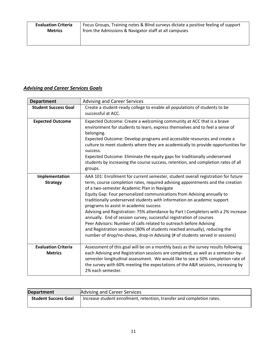## *Advising and Career Services Goals*

| <b>Department</b>                            | <b>Advising and Career Services</b>                                                                                                                                                                                                                                                                                                                                                                                                                                                                                                                                                                                                                                                                                                                                                                               |
|----------------------------------------------|-------------------------------------------------------------------------------------------------------------------------------------------------------------------------------------------------------------------------------------------------------------------------------------------------------------------------------------------------------------------------------------------------------------------------------------------------------------------------------------------------------------------------------------------------------------------------------------------------------------------------------------------------------------------------------------------------------------------------------------------------------------------------------------------------------------------|
| <b>Student Success Goal</b>                  | Create a student-ready college to enable all populations of students to be<br>successful at ACC.                                                                                                                                                                                                                                                                                                                                                                                                                                                                                                                                                                                                                                                                                                                  |
| <b>Expected Outcome</b>                      | Expected Outcome: Create a welcoming community at ACC that is a brave<br>environment for students to learn, express themselves and to feel a sense of<br>belonging.<br>Expected Outcome: Develop programs and accessible resources and create a<br>culture to meet students where they are academically to provide opportunities for<br>success.<br>Expected Outcome: Eliminate the equity gaps for traditionally underserved<br>students by increasing the course success, retention, and completion rates of all<br>groups.                                                                                                                                                                                                                                                                                     |
| Implementation<br><b>Strategy</b>            | AAA 101: Enrollment for current semester, student overall registration for future<br>term, course completion rates, required advising appointments and the creation<br>of a two-semester Academic Plan in Navigate<br>Equity Gap: Four personalized communications from Advising annually to<br>traditionally underserved students with information on academic support<br>programs to assist in academic success<br>Advising and Registration: 75% attendance by Part I Completers with a 2% increase<br>annually. End of session survey, successful registration of courses<br>Peer Advisors: Number of calls related to outreach before Advising<br>and Registration sessions (80% of students reached annually), reducing the<br>number of drop/no-shows, drop-in Advising (# of students served in sessions) |
| <b>Evaluation Criteria</b><br><b>Metrics</b> | Assessment of this goal will be on a monthly basis as the survey results following<br>each Advising and Registration sessions are completed, as well as a semester-by-<br>semester longitudinal assessment. We would like to see a 50% completion rate of<br>the survey with 60% meeting the expectations of the A&R sessions, increasing by<br>2% each semester.                                                                                                                                                                                                                                                                                                                                                                                                                                                 |

| <b>Department</b>           | <b>Advising and Career Services</b>                                    |
|-----------------------------|------------------------------------------------------------------------|
| <b>Student Success Goal</b> | Increase student enrollment, retention, transfer and completion rates. |
|                             |                                                                        |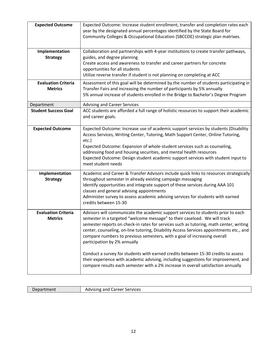| <b>Expected Outcome</b>                      | Expected Outcome: Increase student enrollment, transfer and completion rates each<br>year by the designated annual percentages identified by the State Board for<br>Community Colleges & Occupational Education (SBCCOE) strategic plan matrixes.                                                                                                                                                                                                                                                                                                                                                                                                                                                                                |
|----------------------------------------------|----------------------------------------------------------------------------------------------------------------------------------------------------------------------------------------------------------------------------------------------------------------------------------------------------------------------------------------------------------------------------------------------------------------------------------------------------------------------------------------------------------------------------------------------------------------------------------------------------------------------------------------------------------------------------------------------------------------------------------|
| Implementation<br><b>Strategy</b>            | Collaboration and partnerships with 4-year institutions to create transfer pathways,<br>guides, and degree planning<br>Create access and awareness to transfer and career partners for concrete<br>opportunities for all students<br>Utilize reverse transfer if student is not planning on completing at ACC                                                                                                                                                                                                                                                                                                                                                                                                                    |
| <b>Evaluation Criteria</b><br><b>Metrics</b> | Assessment of this goal will be determined by the number of students participating in<br>Transfer Fairs and increasing the number of participants by 5% annually<br>5% annual increase of students enrolled in the Bridge to Bachelor's Degree Program                                                                                                                                                                                                                                                                                                                                                                                                                                                                           |
| Department                                   | <b>Advising and Career Services</b>                                                                                                                                                                                                                                                                                                                                                                                                                                                                                                                                                                                                                                                                                              |
| <b>Student Success Goal</b>                  | ACC students are afforded a full range of holistic resources to support their academic<br>and career goals.                                                                                                                                                                                                                                                                                                                                                                                                                                                                                                                                                                                                                      |
| <b>Expected Outcome</b>                      | Expected Outcome: Increase use of academic support services by students (Disability<br>Access Services, Writing Center, Tutoring, Math Support Center, Online Tutoring,<br>etc.)<br>Expected Outcome: Expansion of whole-student services such as counseling,<br>addressing food and housing securities, and mental health resources<br>Expected Outcome: Design student academic support services with student input to<br>meet student needs                                                                                                                                                                                                                                                                                   |
| Implementation<br><b>Strategy</b>            | Academic and Career & Transfer Advisors include quick links to resources strategically<br>throughout semester in already existing campaign messaging<br>Identify opportunities and integrate support of these services during AAA 101<br>classes and general advising appointments<br>Administer survey to assess academic advising services for students with earned<br>credits between 15-30                                                                                                                                                                                                                                                                                                                                   |
| <b>Evaluation Criteria</b><br><b>Metrics</b> | Advisors will communicate the academic support services to students prior to each<br>semester in a targeted "welcome message" to their caseload. We will track<br>semester reports on check-in rates for services such as tutoring, math center, writing<br>center, counseling, on-line tutoring, Disability Access Services appointments etc., and<br>compare numbers to previous semesters, with a goal of increasing overall<br>participation by 2% annually<br>Conduct a survey for students with earned credits between 15-30 credits to assess<br>their experience with academic advising, including suggestions for improvement, and<br>compare results each semester with a 2% increase in overall satisfaction annually |

| Department | Career<br>: Services<br>Advising and C |
|------------|----------------------------------------|
|            |                                        |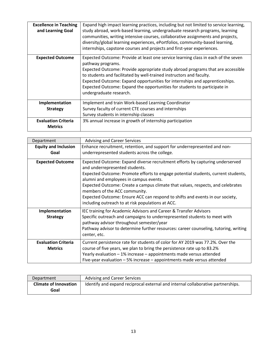| <b>Excellence in Teaching</b><br>and Learning Goal | Expand high impact learning practices, including but not limited to service learning,<br>study abroad, work-based learning, undergraduate research programs, learning<br>communities, writing intensive courses, collaborative assignments and projects,<br>diversity/global learning experiences, ePortfolios, community-based learning,<br>internships, capstone courses and projects and first-year experiences.                                       |
|----------------------------------------------------|-----------------------------------------------------------------------------------------------------------------------------------------------------------------------------------------------------------------------------------------------------------------------------------------------------------------------------------------------------------------------------------------------------------------------------------------------------------|
| <b>Expected Outcome</b>                            | Expected Outcome: Provide at least one service learning class in each of the seven<br>pathway programs.<br>Expected Outcome: Provide appropriate study abroad programs that are accessible<br>to students and facilitated by well-trained instructors and faculty.<br>Expected Outcome: Expand opportunities for internships and apprenticeships.<br>Expected Outcome: Expand the opportunities for students to participate in<br>undergraduate research. |
| Implementation                                     | Implement and train Work-based Learning Coordinator                                                                                                                                                                                                                                                                                                                                                                                                       |
| <b>Strategy</b>                                    | Survey faculty of current CTE courses and internships                                                                                                                                                                                                                                                                                                                                                                                                     |
|                                                    | Survey students in internship classes                                                                                                                                                                                                                                                                                                                                                                                                                     |
| <b>Evaluation Criteria</b><br><b>Metrics</b>       | 3% annual increase in growth of internship participation                                                                                                                                                                                                                                                                                                                                                                                                  |

| Department                          | <b>Advising and Career Services</b>                                                                                                                                                                                                            |
|-------------------------------------|------------------------------------------------------------------------------------------------------------------------------------------------------------------------------------------------------------------------------------------------|
| <b>Equity and Inclusion</b><br>Goal | Enhance recruitment, retention, and support for underrepresented and non-<br>underrepresented students across the college.                                                                                                                     |
|                                     |                                                                                                                                                                                                                                                |
| <b>Expected Outcome</b>             | Expected Outcome: Expand diverse recruitment efforts by capturing underserved<br>and underrepresented students.<br>Expected Outcome: Promote efforts to engage potential students, current students,<br>alumni and employees in campus events. |
|                                     | Expected Outcome: Create a campus climate that values, respects, and celebrates<br>members of the ACC community.                                                                                                                               |
|                                     | Expected Outcome: Ensure ACC can respond to shifts and events in our society,<br>including outreach to at risk populations at ACC.                                                                                                             |
| Implementation                      | IEC training for Academic Advisors and Career & Transfer Advisors                                                                                                                                                                              |
| <b>Strategy</b>                     | Specific outreach and campaigns to underrepresented students to meet with<br>pathway advisor throughout semester/year                                                                                                                          |
|                                     | Pathway advisor to determine further resources: career counseling, tutoring, writing<br>center, etc.                                                                                                                                           |
| <b>Evaluation Criteria</b>          | Current persistence rate for students of color for AY 2019 was 77.2%. Over the                                                                                                                                                                 |
| <b>Metrics</b>                      | course of five years, we plan to bring the persistence rate up to 83.2%                                                                                                                                                                        |
|                                     | Yearly evaluation - 1% increase - appointments made versus attended                                                                                                                                                                            |
|                                     | Five-year evaluation - 5% increase - appointments made versus attended                                                                                                                                                                         |

| Department                   | <b>Advising and Career Services</b>                                              |
|------------------------------|----------------------------------------------------------------------------------|
| <b>Climate of Innovation</b> | Identify and expand reciprocal external and internal collaborative partnerships. |
| Goal                         |                                                                                  |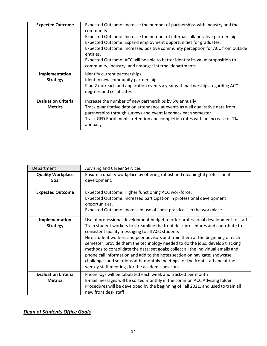| <b>Expected Outcome</b>                      | Expected Outcome: Increase the number of partnerships with industry and the<br>community.<br>Expected Outcome: Increase the number of internal collaborative partnerships.<br>Expected Outcome: Expand employment opportunities for graduates.<br>Expected Outcome: Increased positive community perception for ACC from outside<br>entities.<br>Expected Outcome: ACC will be able to better identify its value proposition to<br>community, industry, and amongst internal departments. |
|----------------------------------------------|-------------------------------------------------------------------------------------------------------------------------------------------------------------------------------------------------------------------------------------------------------------------------------------------------------------------------------------------------------------------------------------------------------------------------------------------------------------------------------------------|
| Implementation<br><b>Strategy</b>            | Identify current partnerships<br>Identify new community partnerships<br>Plan 2 outreach and application events a year with partnerships regarding ACC<br>degrees and certificates                                                                                                                                                                                                                                                                                                         |
| <b>Evaluation Criteria</b><br><b>Metrics</b> | Increase the number of new partnerships by 5% annually<br>Track quantitative data on attendance at events as well qualitative data from<br>partnerships through surveys and event feedback each semester<br>Track GED Enrollments, retention and completion rates with an increase of 1%<br>annually                                                                                                                                                                                      |

| Department                                   | <b>Advising and Career Services</b>                                                                                                                                                                                                                                                                                                                                                                                                                                                                                                                                                                                                                                                                |
|----------------------------------------------|----------------------------------------------------------------------------------------------------------------------------------------------------------------------------------------------------------------------------------------------------------------------------------------------------------------------------------------------------------------------------------------------------------------------------------------------------------------------------------------------------------------------------------------------------------------------------------------------------------------------------------------------------------------------------------------------------|
| <b>Quality Workplace</b><br>Goal             | Ensure a quality workplace by offering robust and meaningful professional<br>development.                                                                                                                                                                                                                                                                                                                                                                                                                                                                                                                                                                                                          |
| <b>Expected Outcome</b>                      | Expected Outcome: Higher functioning ACC workforce.<br>Expected Outcome: Increased participation in professional development<br>opportunities.<br>Expected Outcome: Increased use of "best practices" in the workplace.                                                                                                                                                                                                                                                                                                                                                                                                                                                                            |
| Implementation<br><b>Strategy</b>            | Use of professional development budget to offer professional development to staff<br>Train student workers to streamline the front desk procedures and contribute to<br>consistent quality messaging to all ACC students<br>Hire student workers and peer advisors and train them at the beginning of each<br>semester; provide them the technology needed to do the jobs; develop tracking<br>methods to consolidate the data; set goals; collect all the individual emails and<br>phone call information and add to the notes section on navigate; showcase<br>challenges and solutions at bi-monthly meetings for the front staff and at the<br>weekly staff meetings for the academic advisors |
| <b>Evaluation Criteria</b><br><b>Metrics</b> | Phone logs will be tabulated each week and tracked per month<br>E-mail messages will be sorted monthly in the common ACC Advising folder<br>Procedures will be developed by the beginning of Fall 2021, and used to train all<br>new front desk staff                                                                                                                                                                                                                                                                                                                                                                                                                                              |

## *Dean of Students Office Goals*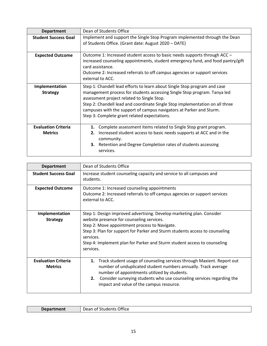| <b>Department</b>                            | Dean of Students Office                                                                                                                                                                                                                                                                                                                                                                                    |
|----------------------------------------------|------------------------------------------------------------------------------------------------------------------------------------------------------------------------------------------------------------------------------------------------------------------------------------------------------------------------------------------------------------------------------------------------------------|
| <b>Student Success Goal</b>                  | Implement and support the Single Stop Program implemented through the Dean<br>of Students Office. (Grant date: August 2020 - DATE)                                                                                                                                                                                                                                                                         |
| <b>Expected Outcome</b>                      | Outcome 1: Increased student access to basic needs supports through ACC -<br>increased counseling appointments, student emergency fund, and food pantry/gift<br>card assistance.<br>Outcome 2: Increased referrals to off campus agencies or support services<br>external to ACC.                                                                                                                          |
| Implementation<br><b>Strategy</b>            | Step 1: Chandell lead efforts to learn about Single Stop program and case<br>management process for students accessing Single Stop program. Tanya led<br>assessment project related to Single Stop.<br>Step 2: Chandell lead and coordinate Single Stop implementation on all three<br>campuses with the support of campus navigators at Parker and Sturm.<br>Step 3: Complete grant related expectations. |
| <b>Evaluation Criteria</b><br><b>Metrics</b> | Complete assessment items related to Single Stop grant program.<br>1.<br>Increased student access to basic needs supports at ACC and in the<br>2.<br>community.<br>3. Retention and Degree Completion rates of students accessing<br>services.                                                                                                                                                             |

| <b>Department</b>                            | Dean of Students Office                                                                                                                                                                                                                                                                                                                                  |
|----------------------------------------------|----------------------------------------------------------------------------------------------------------------------------------------------------------------------------------------------------------------------------------------------------------------------------------------------------------------------------------------------------------|
| <b>Student Success Goal</b>                  | Increase student counseling capacity and service to all campuses and<br>students.                                                                                                                                                                                                                                                                        |
| <b>Expected Outcome</b>                      | Outcome 1: Increased counseling appointments<br>Outcome 2: Increased referrals to off campus agencies or support services<br>external to ACC.                                                                                                                                                                                                            |
| Implementation<br><b>Strategy</b>            | Step 1: Design improved advertising. Develop marketing plan. Consider<br>website presence for counseling services.<br>Step 2: Move appointment process to Navigate.<br>Step 3: Plan for support for Parker and Sturm students access to counseling<br>services.<br>Step 4: Implement plan for Parker and Sturm student access to counseling<br>services. |
| <b>Evaluation Criteria</b><br><b>Metrics</b> | Track student usage of counseling services through Maxient. Report out<br>1.<br>number of unduplicated student numbers annually. Track average<br>number of appointments utilized by students.<br>2.<br>Consider surveying students who use counseling services regarding the<br>impact and value of the campus resource.                                |

| ----<br>ttice<br>$-$<br>. )ρ<br>IJ<br>$\overline{\phantom{a}}$<br>01 I<br>-<br>-<br>$  -$<br>____<br>- - - - - - - |  |
|--------------------------------------------------------------------------------------------------------------------|--|
|--------------------------------------------------------------------------------------------------------------------|--|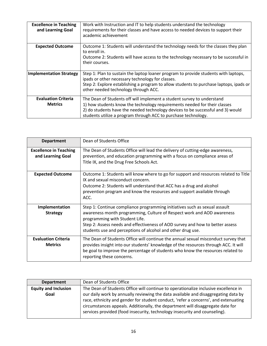| <b>Excellence in Teaching</b><br>and Learning Goal | Work with Instruction and IT to help students understand the technology<br>requirements for their classes and have access to needed devices to support their<br>academic achievement                                                                                                                     |
|----------------------------------------------------|----------------------------------------------------------------------------------------------------------------------------------------------------------------------------------------------------------------------------------------------------------------------------------------------------------|
| <b>Expected Outcome</b>                            | Outcome 1: Students will understand the technology needs for the classes they plan<br>to enroll in.<br>Outcome 2: Students will have access to the technology necessary to be successful in<br>their courses.                                                                                            |
| <b>Implementation Strategy</b>                     | Step 1: Plan to sustain the laptop loaner program to provide students with laptops,<br>ipads or other necessary technology for classes.<br>Step 2: Explore establishing a program to allow students to purchase laptops, ipads or<br>other needed technology through ACC.                                |
| <b>Evaluation Criteria</b><br><b>Metrics</b>       | The Dean of Students off will implement a student survey to understand<br>1) how students know the technology requirements needed for their classes<br>2) do students have the needed technology devices to be successful and 3) would<br>students utilize a program through ACC to purchase technology. |

| <b>Department</b>                                  | Dean of Students Office                                                                                                                                                                                                                                                                                                                |
|----------------------------------------------------|----------------------------------------------------------------------------------------------------------------------------------------------------------------------------------------------------------------------------------------------------------------------------------------------------------------------------------------|
| <b>Excellence in Teaching</b><br>and Learning Goal | The Dean of Students Office will lead the delivery of cutting-edge awareness,<br>prevention, and education programming with a focus on compliance areas of<br>Title IX, and the Drug Free Schools Act.                                                                                                                                 |
| <b>Expected Outcome</b>                            | Outcome 1: Students will know where to go for support and resources related to Title<br>IX and sexual misconduct concern.<br>Outcome 2: Students will understand that ACC has a drug and alcohol<br>prevention program and know the resources and support available through<br>ACC.                                                    |
| Implementation<br><b>Strategy</b>                  | Step 1: Continue compliance programming initiatives such as sexual assault<br>awareness month programming, Culture of Respect work and AOD awareness<br>programming with Student Life.<br>Step 2: Assess needs and effectiveness of AOD survey and how to better assess<br>students use and perceptions of alcohol and other drug use. |
| <b>Evaluation Criteria</b><br><b>Metrics</b>       | The Dean of Students Office will continue the annual sexual misconduct survey that<br>provides insight into our students' knowledge of the resources through ACC. It will<br>be goal to improve the percentage of students who know the resources related to<br>reporting these concerns.                                              |

| <b>Department</b>           | Dean of Students Office                                                                                                                                                                                                                                                                                                                   |
|-----------------------------|-------------------------------------------------------------------------------------------------------------------------------------------------------------------------------------------------------------------------------------------------------------------------------------------------------------------------------------------|
| <b>Equity and Inclusion</b> | The Dean of Students Office will continue to operationalize inclusive excellence in                                                                                                                                                                                                                                                       |
| Goal                        | our daily work by annually reviewing the data available and disaggregating data by<br>race, ethnicity and gender for student conduct, 'refer a concerns', and extenuating<br>circumstances appeals. Additionally, the department will disaggregate date for<br>services provided (food insecurity, technology insecurity and counseling). |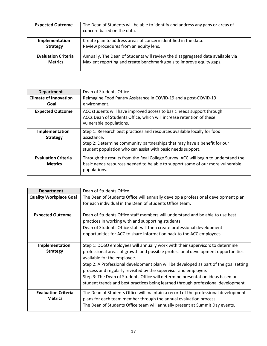| <b>Expected Outcome</b>    | The Dean of Students will be able to identify and address any gaps or areas of<br>concern based on the data. |
|----------------------------|--------------------------------------------------------------------------------------------------------------|
| Implementation             | Create plan to address areas of concern identified in the data.                                              |
| <b>Strategy</b>            | Review procedures from an equity lens.                                                                       |
| <b>Evaluation Criteria</b> | Annually, The Dean of Students will review the disaggregated data available via                              |
| <b>Metrics</b>             | Maxient reporting and create benchmark goals to improve equity gaps.                                         |

| <b>Department</b>                            | Dean of Students Office                                                                                                                                                                                                            |
|----------------------------------------------|------------------------------------------------------------------------------------------------------------------------------------------------------------------------------------------------------------------------------------|
| <b>Climate of Innovation</b>                 | Reimagine Food Pantry Assistance in COVID-19 and a post-COVID-19<br>environment.                                                                                                                                                   |
| Goal                                         |                                                                                                                                                                                                                                    |
| <b>Expected Outcome</b>                      | ACC students will have improved access to basic needs support through<br>ACCs Dean of Students Office, which will increase retention of these<br>vulnerable populations.                                                           |
| Implementation<br><b>Strategy</b>            | Step 1: Research best practices and resources available locally for food<br>assistance.<br>Step 2: Determine community partnerships that may have a benefit for our<br>student population who can assist with basic needs support. |
| <b>Evaluation Criteria</b><br><b>Metrics</b> | Through the results from the Real College Survey. ACC will begin to understand the<br>basic needs resources needed to be able to support some of our more vulnerable<br>populations.                                               |

| <b>Department</b>             | Dean of Students Office                                                               |
|-------------------------------|---------------------------------------------------------------------------------------|
| <b>Quality Workplace Goal</b> | The Dean of Students Office will annually develop a professional development plan     |
|                               | for each individual in the Dean of Students Office team.                              |
|                               |                                                                                       |
| <b>Expected Outcome</b>       | Dean of Students Office staff members will understand and be able to use best         |
|                               | practices in working with and supporting students.                                    |
|                               | Dean of Students Office staff will then create professional development               |
|                               | opportunities for ACC to share information back to the ACC employees.                 |
|                               |                                                                                       |
| Implementation                | Step 1: DOSO employees will annually work with their supervisors to determine         |
| <b>Strategy</b>               | professional areas of growth and possible professional development opportunities      |
|                               | available for the employee.                                                           |
|                               | Step 2: A Professional development plan will be developed as part of the goal setting |
|                               | process and regularly revisited by the supervisor and employee.                       |
|                               | Step 3: The Dean of Students Office will determine presentation ideas based on        |
|                               | student trends and best practices being learned through professional development.     |
| <b>Evaluation Criteria</b>    | The Dean of Students Office will maintain a record of the professional development    |
| <b>Metrics</b>                |                                                                                       |
|                               | plans for each team member through the annual evaluation process.                     |
|                               | The Dean of Students Office team will annually present at Summit Day events.          |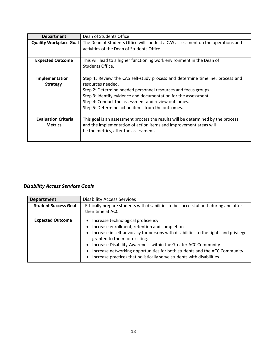| <b>Department</b>                            | Dean of Students Office                                                                                                                                                                                                                                                                                                                             |
|----------------------------------------------|-----------------------------------------------------------------------------------------------------------------------------------------------------------------------------------------------------------------------------------------------------------------------------------------------------------------------------------------------------|
| <b>Quality Workplace Goal</b>                | The Dean of Students Office will conduct a CAS assessment on the operations and<br>activities of the Dean of Students Office.                                                                                                                                                                                                                       |
| <b>Expected Outcome</b>                      | This will lead to a higher functioning work environment in the Dean of<br>Students Office.                                                                                                                                                                                                                                                          |
| Implementation<br><b>Strategy</b>            | Step 1: Review the CAS self-study process and determine timeline, process and<br>resources needed.<br>Step 2: Determine needed personnel resources and focus groups.<br>Step 3: Identify evidence and documentation for the assessment.<br>Step 4: Conduct the assessment and review outcomes.<br>Step 5: Determine action items from the outcomes. |
| <b>Evaluation Criteria</b><br><b>Metrics</b> | This goal is an assessment process the results will be determined by the process<br>and the implementation of action items and improvement areas will<br>be the metrics, after the assessment.                                                                                                                                                      |

## *Disability Access Services Goals*

| <b>Department</b>           | <b>Disability Access Services</b>                                                                                                                                                                                                                                                                                                                                                                                                          |
|-----------------------------|--------------------------------------------------------------------------------------------------------------------------------------------------------------------------------------------------------------------------------------------------------------------------------------------------------------------------------------------------------------------------------------------------------------------------------------------|
| <b>Student Success Goal</b> | Ethically prepare students with disabilities to be successful both during and after<br>their time at ACC.                                                                                                                                                                                                                                                                                                                                  |
| <b>Expected Outcome</b>     | • Increase technological proficiency<br>Increase enrollment, retention and completion<br>• Increase in self-advocacy for persons with disabilities to the rights and privileges<br>granted to them for existing.<br>Increase Disability-Awareness within the Greater ACC Community<br>Increase networking opportunities for both students and the ACC Community.<br>Increase practices that holistically serve students with disabilities. |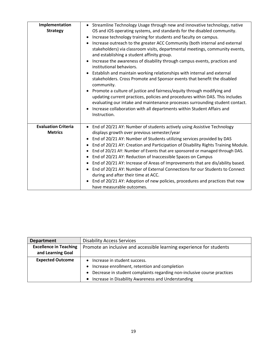| Implementation<br><b>Strategy</b>            | • Streamline Technology Usage through new and innovative technology, native<br>OS and iOS operating systems, and standards for the disabled community.<br>Increase technology training for students and faculty on campus.<br>Increase outreach to the greater ACC Community (both internal and external<br>stakeholders) via classroom visits, departmental meetings, community events,<br>and establishing a student affinity group.<br>Increase the awareness of disability through campus events, practices and<br>institutional behaviors.<br>Establish and maintain working relationships with internal and external<br>stakeholders. Cross Promote and Sponsor events that benefit the disabled<br>community.<br>Promote a culture of justice and fairness/equity through modifying and<br>updating current practices, policies and procedures within DAS. This includes<br>evaluating our intake and maintenance processes surrounding student contact.<br>Increase collaboration with all departments within Student Affairs and<br>Instruction. |
|----------------------------------------------|-----------------------------------------------------------------------------------------------------------------------------------------------------------------------------------------------------------------------------------------------------------------------------------------------------------------------------------------------------------------------------------------------------------------------------------------------------------------------------------------------------------------------------------------------------------------------------------------------------------------------------------------------------------------------------------------------------------------------------------------------------------------------------------------------------------------------------------------------------------------------------------------------------------------------------------------------------------------------------------------------------------------------------------------------------------|
| <b>Evaluation Criteria</b><br><b>Metrics</b> | • End of 20/21 AY: Number of students actively using Assistive Technology<br>displays growth over previous semester/year<br>End of 20/21 AY: Number of Students utilizing services provided by DAS<br>End of 20/21 AY: Creation and Participation of Disability Rights Training Module.<br>End of 20/21 AY: Number of Events that are sponsored or managed through DAS.<br>End of 20/21 AY: Reduction of Inaccessible Spaces on Campus<br>End of 20/21 AY: Increase of Areas of Improvements that are dis/ability based.<br>End of 20/21 AY: Number of External Connections for our Students to Connect<br>during and after their time at ACC.<br>End of 20/21 AY: Adoption of new policies, procedures and practices that now<br>have measurable outcomes.                                                                                                                                                                                                                                                                                               |

| <b>Department</b>             | <b>Disability Access Services</b>                                       |
|-------------------------------|-------------------------------------------------------------------------|
| <b>Excellence in Teaching</b> | Promote an inclusive and accessible learning experience for students    |
| and Learning Goal             |                                                                         |
| <b>Expected Outcome</b>       | Increase in student success.                                            |
|                               | Increase enrollment, retention and completion                           |
|                               | Decrease in student complaints regarding non-inclusive course practices |
|                               | Increase in Disability Awareness and Understanding                      |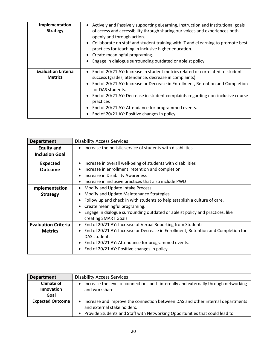| Implementation<br><b>Strategy</b>            | • Actively and Passively supporting eLearning, Instruction and Institutional goals<br>of access and accessibility through sharing our voices and experiences both<br>openly and through action.<br>• Collaborate on staff and student training with IT and eLearning to promote best<br>practices for teaching in inclusive higher education.<br>• Create meaningful programing.<br>Engage in dialogue surrounding outdated or ableist policy          |
|----------------------------------------------|--------------------------------------------------------------------------------------------------------------------------------------------------------------------------------------------------------------------------------------------------------------------------------------------------------------------------------------------------------------------------------------------------------------------------------------------------------|
| <b>Evaluation Criteria</b><br><b>Metrics</b> | • End of 20/21 AY: Increase in student metrics related or correlated to student<br>success (grades, attendance, decrease in complaints)<br>• End of 20/21 AY: Increase or Decrease in Enrollment, Retention and Completion<br>for DAS students.<br>• End of 20/21 AY: Decrease in student complaints regarding non-inclusive course<br>practices<br>End of 20/21 AY: Attendance for programmed events.<br>End of 20/21 AY: Positive changes in policy. |

| <b>Department</b>          | <b>Disability Access Services</b>                                                              |
|----------------------------|------------------------------------------------------------------------------------------------|
| <b>Equity and</b>          | Increase the holistic service of students with disabilities<br>$\bullet$                       |
| <b>Inclusion Goal</b>      |                                                                                                |
| <b>Expected</b>            | Increase in overall well-being of students with disabilities<br>٠                              |
| <b>Outcome</b>             | Increase in enrollment, retention and completion<br>$\bullet$                                  |
|                            | Increase in Disability Awareness<br>$\bullet$                                                  |
|                            | Increase in inclusive practices that also include PWD<br>$\bullet$                             |
| Implementation             | Modify and Update Intake Process<br>٠                                                          |
| <b>Strategy</b>            | Modify and Update Maintenance Strategies<br>$\bullet$                                          |
|                            | Follow up and check in with students to help establish a culture of care.<br>٠                 |
|                            | Create meaningful programing.<br>$\bullet$                                                     |
|                            | Engage in dialogue surrounding outdated or ableist policy and practices, like<br>$\bullet$     |
|                            | creating SMART Goals                                                                           |
| <b>Evaluation Criteria</b> | End of 20/21 AY: Increase of Verbal Reporting from Students<br>$\bullet$                       |
| <b>Metrics</b>             | End of 20/21 AY: Increase or Decrease in Enrollment, Retention and Completion for<br>$\bullet$ |
|                            | DAS students.                                                                                  |
|                            | End of 20/21 AY: Attendance for programmed events.<br>$\bullet$                                |
|                            | End of 20/21 AY: Positive changes in policy.<br>$\bullet$                                      |

| <b>Department</b>       | <b>Disability Access Services</b>                                                                |
|-------------------------|--------------------------------------------------------------------------------------------------|
| <b>Climate of</b>       | Increase the level of connections both internally and externally through networking<br>$\bullet$ |
| <b>Innovation</b>       | and workshare.                                                                                   |
| Goal                    |                                                                                                  |
| <b>Expected Outcome</b> | Increase and improve the connection between DAS and other internal departments<br>$\bullet$      |
|                         | and external stake holders.                                                                      |
|                         | • Provide Students and Staff with Networking Opportunities that could lead to                    |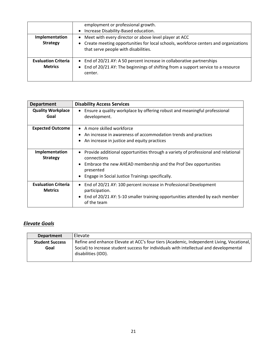|                            | employment or professional growth.<br>• Increase Disability-Based education.                                                  |
|----------------------------|-------------------------------------------------------------------------------------------------------------------------------|
| Implementation             | • Meet with every director or above level player at ACC                                                                       |
| <b>Strategy</b>            | • Create meeting opportunities for local schools, workforce centers and organizations<br>that serve people with disabilities. |
| <b>Evaluation Criteria</b> | • End of 20/21 AY: A 50 percent increase in collaborative partnerships                                                        |
| <b>Metrics</b>             | • End of 20/21 AY: The beginnings of shifting from a support service to a resource<br>center.                                 |

| <b>Department</b>                            | <b>Disability Access Services</b>                                                                                                                                                                                                    |
|----------------------------------------------|--------------------------------------------------------------------------------------------------------------------------------------------------------------------------------------------------------------------------------------|
| <b>Quality Workplace</b><br>Goal             | Ensure a quality workplace by offering robust and meaningful professional<br>$\bullet$<br>development.                                                                                                                               |
| <b>Expected Outcome</b>                      | $\bullet$ A more skilled workforce<br>An increase in awareness of accommodation trends and practices<br>• An increase in justice and equity practices                                                                                |
| Implementation<br><b>Strategy</b>            | Provide additional opportunities through a variety of professional and relational<br>connections<br>Embrace the new AHEAD membership and the Prof Dev opportunities<br>presented<br>Engage in Social Justice Trainings specifically. |
| <b>Evaluation Criteria</b><br><b>Metrics</b> | End of 20/21 AY: 100 percent increase in Professional Development<br>participation.<br>End of 20/21 AY: 5-10 smaller training opportunities attended by each member<br>of the team                                                   |

## *Elevate Goals*

| <b>Department</b>      | Elevate                                                                                                        |
|------------------------|----------------------------------------------------------------------------------------------------------------|
| <b>Student Success</b> | Refine and enhance Elevate at ACC's four tiers (Academic, Independent Living, Vocational,                      |
| Goal                   | Social) to increase student success for individuals with intellectual and developmental<br>disabilities (IDD). |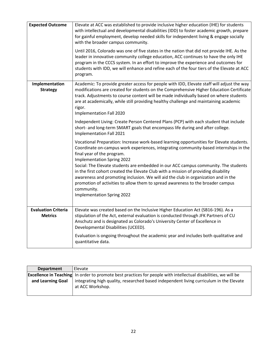| <b>Expected Outcome</b>                      | Elevate at ACC was established to provide inclusive higher education (IHE) for students<br>with intellectual and developmental disabilities (IDD) to foster academic growth, prepare<br>for gainful employment, develop needed skills for independent living & engage socially<br>with the broader campus community.                                                                                            |
|----------------------------------------------|-----------------------------------------------------------------------------------------------------------------------------------------------------------------------------------------------------------------------------------------------------------------------------------------------------------------------------------------------------------------------------------------------------------------|
|                                              | Until 2016, Colorado was one of five states in the nation that did not provide IHE. As the<br>leader in innovative community college education, ACC continues to have the only IHE<br>program in the CCCS system. In an effort to improve the experience and outcomes for<br>students with IDD, we will enhance and refine each of the four tiers of the Elevate at ACC<br>program.                             |
| Implementation<br><b>Strategy</b>            | Academic: To provide greater access for people with IDD, Elevate staff will adjust the way<br>modifications are created for students on the Comprehensive Higher Education Certificate<br>track. Adjustments to course content will be made individually based on where students<br>are at academically, while still providing healthy challenge and maintaining academic<br>rigor.<br>Implementation Fall 2020 |
|                                              | Independent Living: Create Person Centered Plans (PCP) with each student that include<br>short- and long-term SMART goals that encompass life during and after college.<br>Implementation Fall 2021                                                                                                                                                                                                             |
|                                              | Vocational Preparation: Increase work-based learning opportunities for Elevate students.<br>Coordinate on-campus work experiences, integrating community-based internships in the<br>final year of the program.<br><b>Implementation Spring 2022</b><br>Social: The Elevate students are embedded in our ACC campus community. The students                                                                     |
|                                              | in the first cohort created the Elevate Club with a mission of providing disability<br>awareness and promoting inclusion. We will aid the club in organization and in the<br>promotion of activities to allow them to spread awareness to the broader campus<br>community.<br><b>Implementation Spring 2022</b>                                                                                                 |
| <b>Evaluation Criteria</b><br><b>Metrics</b> | Elevate was created based on the Inclusive Higher Education Act (SB16-196). As a<br>stipulation of the Act, external evaluation is conducted through JFK Partners of CU<br>Anschutz and is designated as Colorado's University Center of Excellence in                                                                                                                                                          |
|                                              | Developmental Disabilities (UCEED).<br>Evaluation is ongoing throughout the academic year and includes both qualitative and                                                                                                                                                                                                                                                                                     |
|                                              | quantitative data.                                                                                                                                                                                                                                                                                                                                                                                              |

| <b>Department</b> | Elevate                                                                                                                |
|-------------------|------------------------------------------------------------------------------------------------------------------------|
|                   | <b>Excellence in Teaching</b> In order to promote best practices for people with intellectual disabilities, we will be |
| and Learning Goal | integrating high quality, researched based independent living curriculum in the Elevate                                |
|                   | at ACC Workshop.                                                                                                       |
|                   |                                                                                                                        |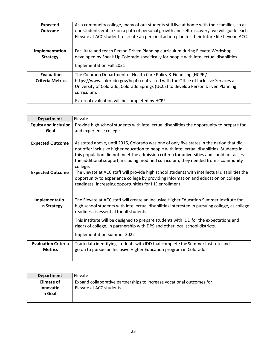| <b>Expected</b><br><b>Outcome</b>     | As a community college, many of our students still live at home with their families, so as<br>our students embark on a path of personal growth and self-discovery, we will guide each<br>Elevate at ACC student to create an personal action plan for their future life beyond ACC.                          |
|---------------------------------------|--------------------------------------------------------------------------------------------------------------------------------------------------------------------------------------------------------------------------------------------------------------------------------------------------------------|
| Implementation<br><b>Strategy</b>     | Facilitate and teach Person Driven Planning curriculum during Elevate Workshop,<br>developed by Speak Up Colorado specifically for people with intellectual disabilities.<br>Implementation Fall 2021                                                                                                        |
| Evaluation<br><b>Criteria Metrics</b> | The Colorado Department of Health Care Policy & Financing (HCPF/<br>https://www.colorado.gov/hcpf) contracted with the Office of Inclusive Services at<br>University of Colorado, Colorado Springs (UCCS) to develop Person Driven Planning<br>curriculum.<br>External evaluation will be completed by HCPF. |

| <b>Department</b>                            | Elevate                                                                                                                                                                                                                                                                                                                                                                                |
|----------------------------------------------|----------------------------------------------------------------------------------------------------------------------------------------------------------------------------------------------------------------------------------------------------------------------------------------------------------------------------------------------------------------------------------------|
| <b>Equity and Inclusion</b>                  | Provide high school students with intellectual disabilities the opportunity to prepare for                                                                                                                                                                                                                                                                                             |
| Goal                                         | and experience college.                                                                                                                                                                                                                                                                                                                                                                |
|                                              |                                                                                                                                                                                                                                                                                                                                                                                        |
| <b>Expected Outcome</b>                      | As stated above, until 2016, Colorado was one of only five states in the nation that did<br>not offer inclusive higher education to people with intellectual disabilities. Students in<br>this population did not meet the admission criteria for universities and could not access<br>the additional support, including modified curriculum, they needed from a community<br>college. |
| <b>Expected Outcome</b>                      | The Elevate at ACC staff will provide high school students with intellectual disabilities the<br>opportunity to experience college by providing information and education on college<br>readiness, increasing opportunities for IHE enrollment.                                                                                                                                        |
| Implementatio<br>n Strategy                  | The Elevate at ACC staff will create an Inclusive Higher Education Summer Institute for<br>high school students with intellectual disabilities interested in pursuing college, as college<br>readiness is essential for all students.                                                                                                                                                  |
|                                              | This institute will be designed to prepare students with IDD for the expectations and<br>rigors of college, in partnership with DPS and other local school districts.                                                                                                                                                                                                                  |
|                                              | <b>Implementation Summer 2022</b>                                                                                                                                                                                                                                                                                                                                                      |
| <b>Evaluation Criteria</b><br><b>Metrics</b> | Track data identifying students with IDD that complete the Summer Institute and<br>go on to pursue an Inclusive Higher Education program in Colorado.                                                                                                                                                                                                                                  |

| <b>Department</b> | Elevate                                                               |
|-------------------|-----------------------------------------------------------------------|
| <b>Climate of</b> | Expand collaborative partnerships to increase vocational outcomes for |
| <b>Innovatio</b>  | Elevate at ACC students.                                              |
| n Goal            |                                                                       |
|                   |                                                                       |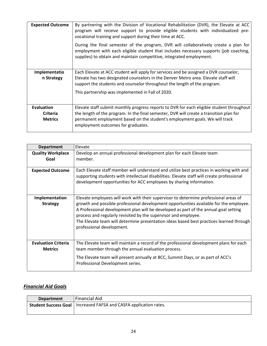| <b>Expected Outcome</b>                                | By partnering with the Division of Vocational Rehabilitation (DVR), the Elevate at ACC<br>program will receive support to provide eligible students with individualized pre-<br>vocational training and support during their time at ACC.                                                                 |
|--------------------------------------------------------|-----------------------------------------------------------------------------------------------------------------------------------------------------------------------------------------------------------------------------------------------------------------------------------------------------------|
|                                                        | During the final semester of the program, DVR will collaboratively create a plan for<br>employment with each eligible student that includes necessary supports (job coaching,<br>supplies) to obtain and maintain competitive, integrated employment.                                                     |
| Implementatio<br>n Strategy                            | Each Elevate at ACC student will apply for services and be assigned a DVR counselor,<br>Elevate has two designated counselors in the Denver Metro area. Elevate staff will<br>support the students and counselor throughout the length of the program.                                                    |
|                                                        | This partnership was implemented in Fall of 2020.                                                                                                                                                                                                                                                         |
| <b>Evaluation</b><br><b>Criteria</b><br><b>Metrics</b> | Elevate staff submit monthly progress reports to DVR for each eligible student throughout<br>the length of the program. In the final semester, DVR will create a transition plan for<br>permanent employment based on the student's employment goals. We will track<br>employment outcomes for graduates. |

| <b>Department</b>                            | Elevate                                                                                                                                                                                                                                                                                                                                                                                                                                                           |
|----------------------------------------------|-------------------------------------------------------------------------------------------------------------------------------------------------------------------------------------------------------------------------------------------------------------------------------------------------------------------------------------------------------------------------------------------------------------------------------------------------------------------|
| <b>Quality Workplace</b>                     | Develop an annual professional development plan for each Elevate team                                                                                                                                                                                                                                                                                                                                                                                             |
| Goal                                         | member.                                                                                                                                                                                                                                                                                                                                                                                                                                                           |
| <b>Expected Outcome</b>                      | Each Elevate staff member will understand and utilize best practices in working with and<br>supporting students with intellectual disabilities. Elevate staff will create professional<br>development opportunities for ACC employees by sharing information.                                                                                                                                                                                                     |
| Implementation<br><b>Strategy</b>            | Elevate employees will work with their supervisor to determine professional areas of<br>growth and possible professional development opportunities available for the employee.<br>A Professional development plan will be developed as part of the annual goal setting<br>process and regularly revisited by the supervisor and employee.<br>The Elevate team will determine presentation ideas based best practices learned through<br>professional development. |
| <b>Evaluation Criteria</b><br><b>Metrics</b> | The Elevate team will maintain a record of the professional development plans for each<br>team member through the annual evaluation process.<br>The Elevate team will present annually at BCC, Summit Days, or as part of ACC's<br>Professional Development series.                                                                                                                                                                                               |

## *Financial Aid Goals*

| <b>Department</b> | <b>Financial Aid</b>                                                       |
|-------------------|----------------------------------------------------------------------------|
|                   | <b>Student Success Goal</b>   Increased FAFSA and CASFA application rates. |
|                   |                                                                            |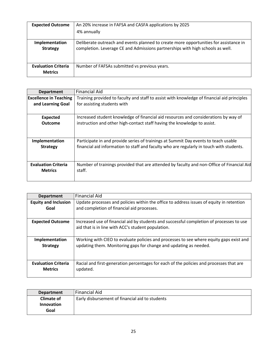| <b>Expected Outcome</b>                      | An 20% increase in FAFSA and CASFA applications by 2025                                                                                                                 |
|----------------------------------------------|-------------------------------------------------------------------------------------------------------------------------------------------------------------------------|
|                                              | 4% annually                                                                                                                                                             |
| Implementation<br><b>Strategy</b>            | Deliberate outreach and events planned to create more opportunities for assistance in<br>completion. Leverage CE and Admissions partnerships with high schools as well. |
| <b>Evaluation Criteria</b><br><b>Metrics</b> | Number of FAFSAs submitted vs previous years.                                                                                                                           |

| <b>Department</b>             | <b>Financial Aid</b>                                                                        |
|-------------------------------|---------------------------------------------------------------------------------------------|
| <b>Excellence in Teaching</b> | Training provided to faculty and staff to assist with knowledge of financial aid principles |
| and Learning Goal             | for assisting students with                                                                 |
|                               |                                                                                             |
| <b>Expected</b>               | Increased student knowledge of financial aid resources and considerations by way of         |
| <b>Outcome</b>                | instruction and other high-contact staff having the knowledge to assist.                    |
| Implementation                | Participate in and provide series of trainings at Summit Day events to teach usable         |
| <b>Strategy</b>               | financial aid information to staff and faculty who are regularly in touch with students.    |
| <b>Evaluation Criteria</b>    | Number of trainings provided that are attended by faculty and non-Office of Financial Aid   |
| <b>Metrics</b>                | staff.                                                                                      |

| <b>Department</b>           | <b>Financial Aid</b>                                                                     |
|-----------------------------|------------------------------------------------------------------------------------------|
| <b>Equity and Inclusion</b> | Update processes and policies within the office to address issues of equity in retention |
| Goal                        | and completion of financial aid processes.                                               |
|                             |                                                                                          |
| <b>Expected Outcome</b>     | Increased use of financial aid by students and successful completion of processes to use |
|                             | aid that is in line with ACC's student population.                                       |
|                             |                                                                                          |
| Implementation              | Working with CIEO to evaluate policies and processes to see where equity gaps exist and  |
| <b>Strategy</b>             | updating them. Monitoring gaps for change and updating as needed.                        |
|                             |                                                                                          |
|                             |                                                                                          |
| <b>Evaluation Criteria</b>  | Racial and first-generation percentages for each of the policies and processes that are  |
| <b>Metrics</b>              | updated.                                                                                 |
|                             |                                                                                          |

| <b>Department</b> | Financial Aid                                   |
|-------------------|-------------------------------------------------|
| <b>Climate of</b> | Early disbursement of financial aid to students |
| <b>Innovation</b> |                                                 |
| Goal              |                                                 |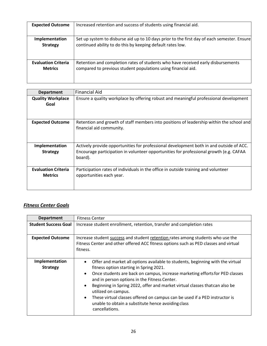| <b>Expected Outcome</b>    | Increased retention and success of students using financial aid.                            |
|----------------------------|---------------------------------------------------------------------------------------------|
| Implementation             | Set up system to disburse aid up to 10 days prior to the first day of each semester. Ensure |
| <b>Strategy</b>            | continued ability to do this by keeping default rates low.                                  |
| <b>Evaluation Criteria</b> | Retention and completion rates of students who have received early disbursements            |
| <b>Metrics</b>             | compared to previous student populations using financial aid.                               |

| <b>Department</b>                            | Financial Aid                                                                                                                                                                                |
|----------------------------------------------|----------------------------------------------------------------------------------------------------------------------------------------------------------------------------------------------|
| <b>Quality Workplace</b>                     | Ensure a quality workplace by offering robust and meaningful professional development                                                                                                        |
| Goal                                         |                                                                                                                                                                                              |
|                                              |                                                                                                                                                                                              |
| <b>Expected Outcome</b>                      | Retention and growth of staff members into positions of leadership within the school and<br>financial aid community.                                                                         |
| Implementation<br><b>Strategy</b>            | Actively provide opportunities for professional development both in and outside of ACC.<br>Encourage participation in volunteer opportunities for professional growth (e.g. CAFAA<br>board). |
| <b>Evaluation Criteria</b><br><b>Metrics</b> | Participation rates of individuals in the office in outside training and volunteer<br>opportunities each year.                                                                               |

## *Fitness Center Goals*

| <b>Department</b>                 | <b>Fitness Center</b>                                                                                                                                                                                                                                                                                                                                                                                                                                                                                                                                        |
|-----------------------------------|--------------------------------------------------------------------------------------------------------------------------------------------------------------------------------------------------------------------------------------------------------------------------------------------------------------------------------------------------------------------------------------------------------------------------------------------------------------------------------------------------------------------------------------------------------------|
| <b>Student Success Goal</b>       | Increase student enrollment, retention, transfer and completion rates                                                                                                                                                                                                                                                                                                                                                                                                                                                                                        |
| <b>Expected Outcome</b>           | Increase student success and student retention rates among students who use the<br>Fitness Center and other offered ACC fitness options such as PED classes and virtual<br>fitness.                                                                                                                                                                                                                                                                                                                                                                          |
| Implementation<br><b>Strategy</b> | Offer and market all options available to students, beginning with the virtual<br>$\bullet$<br>fitness option starting in Spring 2021.<br>Once students are back on campus, increase marketing efforts for PED classes<br>$\bullet$<br>and in person options in the Fitness Center.<br>Beginning in Spring 2022, offer and market virtual classes that can also be<br>utilized on campus.<br>These virtual classes offered on campus can be used if a PED instructor is<br>$\bullet$<br>unable to obtain a substitute hence avoiding class<br>cancellations. |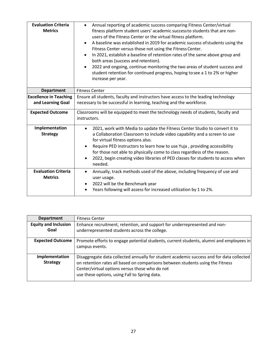| <b>Evaluation Criteria</b><br><b>Metrics</b> | Annual reporting of academic success comparing Fitness Center/virtual<br>$\bullet$<br>fitness platform student users' academic success to students that are non-<br>users of the Fitness Center or the virtual fitness platform.<br>A baseline was established in 2019 for academic success of students using the<br>$\bullet$<br>Fitness Center versus those not using the Fitness Center.<br>In 2021, establish a baseline of retention rates of the same above group and<br>$\bullet$<br>both areas (success and retention).<br>2022 and ongoing, continue monitoring the two areas of student success and<br>$\bullet$<br>student retention for continued progress, hoping to see a 1 to 2% or higher<br>increase per year. |
|----------------------------------------------|---------------------------------------------------------------------------------------------------------------------------------------------------------------------------------------------------------------------------------------------------------------------------------------------------------------------------------------------------------------------------------------------------------------------------------------------------------------------------------------------------------------------------------------------------------------------------------------------------------------------------------------------------------------------------------------------------------------------------------|
| <b>Department</b>                            | <b>Fitness Center</b>                                                                                                                                                                                                                                                                                                                                                                                                                                                                                                                                                                                                                                                                                                           |
| <b>Excellence in Teaching</b>                | Ensure all students, faculty and instructors have access to the leading technology                                                                                                                                                                                                                                                                                                                                                                                                                                                                                                                                                                                                                                              |
| and Learning Goal                            | necessary to be successful in learning, teaching and the workforce.                                                                                                                                                                                                                                                                                                                                                                                                                                                                                                                                                                                                                                                             |
| <b>Expected Outcome</b>                      | Classrooms will be equipped to meet the technology needs of students, faculty and<br>instructors.                                                                                                                                                                                                                                                                                                                                                                                                                                                                                                                                                                                                                               |
| Implementation                               | 2021, work with Media to update the Fitness Center Studio to convert it to                                                                                                                                                                                                                                                                                                                                                                                                                                                                                                                                                                                                                                                      |
| <b>Strategy</b>                              | a Collaboration Classroom to include video capability and a screen to use<br>for virtual fitness options also.                                                                                                                                                                                                                                                                                                                                                                                                                                                                                                                                                                                                                  |
|                                              | Require PED instructors to learn how to use Yuja, providing accessibility                                                                                                                                                                                                                                                                                                                                                                                                                                                                                                                                                                                                                                                       |
|                                              | for those not able to physically come to class regardless of the reason.                                                                                                                                                                                                                                                                                                                                                                                                                                                                                                                                                                                                                                                        |
|                                              | 2022, begin creating video libraries of PED classes for students to access when<br>needed.                                                                                                                                                                                                                                                                                                                                                                                                                                                                                                                                                                                                                                      |
| <b>Evaluation Criteria</b>                   | Annually, track methods used of the above, including frequency of use and<br>$\bullet$                                                                                                                                                                                                                                                                                                                                                                                                                                                                                                                                                                                                                                          |
| <b>Metrics</b>                               | user usage.                                                                                                                                                                                                                                                                                                                                                                                                                                                                                                                                                                                                                                                                                                                     |
|                                              | 2022 will be the Benchmark year                                                                                                                                                                                                                                                                                                                                                                                                                                                                                                                                                                                                                                                                                                 |
|                                              | Years following will assess for increased utilization by 1 to 2%.                                                                                                                                                                                                                                                                                                                                                                                                                                                                                                                                                                                                                                                               |

| <b>Department</b>                   | <b>Fitness Center</b>                                                                                                                                                                                                                                                         |
|-------------------------------------|-------------------------------------------------------------------------------------------------------------------------------------------------------------------------------------------------------------------------------------------------------------------------------|
| <b>Equity and Inclusion</b><br>Goal | Enhance recruitment, retention, and support for underrepresented and non-<br>underrepresented students across the college.                                                                                                                                                    |
| <b>Expected Outcome</b>             | Promote efforts to engage potential students, current students, alumni and employees in<br>campus events.                                                                                                                                                                     |
| Implementation<br><b>Strategy</b>   | Disaggregate data collected annually for student academic success and for data collected<br>on retention rates all based on comparisons between students using the Fitness<br>Center/virtual options versus those who do not<br>use these options, using Fall to Spring data. |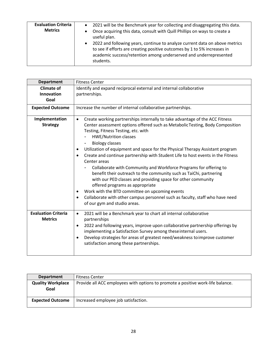| <b>Evaluation Criteria</b><br><b>Metrics</b> | 2021 will be the Benchmark year for collecting and disaggregating this data.<br>$\bullet$<br>Once acquiring this data, consult with Quill Phillips on ways to create a<br>$\bullet$<br>useful plan.<br>2022 and following years, continue to analyze current data on above metrics<br>$\bullet$<br>to see if efforts are creating positive outcomes by 1 to 5% increases in<br>academic success/retention among underserved and underrepresented<br>students. |
|----------------------------------------------|---------------------------------------------------------------------------------------------------------------------------------------------------------------------------------------------------------------------------------------------------------------------------------------------------------------------------------------------------------------------------------------------------------------------------------------------------------------|
|----------------------------------------------|---------------------------------------------------------------------------------------------------------------------------------------------------------------------------------------------------------------------------------------------------------------------------------------------------------------------------------------------------------------------------------------------------------------------------------------------------------------|

| <b>Department</b>                            | <b>Fitness Center</b>                                                                                                                                                                                                                                                                                                                                                                                                                                                                                                                                                                                                      |
|----------------------------------------------|----------------------------------------------------------------------------------------------------------------------------------------------------------------------------------------------------------------------------------------------------------------------------------------------------------------------------------------------------------------------------------------------------------------------------------------------------------------------------------------------------------------------------------------------------------------------------------------------------------------------------|
| <b>Climate of</b>                            | Identify and expand reciprocal external and internal collaborative                                                                                                                                                                                                                                                                                                                                                                                                                                                                                                                                                         |
| Innovation                                   | partnerships.                                                                                                                                                                                                                                                                                                                                                                                                                                                                                                                                                                                                              |
| Goal                                         |                                                                                                                                                                                                                                                                                                                                                                                                                                                                                                                                                                                                                            |
| <b>Expected Outcome</b>                      | Increase the number of internal collaborative partnerships.                                                                                                                                                                                                                                                                                                                                                                                                                                                                                                                                                                |
| Implementation                               | Create working partnerships internally to take advantage of the ACC Fitness<br>$\bullet$                                                                                                                                                                                                                                                                                                                                                                                                                                                                                                                                   |
| <b>Strategy</b>                              | Center assessment options offered such as Metabolic Testing, Body Composition<br>Testing, Fitness Testing, etc. with<br><b>HWE/Nutrition classes</b>                                                                                                                                                                                                                                                                                                                                                                                                                                                                       |
|                                              | <b>Biology classes</b>                                                                                                                                                                                                                                                                                                                                                                                                                                                                                                                                                                                                     |
|                                              | Utilization of equipment and space for the Physical Therapy Assistant program<br>Create and continue partnership with Student Life to host events in the Fitness<br>$\bullet$<br>Center areas<br>Collaborate with Community and Workforce Programs for offering to<br>benefit their outreach to the community such as TaiChi, partnering<br>with our PED classes and providing space for other community<br>offered programs as appropriate<br>Work with the BTD committee on upcoming events<br>Collaborate with other campus personnel such as faculty, staff who have need<br>$\bullet$<br>of our gym and studio areas. |
| <b>Evaluation Criteria</b><br><b>Metrics</b> | 2021 will be a Benchmark year to chart all internal collaborative<br>$\bullet$<br>partnerships<br>2022 and following years, improve upon collaborative partnership offerings by<br>$\bullet$<br>implementing a Satisfaction Survey among these internal users.<br>Develop strategies for areas of greatest need/weakness to improve customer<br>$\bullet$<br>satisfaction among these partnerships.                                                                                                                                                                                                                        |

| <b>Department</b>                | <b>Fitness Center</b>                                                           |
|----------------------------------|---------------------------------------------------------------------------------|
| <b>Quality Workplace</b><br>Goal | Provide all ACC employees with options to promote a positive work-life balance. |
| <b>Expected Outcome</b>          | Increased employee job satisfaction.                                            |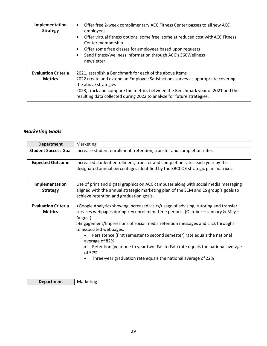| Implementation<br><b>Strategy</b>            | Offer free 2-week complimentary ACC Fitness Center passes to all new ACC<br>$\bullet$<br>employees<br>Offer virtual fitness options, some free, some at reduced cost with ACC Fitness<br>Center membership<br>Offer some free classes for employees based upon requests<br>Send fitness/wellness information through ACC's 360Wellness<br>newsletter |
|----------------------------------------------|------------------------------------------------------------------------------------------------------------------------------------------------------------------------------------------------------------------------------------------------------------------------------------------------------------------------------------------------------|
| <b>Evaluation Criteria</b><br><b>Metrics</b> | 2021, establish a Benchmark for each of the above items<br>2022 create and extend an Employee Satisfactions survey as appropriate covering<br>the above strategies<br>2023, track and compare the metrics between the Benchmark year of 2021 and the<br>resulting data collected during 2022 to analyze for future strategies.                       |

## *Marketing Goals*

| <b>Department</b>                            | Marketing                                                                                                                                                                                                                                                                                                                                                                                                                                                                                                                                                  |
|----------------------------------------------|------------------------------------------------------------------------------------------------------------------------------------------------------------------------------------------------------------------------------------------------------------------------------------------------------------------------------------------------------------------------------------------------------------------------------------------------------------------------------------------------------------------------------------------------------------|
| <b>Student Success Goal</b>                  | Increase student enrollment, retention, transfer and completion rates.                                                                                                                                                                                                                                                                                                                                                                                                                                                                                     |
| <b>Expected Outcome</b>                      | Increased student enrollment, transfer and completion rates each year by the<br>designated annual percentages identified by the SBCCOE strategic plan matrixes.                                                                                                                                                                                                                                                                                                                                                                                            |
| Implementation<br><b>Strategy</b>            | Use of print and digital graphics on ACC campuses along with social media messaging<br>aligned with the annual strategic marketing plan of the SEM and ES group's goals to<br>achieve retention and graduation goals.                                                                                                                                                                                                                                                                                                                                      |
| <b>Evaluation Criteria</b><br><b>Metrics</b> | >Google Analytics showing increased visits/usage of advising, tutoring and transfer<br>services webpages during key enrollment time periods. (October – January & May –<br>August)<br>>Engagement/Impressions of social media retention messages and click throughs<br>to associated webpages.<br>Persistence (first semester to second semester) rate equals the national<br>average of 82%<br>Retention (year one to year two; Fall to Fall) rate equals the national average<br>of 57%<br>Three-year graduation rate equals the national average of 22% |

| M |
|---|
|   |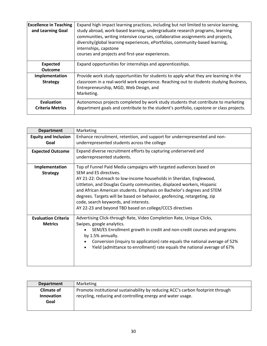| <b>Excellence in Teaching</b><br>and Learning Goal | Expand high impact learning practices, including but not limited to service learning,<br>study abroad, work-based learning, undergraduate research programs, learning<br>communities, writing intensive courses, collaborative assignments and projects,<br>diversity/global learning experiences, ePortfolios, community-based learning,<br>internships, capstone<br>courses and projects and first-year experiences. |
|----------------------------------------------------|------------------------------------------------------------------------------------------------------------------------------------------------------------------------------------------------------------------------------------------------------------------------------------------------------------------------------------------------------------------------------------------------------------------------|
| <b>Expected</b>                                    | Expand opportunities for internships and apprenticeships.                                                                                                                                                                                                                                                                                                                                                              |
| <b>Outcome</b>                                     |                                                                                                                                                                                                                                                                                                                                                                                                                        |
| Implementation                                     | Provide work study opportunities for students to apply what they are learning in the                                                                                                                                                                                                                                                                                                                                   |
| <b>Strategy</b>                                    | classroom in a real-world work experience. Reaching out to students studying Business,<br>Entrepreneurship, MGD, Web Design, and                                                                                                                                                                                                                                                                                       |
|                                                    | Marketing.                                                                                                                                                                                                                                                                                                                                                                                                             |
|                                                    |                                                                                                                                                                                                                                                                                                                                                                                                                        |
| Evaluation                                         | Autonomous projects completed by work study students that contribute to marketing                                                                                                                                                                                                                                                                                                                                      |
| <b>Criteria Metrics</b>                            | department goals and contribute to the student's portfolio, capstone or class projects.                                                                                                                                                                                                                                                                                                                                |

| <b>Department</b>                            | Marketing                                                                                                                                                                                                                                                                                                                                                                                                                                                                                                 |
|----------------------------------------------|-----------------------------------------------------------------------------------------------------------------------------------------------------------------------------------------------------------------------------------------------------------------------------------------------------------------------------------------------------------------------------------------------------------------------------------------------------------------------------------------------------------|
| <b>Equity and Inclusion</b><br>Goal          | Enhance recruitment, retention, and support for underrepresented and non-<br>underrepresented students across the college                                                                                                                                                                                                                                                                                                                                                                                 |
| <b>Expected Outcome</b>                      | Expand diverse recruitment efforts by capturing underserved and<br>underrepresented students.                                                                                                                                                                                                                                                                                                                                                                                                             |
| Implementation<br><b>Strategy</b>            | Top of Funnel Paid Media campaigns with targeted audiences based on<br>SEM and ES directives.<br>AY 21-22: Outreach to low-income households in Sheridan, Englewood,<br>Littleton, and Douglas County communities, displaced workers, Hispanic<br>and African American students. Emphasis on Bachelor's degrees and STEM<br>degrees. Targets will be based on behavior, geofencing, retargeting, zip<br>code, search keywords, and interests.<br>AY 22-23 and beyond TBD based on college/CCCS directives |
| <b>Evaluation Criteria</b><br><b>Metrics</b> | Advertising Click-through Rate, Video Completion Rate, Unique Clicks,<br>Swipes, google analytics.<br>SEM/ES Enrollment growth in credit and non-credit courses and programs<br>by 1.5% annually.<br>Conversion (inquiry to application) rate equals the national average of 52%<br>Yield (admittance to enrollment) rate equals the national average of 67%<br>$\bullet$                                                                                                                                 |

| <b>Department</b> | Marketing                                                                       |
|-------------------|---------------------------------------------------------------------------------|
| <b>Climate of</b> | Promote institutional sustainability by reducing ACC's carbon footprint through |
| <b>Innovation</b> | recycling, reducing and controlling energy and water usage.                     |
| Goal              |                                                                                 |
|                   |                                                                                 |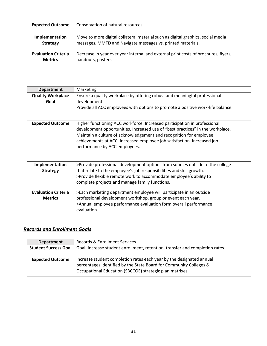| <b>Expected Outcome</b>    | Conservation of natural resources.                                                 |
|----------------------------|------------------------------------------------------------------------------------|
| Implementation             | Move to more digital collateral material such as digital graphics, social media    |
| <b>Strategy</b>            | messages, MMTD and Navigate messages vs. printed materials.                        |
| <b>Evaluation Criteria</b> | Decrease in year over year internal and external print costs of brochures, flyers, |
| <b>Metrics</b>             | handouts, posters.                                                                 |

| <b>Department</b>                            | Marketing                                                                                                                                                                                                                                                                                                                                     |
|----------------------------------------------|-----------------------------------------------------------------------------------------------------------------------------------------------------------------------------------------------------------------------------------------------------------------------------------------------------------------------------------------------|
| <b>Quality Workplace</b><br>Goal             | Ensure a quality workplace by offering robust and meaningful professional<br>development<br>Provide all ACC employees with options to promote a positive work-life balance.                                                                                                                                                                   |
| <b>Expected Outcome</b>                      | Higher functioning ACC workforce. Increased participation in professional<br>development opportunities. Increased use of "best practices" in the workplace.<br>Maintain a culture of acknowledgement and recognition for employee<br>achievements at ACC. Increased employee job satisfaction. Increased job<br>performance by ACC employees. |
| Implementation<br><b>Strategy</b>            | >Provide professional development options from sources outside of the college<br>that relate to the employee's job responsibilities and skill growth.<br>>Provide flexible remote work to accommodate employee's ability to<br>complete projects and manage family functions.                                                                 |
| <b>Evaluation Criteria</b><br><b>Metrics</b> | >Each marketing department employee will participate in an outside<br>professional development workshop, group or event each year.<br>>Annual employee performance evaluation form overall performance<br>evaluation.                                                                                                                         |

## *Records and Enrollment Goals*

| <b>Department</b>           | Records & Enrollment Services                                                                                                                                                                          |
|-----------------------------|--------------------------------------------------------------------------------------------------------------------------------------------------------------------------------------------------------|
| <b>Student Success Goal</b> | Goal: Increase student enrollment, retention, transfer and completion rates.                                                                                                                           |
| <b>Expected Outcome</b>     | Increase student completion rates each year by the designated annual<br>percentages identified by the State Board for Community Colleges &<br>Occupational Education (SBCCOE) strategic plan matrixes. |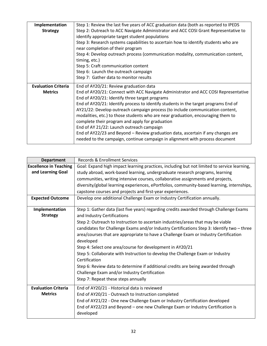| Implementation             | Step 1: Review the last five years of ACC graduation data (both as reported to IPEDS |
|----------------------------|--------------------------------------------------------------------------------------|
| <b>Strategy</b>            | Step 2: Outreach to ACC Navigate Administrator and ACC COSI Grant Representative to  |
|                            | identify appropriate target student populations                                      |
|                            | Step 3: Research systems capabilities to ascertain how to identify students who are  |
|                            | near completion of their program                                                     |
|                            | Step 4: Develop outreach process (communication modality, communication content,     |
|                            | timing, etc.)                                                                        |
|                            | Step 5: Craft communication content                                                  |
|                            | Step 6: Launch the outreach campaign                                                 |
|                            | Step 7: Gather data to monitor results                                               |
| <b>Evaluation Criteria</b> | End of AY20/21: Review graduation data                                               |
| <b>Metrics</b>             | End of AY20/21: Connect with ACC Navigate Administrator and ACC COSI Representative  |
|                            | End of AY20/21: Identify three target programs                                       |
|                            | End of AY20/21: Identify process to identify students in the target programs End of  |
|                            | AY21/22: Develop outreach campaign process (to include communication content,        |
|                            | modalities, etc.) to those students who are near graduation, encouraging them to     |
|                            | complete their program and apply for graduation                                      |
|                            | End of AY 21/22: Launch outreach campaign                                            |
|                            | End of AY22/23 and Beyond - Review graduation data, ascertain if any changes are     |
|                            | needed to the campaign, continue campaign in alignment with process document         |

| <b>Department</b>             | <b>Records &amp; Enrollment Services</b>                                                    |
|-------------------------------|---------------------------------------------------------------------------------------------|
| <b>Excellence in Teaching</b> | Goal: Expand high impact learning practices, including but not limited to service learning, |
| and Learning Goal             | study abroad, work-based learning, undergraduate research programs, learning                |
|                               | communities, writing intensive courses, collaborative assignments and projects,             |
|                               | diversity/global learning experiences, ePortfolios, community-based learning, internships,  |
|                               | capstone courses and projects and first-year experiences.                                   |
| <b>Expected Outcome</b>       | Develop one additional Challenge Exam or Industry Certification annually.                   |
| Implementation                | Step 1: Gather data (last five years) regarding credits awarded through Challenge Exams     |
| <b>Strategy</b>               | and Industry Certifications                                                                 |
|                               | Step 2: Outreach to Instruction to ascertain industries/areas that may be viable            |
|                               | candidates for Challenge Exams and/or Industry Certifications Step 3: Identify two - three  |
|                               | area/courses that are appropriate to have a Challenge Exam or Industry Certification        |
|                               | developed                                                                                   |
|                               | Step 4: Select one area/course for development in AY20/21                                   |
|                               | Step 5: Collaborate with Instruction to develop the Challenge Exam or Industry              |
|                               | Certification                                                                               |
|                               | Step 6: Review data to determine if additional credits are being awarded through            |
|                               | Challenge Exam and/or Industry Certification                                                |
|                               | Step 7: Repeat these steps annually                                                         |
| <b>Evaluation Criteria</b>    | End of AY20/21 - Historical data is reviewed                                                |
| <b>Metrics</b>                | End of AY20/21 - Outreach to Instruction completed                                          |
|                               | End of AY21/22 - One new Challenge Exam or Industry Certification developed                 |
|                               | End of AY22/23 and Beyond - one new Challenge Exam or Industry Certification is             |
|                               | developed                                                                                   |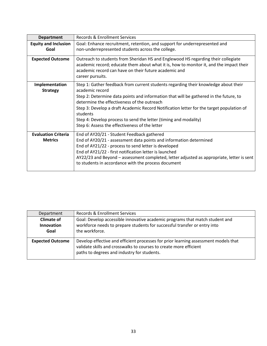| <b>Department</b>                            | Records & Enrollment Services                                                                                                                                                                                                                                                                                                                                                                                                                                                |
|----------------------------------------------|------------------------------------------------------------------------------------------------------------------------------------------------------------------------------------------------------------------------------------------------------------------------------------------------------------------------------------------------------------------------------------------------------------------------------------------------------------------------------|
| <b>Equity and Inclusion</b><br>Goal          | Goal: Enhance recruitment, retention, and support for underrepresented and<br>non-underrepresented students across the college.                                                                                                                                                                                                                                                                                                                                              |
| <b>Expected Outcome</b>                      | Outreach to students from Sheridan HS and Englewood HS regarding their collegiate<br>academic record; educate them about what it is, how to monitor it, and the impact their<br>academic record can have on their future academic and<br>career pursuits.                                                                                                                                                                                                                    |
| Implementation<br><b>Strategy</b>            | Step 1: Gather feedback from current students regarding their knowledge about their<br>academic record<br>Step 2: Determine data points and information that will be gathered in the future, to<br>determine the effectiveness of the outreach<br>Step 3: Develop a draft Academic Record Notification letter for the target population of<br>students<br>Step 4: Develop process to send the letter (timing and modality)<br>Step 6: Assess the effectiveness of the letter |
| <b>Evaluation Criteria</b><br><b>Metrics</b> | End of AY20/21 - Student Feedback gathered<br>End of AY20/21 - assessment data points and information determined<br>End of AY21/22 - process to send letter is developed<br>End of AY21/22 - first notification letter is launched<br>AY22/23 and Beyond - assessment completed, letter adjusted as appropriate, letter is sent<br>to students in accordance with the process document                                                                                       |

| Department                                     | <b>Records &amp; Enrollment Services</b>                                                                                                                                                                 |
|------------------------------------------------|----------------------------------------------------------------------------------------------------------------------------------------------------------------------------------------------------------|
| <b>Climate of</b><br><b>Innovation</b><br>Goal | Goal: Develop accessible innovative academic programs that match student and<br>workforce needs to prepare students for successful transfer or entry into<br>the workforce.                              |
| <b>Expected Outcome</b>                        | Develop effective and efficient processes for prior learning assessment models that<br>validate skills and crosswalks to courses to create more efficient<br>paths to degrees and industry for students. |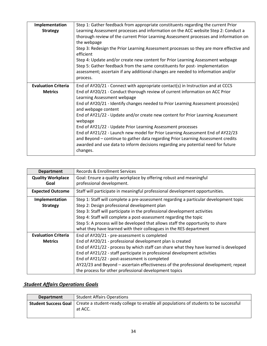| Implementation                               | Step 1: Gather feedback from appropriate constituents regarding the current Prior                                                                                                                                                                                                                                                                                                                                                                                                                                                                                                                                                                                                                                                             |
|----------------------------------------------|-----------------------------------------------------------------------------------------------------------------------------------------------------------------------------------------------------------------------------------------------------------------------------------------------------------------------------------------------------------------------------------------------------------------------------------------------------------------------------------------------------------------------------------------------------------------------------------------------------------------------------------------------------------------------------------------------------------------------------------------------|
| <b>Strategy</b>                              | Learning Assessment processes and information on the ACC website Step 2: Conduct a<br>thorough review of the current Prior Learning Assessment processes and information on<br>the webpage<br>Step 3: Redesign the Prior Learning Assessment processes so they are more effective and<br>efficient<br>Step 4: Update and/or create new content for Prior Learning Assessment webpage<br>Step 5: Gather feedback from the same constituents for post-implementation<br>assessment; ascertain if any additional changes are needed to information and/or<br>process.                                                                                                                                                                            |
| <b>Evaluation Criteria</b><br><b>Metrics</b> | End of AY20/21 - Connect with appropriate contact(s) in Instruction and at CCCS<br>End of AY20/21 - Conduct thorough review of current information on ACC Prior<br>Learning Assessment webpage<br>End of AY20/21 - Identify changes needed to Prior Learning Assessment process(es)<br>and webpage content<br>End of AY21/22 - Update and/or create new content for Prior Learning Assessment<br>webpage<br>End of AY21/22 - Update Prior Learning Assessment processes<br>End of AY21/22 - Launch new model for Prior Learning Assessment End of AY22/23<br>and Beyond - continue to gather data regarding Prior Learning Assessment credits<br>awarded and use data to inform decisions regarding any potential need for future<br>changes. |

| <b>Department</b>                            | Records & Enrollment Services                                                                                                                                                                                                                                                                                                                                                                                                                                                     |
|----------------------------------------------|-----------------------------------------------------------------------------------------------------------------------------------------------------------------------------------------------------------------------------------------------------------------------------------------------------------------------------------------------------------------------------------------------------------------------------------------------------------------------------------|
| <b>Quality Workplace</b><br>Goal             | Goal: Ensure a quality workplace by offering robust and meaningful<br>professional development.                                                                                                                                                                                                                                                                                                                                                                                   |
| <b>Expected Outcome</b>                      | Staff will participate in meaningful professional development opportunities.                                                                                                                                                                                                                                                                                                                                                                                                      |
| Implementation<br><b>Strategy</b>            | Step 1: Staff will complete a pre-assessment regarding a particular development topic<br>Step 2: Design professional development plan<br>Step 3: Staff will participate in the professional development activities<br>Step 4: Staff will complete a post-assessment regarding the topic<br>Step 5: A process will be developed that allows staff the opportunity to share<br>what they have learned with their colleagues in the RES department                                   |
| <b>Evaluation Criteria</b><br><b>Metrics</b> | End of AY20/21 - pre-assessment is completed<br>End of AY20/21 - professional development plan is created<br>End of AY21/22 - process by which staff can share what they have learned is developed<br>End of AY21/22 - staff participate in professional development activities<br>End of AY21/22 - post-assessment is completed<br>AY22/23 and Beyond - ascertain effectiveness of the professional development; repeat<br>the process for other professional development topics |

## *Student Affairs Operations Goals*

| <b>Department</b> | <b>Student Affairs Operations</b>                                                                                              |
|-------------------|--------------------------------------------------------------------------------------------------------------------------------|
|                   | <b>Student Success Goal</b>   Create a student-ready college to enable all populations of students to be successful<br>at ACC. |
|                   |                                                                                                                                |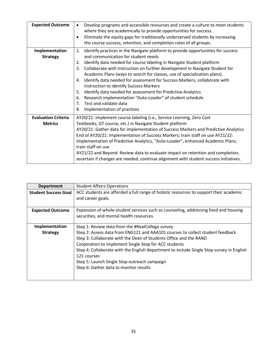| <b>Expected Outcome</b>                      | Develop programs and accessible resources and create a culture to meet students<br>$\bullet$<br>where they are academically to provide opportunities for success.<br>Eliminate the equity gaps for traditionally underserved students by increasing<br>$\bullet$<br>the course success, retention, and completion rates of all groups.                                                                                                                                                                                                                                                                                                                                                                                              |
|----------------------------------------------|-------------------------------------------------------------------------------------------------------------------------------------------------------------------------------------------------------------------------------------------------------------------------------------------------------------------------------------------------------------------------------------------------------------------------------------------------------------------------------------------------------------------------------------------------------------------------------------------------------------------------------------------------------------------------------------------------------------------------------------|
| Implementation<br><b>Strategy</b>            | 1. Identify practices in the Navigate platform to provide opportunities for success<br>and communication for student needs<br>Identify data needed for course labeling in Navigate Student platform<br>2.<br>Collaborate with Instruction on further development in Navigate Student for<br>3.<br>Academic Plans (ways to search for classes, use of specialization plans).<br>Identify data needed for assessment for Success Markers; collaborate with<br>4.<br>Instruction to identify Success Markers<br>Identify data needed for assessment for Predictive Analytics<br>5.<br>Research implementation "Auto-Loader" of student schedule<br>6.<br>Test and validate data<br>7 <sup>1</sup><br>Implementation of practices<br>8. |
| <b>Evaluation Criteria</b><br><b>Metrics</b> | AY20/21: Implement course labeling (i.e., Service Learning, Zero Cost<br>Textbooks, GT course, etc.) in Navigate Student platform<br>AY20/21: Gather data for implementation of Success Markers and Predictive Analytics<br>End of AY20/21: Implementation of Success Markers; train staff on use AY21/22:<br>Implementation of Predictive Analytics, "Auto-Loader", enhanced Academic Plans;<br>train staff on use<br>AY21/22 and Beyond: Review data to evaluate impact on retention and completion,<br>ascertain if changes are needed, continue alignment with student success initiatives.                                                                                                                                     |

| <b>Department</b>           | <b>Student Affairs Operations</b>                                                                                                                                                                                                                                                                                                                                                                                 |
|-----------------------------|-------------------------------------------------------------------------------------------------------------------------------------------------------------------------------------------------------------------------------------------------------------------------------------------------------------------------------------------------------------------------------------------------------------------|
| <b>Student Success Goal</b> | ACC students are afforded a full range of holistic resources to support their academic<br>and career goals.                                                                                                                                                                                                                                                                                                       |
| <b>Expected Outcome</b>     | Expansion of whole-student services such as counseling, addressing food and housing<br>securities, and mental health resources.                                                                                                                                                                                                                                                                                   |
| Implementation              | Step 1: Review data from the #RealCollege survey                                                                                                                                                                                                                                                                                                                                                                  |
| <b>Strategy</b>             | Step 2: Assess data from ENG121 and AAA101 courses to collect student feedback<br>Step 3: Collaborate with the Dean of Students Office and the RAND<br>Corporation to implement Single Stop for ACC students<br>Step 4: Collaborate with the English department to include Single Stop survey in English<br>121 courses<br>Step 5: Launch Single Stop outreach campaign<br>Step 6: Gather data to monitor results |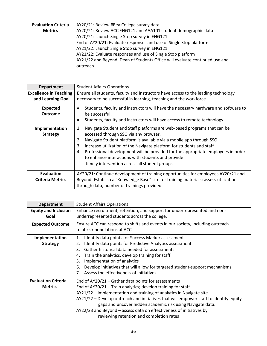| <b>Evaluation Criteria</b> | AY20/21: Review #RealCollege survey data                                    |
|----------------------------|-----------------------------------------------------------------------------|
| <b>Metrics</b>             | AY20/21: Review ACC ENG121 and AAA101 student demographic data              |
|                            | AY20/21: Launch Single Stop survey in ENG121                                |
|                            | End of AY20/21: Evaluate responses and use of Single Stop platform          |
|                            | AY21/22: Launch Single Stop survey in ENG121                                |
|                            | AY21/22: Evaluate responses and use of Single Stop platform                 |
|                            | AY21/22 and Beyond: Dean of Students Office will evaluate continued use and |
|                            | outreach.                                                                   |

| <b>Department</b>             | <b>Student Affairs Operations</b>                                                       |
|-------------------------------|-----------------------------------------------------------------------------------------|
| <b>Excellence in Teaching</b> | Ensure all students, faculty and instructors have access to the leading technology      |
| and Learning Goal             | necessary to be successful in learning, teaching and the workforce.                     |
| <b>Expected</b>               | Students, faculty and instructors will have the necessary hardware and software to<br>٠ |
| <b>Outcome</b>                | be successful.                                                                          |
|                               | Students, faculty and instructors will have access to remote technology.<br>٠           |
| Implementation                | Navigate Student and Staff platforms are web-based programs that can be<br>1.           |
| <b>Strategy</b>               | accessed through SSO via any browser.                                                   |
|                               | Navigate Student platform is available via a mobile app through SSO.<br>2.              |
|                               | Increase utilization of the Navigate platform for students and staff<br>3.              |
|                               | Professional development will be provided for the appropriate employees in order<br>4.  |
|                               | to enhance interactions with students and provide                                       |
|                               | timely intervention across all student groups                                           |
| Evaluation                    | AY20/21: Continue development of training opportunities for employees AY20/21 and       |
| <b>Criteria Metrics</b>       | Beyond: Establish a "Knowledge Base" site for training materials; assess utilization    |
|                               | through data, number of trainings provided                                              |

| <b>Department</b>           | <b>Student Affairs Operations</b>                                                     |
|-----------------------------|---------------------------------------------------------------------------------------|
| <b>Equity and Inclusion</b> | Enhance recruitment, retention, and support for underrepresented and non-             |
| Goal                        | underrepresented students across the college.                                         |
| <b>Expected Outcome</b>     | Ensure ACC can respond to shifts and events in our society, including outreach        |
|                             | to at risk populations at ACC.                                                        |
| Implementation              | Identify data points for Success Marker assessment<br>1.                              |
| <b>Strategy</b>             | Identify data points for Predictive Analytics assessment<br>2.                        |
|                             | Gather historical data needed for assessments<br>3.                                   |
|                             | Train the analytics, develop training for staff<br>4.                                 |
|                             | Implementation of analytics<br>5.                                                     |
|                             | Develop initiatives that will allow for targeted student-support mechanisms.<br>6.    |
|                             | 7. Assess the effectiveness of initiatives                                            |
| <b>Evaluation Criteria</b>  | End of AY20/21 - Gather data points for assessments                                   |
| <b>Metrics</b>              | End of AY20/21 - Train analytics; develop training for staff                          |
|                             | AY21/22 - Implementation and training of analytics in Navigate site                   |
|                             | AY21/22 - Develop outreach and initiatives that will empower staff to identify equity |
|                             | gaps and uncover hidden academic risk using Navigate data.                            |
|                             | AY22/23 and Beyond - assess data on effectiveness of initiatives by                   |
|                             | reviewing retention and completion rates                                              |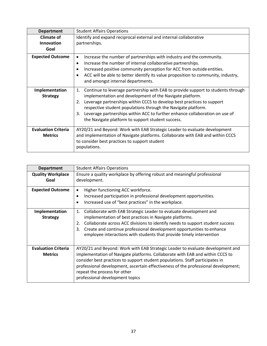| <b>Department</b>                            | <b>Student Affairs Operations</b>                                                                                                                                                                                                                                                                                                                                                                                                             |
|----------------------------------------------|-----------------------------------------------------------------------------------------------------------------------------------------------------------------------------------------------------------------------------------------------------------------------------------------------------------------------------------------------------------------------------------------------------------------------------------------------|
| <b>Climate of</b>                            | Identify and expand reciprocal external and internal collaborative                                                                                                                                                                                                                                                                                                                                                                            |
| <b>Innovation</b>                            | partnerships.                                                                                                                                                                                                                                                                                                                                                                                                                                 |
| Goal                                         |                                                                                                                                                                                                                                                                                                                                                                                                                                               |
| <b>Expected Outcome</b>                      | Increase the number of partnerships with industry and the community.<br>٠<br>Increase the number of internal collaborative partnerships.<br>٠<br>Increased positive community perception for ACC from outside entities.<br>٠<br>ACC will be able to better identify its value proposition to community, industry,<br>$\bullet$<br>and amongst internal departments.                                                                           |
| Implementation<br><b>Strategy</b>            | Continue to leverage partnership with EAB to provide support to students through<br>1.<br>implementation and development of the Navigate platform.<br>Leverage partnerships within CCCS to develop best practices to support<br>2.<br>respective student populations through the Navigate platform.<br>Leverage partnerships within ACC to further enhance collaboration on use of<br>3.<br>the Navigate platform to support student success. |
| <b>Evaluation Criteria</b><br><b>Metrics</b> | AY20/21 and Beyond: Work with EAB Strategic Leader to evaluate development<br>and implementation of Navigate platforms. Collaborate with EAB and within CCCS<br>to consider best practices to support student<br>populations.                                                                                                                                                                                                                 |

| <b>Department</b>                 | <b>Student Affairs Operations</b>                                                                                                                                  |
|-----------------------------------|--------------------------------------------------------------------------------------------------------------------------------------------------------------------|
| <b>Quality Workplace</b>          | Ensure a quality workplace by offering robust and meaningful professional                                                                                          |
| Goal                              | development.                                                                                                                                                       |
| <b>Expected Outcome</b>           | Higher functioning ACC workforce.<br>٠                                                                                                                             |
|                                   | Increased participation in professional development opportunities.<br>٠                                                                                            |
|                                   | Increased use of "best practices" in the workplace.<br>$\bullet$                                                                                                   |
| Implementation<br><b>Strategy</b> | Collaborate with EAB Strategic Leader to evaluate development and<br>1.<br>implementation of best practices in Navigate platforms.                                 |
|                                   | Collaborate across ACC divisions to identify needs to support student success<br>2.<br>Create and continue professional development opportunities to enhance<br>3. |
|                                   | employee interactions with students that provide timely intervention                                                                                               |
| <b>Evaluation Criteria</b>        | AY20/21 and Beyond: Work with EAB Strategic Leader to evaluate development and                                                                                     |
| <b>Metrics</b>                    | implementation of Navigate platforms. Collaborate with EAB and within CCCS to                                                                                      |
|                                   | consider best practices to support student populations. Staff participates in                                                                                      |
|                                   | professional development, ascertain effectiveness of the professional development;<br>repeat the process for other                                                 |
|                                   | professional development topics                                                                                                                                    |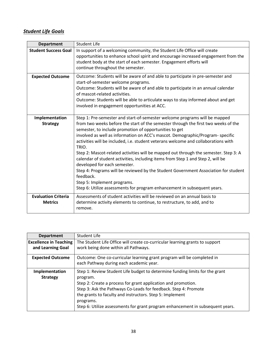## *Student Life Goals*

| <b>Department</b>                            | <b>Student Life</b>                                                                                                                                                                                                                                                                                                                                                                                                                                                                                                                                                                                                                                                                                                                                                                                                                  |
|----------------------------------------------|--------------------------------------------------------------------------------------------------------------------------------------------------------------------------------------------------------------------------------------------------------------------------------------------------------------------------------------------------------------------------------------------------------------------------------------------------------------------------------------------------------------------------------------------------------------------------------------------------------------------------------------------------------------------------------------------------------------------------------------------------------------------------------------------------------------------------------------|
| <b>Student Success Goal</b>                  | In support of a welcoming community, the Student Life Office will create<br>opportunities to enhance school spirit and encourage increased engagement from the<br>student body at the start of each semester. Engagement efforts will<br>continue throughout the semester.                                                                                                                                                                                                                                                                                                                                                                                                                                                                                                                                                           |
| <b>Expected Outcome</b>                      | Outcome: Students will be aware of and able to participate in pre-semester and<br>start-of-semester welcome programs.<br>Outcome: Students will be aware of and able to participate in an annual calendar<br>of mascot-related activities.<br>Outcome: Students will be able to articulate ways to stay informed about and get<br>involved in engagement opportunities at ACC.                                                                                                                                                                                                                                                                                                                                                                                                                                                       |
| Implementation<br><b>Strategy</b>            | Step 1: Pre-semester and start-of-semester welcome programs will be mapped<br>from two weeks before the start of the semester through the first two weeks of the<br>semester, to include promotion of opportunities to get<br>involved as well as information on ACC's mascot. Demographic/Program-specific<br>activities will be included, i.e. student veterans welcome and collaborations with<br>TRIO.<br>Step 2: Mascot-related activities will be mapped out through the semester. Step 3: A<br>calendar of student activities, including items from Step 1 and Step 2, will be<br>developed for each semester.<br>Step 4: Programs will be reviewed by the Student Government Association for student<br>feedback.<br>Step 5: Implement programs.<br>Step 6: Utilize assessments for program enhancement in subsequent years. |
| <b>Evaluation Criteria</b><br><b>Metrics</b> | Assessments of student activities will be reviewed on an annual basis to<br>determine activity elements to continue, to restructure, to add, and to<br>remove.                                                                                                                                                                                                                                                                                                                                                                                                                                                                                                                                                                                                                                                                       |

| <b>Department</b>                                  | Student Life                                                                                                                                                                                                                                                                                                                                                                            |
|----------------------------------------------------|-----------------------------------------------------------------------------------------------------------------------------------------------------------------------------------------------------------------------------------------------------------------------------------------------------------------------------------------------------------------------------------------|
| <b>Excellence in Teaching</b><br>and Learning Goal | The Student Life Office will create co-curricular learning grants to support<br>work being done within all Pathways.                                                                                                                                                                                                                                                                    |
| <b>Expected Outcome</b>                            | Outcome: One co-curricular learning grant program will be completed in<br>each Pathway during each academic year.                                                                                                                                                                                                                                                                       |
| Implementation<br><b>Strategy</b>                  | Step 1: Review Student Life budget to determine funding limits for the grant<br>program.<br>Step 2: Create a process for grant application and promotion.<br>Step 3: Ask the Pathways Co-Leads for feedback. Step 4: Promote<br>the grants to faculty and instructors. Step 5: Implement<br>programs.<br>Step 6: Utilize assessments for grant program enhancement in subsequent years. |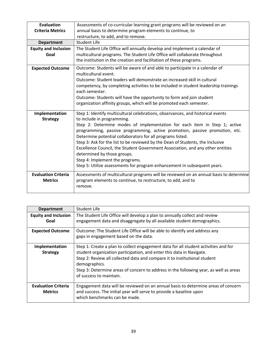| <b>Evaluation</b>                            | Assessments of co-curricular learning grant programs will be reviewed on an                                                                                                                                            |
|----------------------------------------------|------------------------------------------------------------------------------------------------------------------------------------------------------------------------------------------------------------------------|
| <b>Criteria Metrics</b>                      | annual basis to determine program elements to continue, to                                                                                                                                                             |
|                                              | restructure, to add, and to remove.                                                                                                                                                                                    |
| <b>Department</b>                            | <b>Student Life</b>                                                                                                                                                                                                    |
| <b>Equity and Inclusion</b>                  | The Student Life Office will annually develop and implement a calendar of                                                                                                                                              |
| Goal                                         | multicultural programs. The Student Life Office will collaborate throughout                                                                                                                                            |
|                                              | the institution in the creation and facilitation of these programs.                                                                                                                                                    |
| <b>Expected Outcome</b>                      | Outcome: Students will be aware of and able to participate in a calendar of<br>multicultural event.                                                                                                                    |
|                                              | Outcome: Student leaders will demonstrate an increased skill in cultural                                                                                                                                               |
|                                              | competency, by completing activities to be included in student leadership trainings<br>each semester.                                                                                                                  |
|                                              | Outcome: Students will have the opportunity to form and join student                                                                                                                                                   |
|                                              | organization affinity groups, which will be promoted each semester.                                                                                                                                                    |
| Implementation<br><b>Strategy</b>            | Step 1: Identify multicultural celebrations, observances, and historical events<br>to include in programming.                                                                                                          |
|                                              | Step 2: Determine modes of implementation for each item in Step 1; active<br>programming, passive programming, active promotion, passive promotion, etc.<br>Determine potential collaborators for all programs listed. |
|                                              | Step 3: Ask for the list to be reviewed by the Dean of Students, the Inclusive<br>Excellence Council, the Student Government Association, and any other entities<br>determined by those groups.                        |
|                                              | Step 4: Implement the programs.                                                                                                                                                                                        |
|                                              | Step 5: Utilize assessments for program enhancement in subsequent years.                                                                                                                                               |
| <b>Evaluation Criteria</b><br><b>Metrics</b> | Assessments of multicultural programs will be reviewed on an annual basis to determine<br>program elements to continue, to restructure, to add, and to<br>remove.                                                      |
|                                              |                                                                                                                                                                                                                        |

| <b>Department</b>                            | <b>Student Life</b>                                                                                                                                                                                                                                                                                                                                                           |
|----------------------------------------------|-------------------------------------------------------------------------------------------------------------------------------------------------------------------------------------------------------------------------------------------------------------------------------------------------------------------------------------------------------------------------------|
| <b>Equity and Inclusion</b><br>Goal          | The Student Life Office will develop a plan to annually collect and review<br>engagement data and disaggregate by all available student demographics.                                                                                                                                                                                                                         |
| <b>Expected Outcome</b>                      | Outcome: The Student Life Office will be able to identify and address any<br>gaps in engagement based on the data.                                                                                                                                                                                                                                                            |
| Implementation<br><b>Strategy</b>            | Step 1: Create a plan to collect engagement data for all student activities and for<br>student organization participation, and enter this data in Navigate.<br>Step 2: Review all collected data and compare it to institutional student<br>demographics.<br>Step 3: Determine areas of concern to address in the following year, as well as areas<br>of success to maintain. |
| <b>Evaluation Criteria</b><br><b>Metrics</b> | Engagement data will be reviewed on an annual basis to determine areas of concern<br>and success. The initial year will serve to provide a baseline upon<br>which benchmarks can be made.                                                                                                                                                                                     |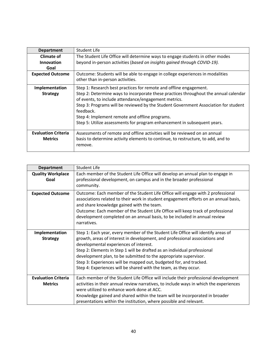| <b>Department</b>                            | <b>Student Life</b>                                                                                                                                                                                                                                                                                                                                                            |
|----------------------------------------------|--------------------------------------------------------------------------------------------------------------------------------------------------------------------------------------------------------------------------------------------------------------------------------------------------------------------------------------------------------------------------------|
| Climate of                                   | The Student Life Office will determine ways to engage students in other modes                                                                                                                                                                                                                                                                                                  |
| <b>Innovation</b>                            | beyond in-person activities (based on insights gained through COVID-19).                                                                                                                                                                                                                                                                                                       |
| Goal                                         |                                                                                                                                                                                                                                                                                                                                                                                |
| <b>Expected Outcome</b>                      | Outcome: Students will be able to engage in college experiences in modalities<br>other than in-person activities.                                                                                                                                                                                                                                                              |
| Implementation                               | Step 1: Research best practices for remote and offline engagement.                                                                                                                                                                                                                                                                                                             |
| <b>Strategy</b>                              | Step 2: Determine ways to incorporate these practices throughout the annual calendar<br>of events, to include attendance/engagement metrics.<br>Step 3: Programs will be reviewed by the Student Government Association for student<br>feedback.<br>Step 4: Implement remote and offline programs.<br>Step 5: Utilize assessments for program enhancement in subsequent years. |
| <b>Evaluation Criteria</b><br><b>Metrics</b> | Assessments of remote and offline activities will be reviewed on an annual<br>basis to determine activity elements to continue, to restructure, to add, and to<br>remove.                                                                                                                                                                                                      |

| <b>Department</b>                            | <b>Student Life</b>                                                                                                                                                                                                                                                                                                                                                                                                                                                                                  |
|----------------------------------------------|------------------------------------------------------------------------------------------------------------------------------------------------------------------------------------------------------------------------------------------------------------------------------------------------------------------------------------------------------------------------------------------------------------------------------------------------------------------------------------------------------|
| <b>Quality Workplace</b><br>Goal             | Each member of the Student Life Office will develop an annual plan to engage in<br>professional development, on campus and in the broader professional<br>community.                                                                                                                                                                                                                                                                                                                                 |
| <b>Expected Outcome</b>                      | Outcome: Each member of the Student Life Office will engage with 2 professional<br>associations related to their work in student engagement efforts on an annual basis,<br>and share knowledge gained with the team.<br>Outcome: Each member of the Student Life Office will keep track of professional<br>development completed on an annual basis, to be included in annual review<br>narratives.                                                                                                  |
| Implementation<br><b>Strategy</b>            | Step 1: Each year, every member of the Student Life Office will identify areas of<br>growth, areas of interest in development, and professional associations and<br>developmental experiences of interest.<br>Step 2: Elements in Step 1 will be drafted as an individual professional<br>development plan, to be submitted to the appropriate supervisor.<br>Step 3: Experiences will be mapped out, budgeted for, and tracked.<br>Step 4: Experiences will be shared with the team, as they occur. |
| <b>Evaluation Criteria</b><br><b>Metrics</b> | Each member of the Student Life Office will include their professional development<br>activities in their annual review narratives, to include ways in which the experiences<br>were utilized to enhance work done at ACC.<br>Knowledge gained and shared within the team will be incorporated in broader<br>presentations within the institution, where possible and relevant.                                                                                                                      |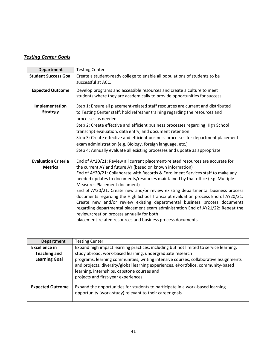## *Testing Center Goals*

| <b>Department</b>                            | <b>Testing Center</b>                                                                                                                                                                                                                                                                                                                                                                                                                                                                                                                                                                                                                                                                                                                                                                                 |
|----------------------------------------------|-------------------------------------------------------------------------------------------------------------------------------------------------------------------------------------------------------------------------------------------------------------------------------------------------------------------------------------------------------------------------------------------------------------------------------------------------------------------------------------------------------------------------------------------------------------------------------------------------------------------------------------------------------------------------------------------------------------------------------------------------------------------------------------------------------|
| <b>Student Success Goal</b>                  | Create a student-ready college to enable all populations of students to be<br>successful at ACC.                                                                                                                                                                                                                                                                                                                                                                                                                                                                                                                                                                                                                                                                                                      |
| <b>Expected Outcome</b>                      | Develop programs and accessible resources and create a culture to meet<br>students where they are academically to provide opportunities for success.                                                                                                                                                                                                                                                                                                                                                                                                                                                                                                                                                                                                                                                  |
| Implementation<br><b>Strategy</b>            | Step 1: Ensure all placement-related staff resources are current and distributed<br>to Testing Center staff; hold refresher training regarding the resources and<br>processes as needed<br>Step 2: Create effective and efficient business processes regarding High School<br>transcript evaluation, data entry, and document retention<br>Step 3: Create effective and efficient business processes for department placement<br>exam administration (e.g. Biology, foreign language, etc.)<br>Step 4: Annually evaluate all existing processes and update as appropriate                                                                                                                                                                                                                             |
| <b>Evaluation Criteria</b><br><b>Metrics</b> | End of AY20/21: Review all current placement-related resources are accurate for<br>the current AY and future AY (based on known information)<br>End of AY20/21: Collaborate with Records & Enrollment Services staff to make any<br>needed updates to documents/resources maintained by that office (e.g. Multiple<br>Measures Placement document)<br>End of AY20/21: Create new and/or review existing departmental business process<br>documents regarding the High School Transcript evaluation process End of AY20/21:<br>Create new and/or review existing departmental business process documents<br>regarding departmental placement exam administration End of AY21/22: Repeat the<br>review/creation process annually for both<br>placement-related resources and business process documents |

| <b>Department</b>                                            | <b>Testing Center</b>                                                                                                                                                                                                                                                                                                                                                          |
|--------------------------------------------------------------|--------------------------------------------------------------------------------------------------------------------------------------------------------------------------------------------------------------------------------------------------------------------------------------------------------------------------------------------------------------------------------|
| Excellence in<br><b>Teaching and</b><br><b>Learning Goal</b> | Expand high impact learning practices, including but not limited to service learning,<br>study abroad, work-based learning, undergraduate research<br>programs, learning communities, writing intensive courses, collaborative assignments<br>and projects, diversity/global learning experiences, ePortfolios, community-based<br>learning, internships, capstone courses and |
|                                                              | projects and first-year experiences.                                                                                                                                                                                                                                                                                                                                           |
| <b>Expected Outcome</b>                                      | Expand the opportunities for students to participate in a work-based learning<br>opportunity (work-study) relevant to their career goals                                                                                                                                                                                                                                       |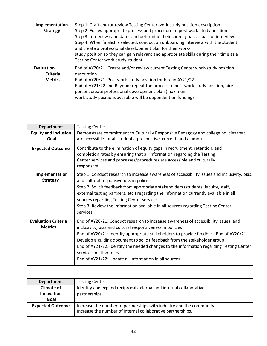| Implementation<br><b>Strategy</b>               | Step 1: Craft and/or review Testing Center work-study position description<br>Step 2: Follow appropriate process and procedure to post work-study position<br>Step 3: Interview candidates and determine their career goals as part of interview<br>Step 4: When finalist is selected, conduct an onboarding interview with the student<br>and create a professional development plan for their work-<br>study position so they can gain relevant and appropriate skills during their time as a<br>Testing Center work-study student |
|-------------------------------------------------|--------------------------------------------------------------------------------------------------------------------------------------------------------------------------------------------------------------------------------------------------------------------------------------------------------------------------------------------------------------------------------------------------------------------------------------------------------------------------------------------------------------------------------------|
| <b>Evaluation</b><br>Criteria<br><b>Metrics</b> | End of AY20/21: Create and/or review current Testing Center work-study position<br>description<br>End of AY20/21: Post work-study position for hire in AY21/22<br>End of AY21/22 and Beyond: repeat the process to post work-study position, hire<br>person, create professional development plan (maximum<br>work-study positions available will be dependent on funding)                                                                                                                                                           |

| <b>Department</b>                            | <b>Testing Center</b>                                                                                                                                                                                                                                                                                                                                                                                                                                                                                 |
|----------------------------------------------|-------------------------------------------------------------------------------------------------------------------------------------------------------------------------------------------------------------------------------------------------------------------------------------------------------------------------------------------------------------------------------------------------------------------------------------------------------------------------------------------------------|
| <b>Equity and Inclusion</b>                  | Demonstrate commitment to Culturally Responsive Pedagogy and college policies that                                                                                                                                                                                                                                                                                                                                                                                                                    |
| Goal                                         | are accessible for all students (prospective, current, and alumni).                                                                                                                                                                                                                                                                                                                                                                                                                                   |
| <b>Expected Outcome</b>                      | Contribute to the elimination of equity gaps in recruitment, retention, and<br>completion rates by ensuring that all information regarding the Testing<br>Center services and processes/procedures are accessible and culturally<br>responsive.                                                                                                                                                                                                                                                       |
| Implementation<br><b>Strategy</b>            | Step 1: Conduct research to increase awareness of accessibility issues and inclusivity, bias,<br>and cultural responsiveness in policies<br>Step 2: Solicit feedback from appropriate stakeholders (students, faculty, staff,<br>external testing partners, etc.) regarding the information currently available in all<br>sources regarding Testing Center services<br>Step 3: Review the information available in all sources regarding Testing Center<br>services                                   |
| <b>Evaluation Criteria</b><br><b>Metrics</b> | End of AY20/21: Conduct research to increase awareness of accessibility issues, and<br>inclusivity, bias and cultural responsiveness in policies<br>End of AY20/21: Identify appropriate stakeholders to provide feedback End of AY20/21:<br>Develop a guiding document to solicit feedback from the stakeholder group<br>End of AY21/22: Identify the needed changes to the information regarding Testing Center<br>services in all sources<br>End of AY21/22: Update all information in all sources |

| <b>Department</b>       | <b>Testing Center</b>                                                                                                               |
|-------------------------|-------------------------------------------------------------------------------------------------------------------------------------|
| <b>Climate of</b>       | Identify and expand reciprocal external and internal collaborative                                                                  |
| <b>Innovation</b>       | partnerships.                                                                                                                       |
| Goal                    |                                                                                                                                     |
| <b>Expected Outcome</b> | Increase the number of partnerships with industry and the community.<br>Increase the number of internal collaborative partnerships. |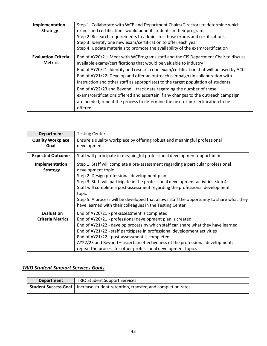| Implementation<br><b>Strategy</b>            | Step 1: Collaborate with WCP and Department Chairs/Directors to determine which<br>exams and certifications would benefit students in their programs.<br>Step 2: Research requirements to administer those exams and certifications<br>Step 3: Identify one new exam/certification to offer each year<br>Step 4: Update materials to promote the availability of the exam/certification                                                                                                                                                                                                                                                                                         |
|----------------------------------------------|---------------------------------------------------------------------------------------------------------------------------------------------------------------------------------------------------------------------------------------------------------------------------------------------------------------------------------------------------------------------------------------------------------------------------------------------------------------------------------------------------------------------------------------------------------------------------------------------------------------------------------------------------------------------------------|
| <b>Evaluation Criteria</b><br><b>Metrics</b> | End of AY20/21: Meet with WCPrograms staff and the CIS Department Chair to discuss<br>available exams/certifications that would be valuable to industry<br>End of AY20/21: Identify and research one exam/certification that will be used by ACC<br>End of AY21/22: Develop and offer an outreach campaign (in collaboration with<br>Instruction and other staff as appropriate) to the target population of students<br>End of AY22/23 and Beyond - track data regarding the number of these<br>exams/certifications offered and ascertain if any changes to the outreach campaign<br>are needed; repeat the process to determine the next exam/certification to be<br>offered |

| <b>Department</b>                            | <b>Testing Center</b>                                                                                                                                                                                                                                                                                                                                                                                                                                                                       |
|----------------------------------------------|---------------------------------------------------------------------------------------------------------------------------------------------------------------------------------------------------------------------------------------------------------------------------------------------------------------------------------------------------------------------------------------------------------------------------------------------------------------------------------------------|
| <b>Quality Workplace</b><br>Goal             | Ensure a quality workplace by offering robust and meaningful professional<br>development.                                                                                                                                                                                                                                                                                                                                                                                                   |
| <b>Expected Outcome</b>                      | Staff will participate in meaningful professional development opportunities.                                                                                                                                                                                                                                                                                                                                                                                                                |
| Implementation<br><b>Strategy</b>            | Step 1: Staff will complete a pre-assessment regarding a particular professional<br>development topic<br>Step 2: Design professional development plan<br>Step 3: Staff will participate in the professional development activities Step 4:<br>Staff will complete a post-assessment regarding the professional development<br>topic<br>Step 5: A process will be developed that allows staff the opportunity to share what they<br>have learned with their colleagues in the Testing Center |
| <b>Evaluation</b><br><b>Criteria Metrics</b> | End of AY20/21 - pre-assessment is completed<br>End of AY20/21 - professional development plan is created<br>End of AY21/22 - develop process by which staff can share what they have learned<br>End of AY21/22 - staff participate in professional development activities<br>End of AY21/22 - post-assessment is completed<br>AY22/23 and Beyond – ascertain effectiveness of the professional development;<br>repeat the process for other professional development topics                |

## *TRIO Student Support Services Goals*

| <b>Department</b> | <b>TRIO Student Support Services</b>                                                      |
|-------------------|-------------------------------------------------------------------------------------------|
|                   | <b>Student Success Goal</b>   Increase student retention, transfer, and completion rates. |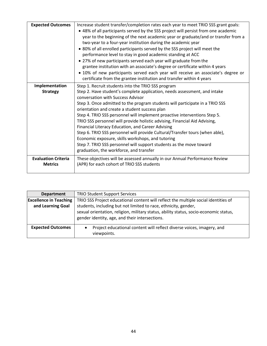| <b>Expected Outcomes</b><br>Implementation<br><b>Strategy</b> | Increase student transfer/completion rates each year to meet TRIO SSS grant goals:<br>• 48% of all participants served by the SSS project will persist from one academic<br>year to the beginning of the next academic year or graduate/and or transfer from a<br>two-year to a four-year institution during the academic year<br>• 80% of all enrolled participants served by the SSS project will meet the<br>performance level to stay in good academic standing at ACC<br>• 27% of new participants served each year will graduate from the<br>grantee institution with an associate's degree or certificate within 4 years<br>• 10% of new participants served each year will receive an associate's degree or<br>certificate from the grantee institution and transfer within 4 years<br>Step 1. Recruit students into the TRIO SSS program<br>Step 2. Have student's complete application, needs assessment, and intake<br>conversation with Success Advisor<br>Step 3. Once admitted to the program students will participate in a TRIO SSS<br>orientation and create a student success plan<br>Step 4. TRIO SSS personnel will implement proactive interventions Step 5.<br>TRIO SSS personnel will provide holistic advising, Financial Aid Advising,<br>Financial Literacy Education, and Career Advising<br>Step 6. TRIO SSS personnel will provide Cultural/Transfer tours (when able),<br>Economic exposure, skills workshops, and tutoring<br>Step 7. TRIO SSS personnel will support students as the move toward |
|---------------------------------------------------------------|----------------------------------------------------------------------------------------------------------------------------------------------------------------------------------------------------------------------------------------------------------------------------------------------------------------------------------------------------------------------------------------------------------------------------------------------------------------------------------------------------------------------------------------------------------------------------------------------------------------------------------------------------------------------------------------------------------------------------------------------------------------------------------------------------------------------------------------------------------------------------------------------------------------------------------------------------------------------------------------------------------------------------------------------------------------------------------------------------------------------------------------------------------------------------------------------------------------------------------------------------------------------------------------------------------------------------------------------------------------------------------------------------------------------------------------------------------------------------------------------------------------------------------|
|                                                               | graduation, the workforce, and transfer                                                                                                                                                                                                                                                                                                                                                                                                                                                                                                                                                                                                                                                                                                                                                                                                                                                                                                                                                                                                                                                                                                                                                                                                                                                                                                                                                                                                                                                                                          |
| <b>Evaluation Criteria</b><br><b>Metrics</b>                  | These objectives will be assessed annually in our Annual Performance Review<br>(APR) for each cohort of TRIO SSS students                                                                                                                                                                                                                                                                                                                                                                                                                                                                                                                                                                                                                                                                                                                                                                                                                                                                                                                                                                                                                                                                                                                                                                                                                                                                                                                                                                                                        |

| <b>Department</b>             | <b>TRIO Student Support Services</b>                                                                                                    |
|-------------------------------|-----------------------------------------------------------------------------------------------------------------------------------------|
| <b>Excellence in Teaching</b> | TRIO SSS Project educational content will reflect the multiple social identities of                                                     |
| and Learning Goal             | students, including but not limited to race, ethnicity, gender,                                                                         |
|                               | sexual orientation, religion, military status, ability status, socio-economic status,<br>gender identity, age, and their intersections. |
| <b>Expected Outcomes</b>      | Project educational content will reflect diverse voices, imagery, and<br>$\bullet$<br>viewpoints.                                       |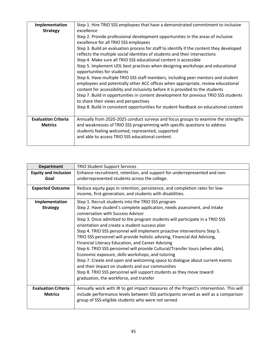| Implementation                               | Step 1. Hire TRIO SSS employees that have a demonstrated commitment to inclusive                                                                                                                                                                                                                                                                                                                                                                                                                                                                                                                                                                                                                                                                                                                                                                                                                                                                                                          |
|----------------------------------------------|-------------------------------------------------------------------------------------------------------------------------------------------------------------------------------------------------------------------------------------------------------------------------------------------------------------------------------------------------------------------------------------------------------------------------------------------------------------------------------------------------------------------------------------------------------------------------------------------------------------------------------------------------------------------------------------------------------------------------------------------------------------------------------------------------------------------------------------------------------------------------------------------------------------------------------------------------------------------------------------------|
| <b>Strategy</b>                              | excellence<br>Step 2. Provide professional development opportunities in the areas of inclusive<br>excellence for all TRIO SSS employees<br>Step 3. Build an evaluation process for staff to identify if the content they developed<br>reflects the multiple social identities of students and their intersections<br>Step 4. Make sure all TRIO SSS educational content is accessible<br>Step 5. Implement UDL best practices when designing workshops and educational<br>opportunities for students<br>Step 6. Have multiple TRIO SSS staff members, including peer mentors and student<br>employees and potentially other ACC offices when appropriate, review educational<br>content for accessibility and inclusivity before it is provided to the students<br>Step 7. Build in opportunities in content development for previous TRIO SSS students<br>to share their views and perspectives<br>Step 8. Build in consistent opportunities for student feedback on educational content |
|                                              |                                                                                                                                                                                                                                                                                                                                                                                                                                                                                                                                                                                                                                                                                                                                                                                                                                                                                                                                                                                           |
| <b>Evaluation Criteria</b><br><b>Metrics</b> | Annually from 2020-2025 conduct surveys and focus groups to examine the strengths<br>and weaknesses of TRIO SSS programming with specific questions to address<br>students feeling welcomed, represented, supported<br>and able to access TRIO SSS educational content.                                                                                                                                                                                                                                                                                                                                                                                                                                                                                                                                                                                                                                                                                                                   |

| <b>Department</b>           | <b>TRIO Student Support Services</b>                                                                                                      |
|-----------------------------|-------------------------------------------------------------------------------------------------------------------------------------------|
| <b>Equity and Inclusion</b> | Enhance recruitment, retention, and support for underrepresented and non-                                                                 |
| Goal                        | underrepresented students across the college.                                                                                             |
| <b>Expected Outcome</b>     | Reduce equity gaps in retention, persistence, and completion rates for low-<br>income, first-generation, and students with disabilities.  |
| Implementation              | Step 1. Recruit students into the TRIO SSS program                                                                                        |
| <b>Strategy</b>             | Step 2. Have student's complete application, needs assessment, and intake<br>conversation with Success Advisor                            |
|                             | Step 3. Once admitted to the program students will participate in a TRIO SSS<br>orientation and create a student success plan             |
|                             | Step 4. TRIO SSS personnel will implement proactive interventions Step 5.                                                                 |
|                             | TRIO SSS personnel will provide holistic advising, Financial Aid Advising,                                                                |
|                             | Financial Literacy Education, and Career Advising                                                                                         |
|                             | Step 6. TRIO SSS personnel will provide Cultural/Transfer tours (when able),                                                              |
|                             | Economic exposure, skills workshops, and tutoring                                                                                         |
|                             | Step 7. Create and open and welcoming space to dialogue about current events                                                              |
|                             | and their impact on students and our communities                                                                                          |
|                             | Step 8. TRIO SSS personnel will support students as they move toward                                                                      |
|                             | graduation, the workforce, and transfer                                                                                                   |
| <b>Evaluation Criteria</b>  | Annually work with IR to get impact measures of the Project's intervention. This will                                                     |
| <b>Metrics</b>              | include performance levels between SSS participants served as well as a comparison<br>group of SSS-eligible students who were not served. |
|                             |                                                                                                                                           |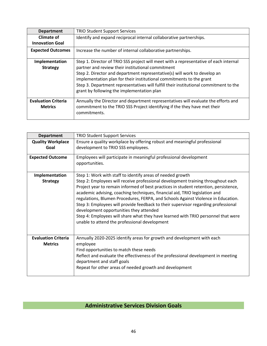| <b>Department</b>          | <b>TRIO Student Support Services</b>                                                  |
|----------------------------|---------------------------------------------------------------------------------------|
| Climate of                 | Identify and expand reciprocal internal collaborative partnerships.                   |
| <b>Innovation Goal</b>     |                                                                                       |
| <b>Expected Outcomes</b>   | Increase the number of internal collaborative partnerships.                           |
| Implementation             | Step 1. Director of TRIO SSS project will meet with a representative of each internal |
| <b>Strategy</b>            | partner and review their institutional commitment                                     |
|                            | Step 2. Director and department representative(s) will work to develop an             |
|                            | implementation plan for their institutional commitments to the grant                  |
|                            | Step 3. Department representatives will fulfill their institutional commitment to the |
|                            | grant by following the implementation plan                                            |
| <b>Evaluation Criteria</b> | Annually the Director and department representatives will evaluate the efforts and    |
| <b>Metrics</b>             | commitment to the TRIO SSS Project identifying if the they have met their             |
|                            | commitments.                                                                          |

| <b>Department</b>          | <b>TRIO Student Support Services</b>                                                                                               |
|----------------------------|------------------------------------------------------------------------------------------------------------------------------------|
| <b>Quality Workplace</b>   | Ensure a quality workplace by offering robust and meaningful professional                                                          |
| Goal                       | development to TRIO SSS employees.                                                                                                 |
| <b>Expected Outcome</b>    | Employees will participate in meaningful professional development<br>opportunities.                                                |
|                            |                                                                                                                                    |
| Implementation             | Step 1: Work with staff to identify areas of needed growth                                                                         |
| <b>Strategy</b>            | Step 2: Employees will receive professional development training throughout each                                                   |
|                            | Project year to remain informed of best practices in student retention, persistence,                                               |
|                            | academic advising, coaching techniques, financial aid, TRIO legislation and                                                        |
|                            | regulations, Blumen Procedures, FERPA, and Schools Against Violence in Education.                                                  |
|                            | Step 3: Employees will provide feedback to their supervisor regarding professional                                                 |
|                            |                                                                                                                                    |
|                            | development opportunities they attended                                                                                            |
|                            | Step 4: Employees will share what they have learned with TRIO personnel that were<br>unable to attend the professional development |
|                            |                                                                                                                                    |
| <b>Evaluation Criteria</b> | Annually 2020-2025 identify areas for growth and development with each                                                             |
| <b>Metrics</b>             | employee                                                                                                                           |
|                            | Find opportunities to match these needs                                                                                            |
|                            | Reflect and evaluate the effectiveness of the professional development in meeting                                                  |
|                            | department and staff goals                                                                                                         |
|                            | Repeat for other areas of needed growth and development                                                                            |
|                            |                                                                                                                                    |

# **Administrative Services Division Goals**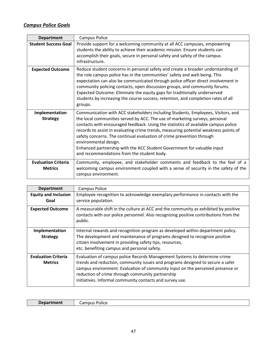## *Campus Police Goals*

| <b>Department</b>                            | <b>Campus Police</b>                                                                                                                                                                                                                                                                                                                                                                                                                                                                                                                                                     |
|----------------------------------------------|--------------------------------------------------------------------------------------------------------------------------------------------------------------------------------------------------------------------------------------------------------------------------------------------------------------------------------------------------------------------------------------------------------------------------------------------------------------------------------------------------------------------------------------------------------------------------|
| <b>Student Success Goal</b>                  | Provide support for a welcoming community at all ACC campuses, empowering<br>students the ability to achieve their academic mission. Ensure students can<br>accomplish their goals, secure in personal safety and safety of the campus<br>infrastructure.                                                                                                                                                                                                                                                                                                                |
| <b>Expected Outcome</b>                      | Reduce student concerns in personal safety and create a broader understanding of<br>the role campus police has in the communities' safety and well-being. This<br>expectation can also be communicated through police officer direct involvement in<br>community policing contacts, open discussion groups, and community forums.<br>Expected Outcome: Eliminate the equity gaps for traditionally underserved<br>students by increasing the course success, retention, and completion rates of all<br>groups.                                                           |
| Implementation<br><b>Strategy</b>            | Communication with ACC stakeholders including Students, Employees, Visitors, and<br>the local communities served by ACC. The use of marketing surveys, personal<br>contacts with encouraged feedback. Using the statistics of available campus police<br>records to assist in evaluating crime trends, measuring potential weakness points of<br>safety concerns. The continual evaluation of crime prevention through<br>environmental design.<br>Enhanced partnership with the ACC Student Government for valuable input<br>and recommendations from the student body. |
| <b>Evaluation Criteria</b><br><b>Metrics</b> | Community, employee, and stakeholder comments and feedback to the feel of a<br>welcoming campus environment coupled with a sense of security in the safety of the<br>campus environment.                                                                                                                                                                                                                                                                                                                                                                                 |

| <b>Department</b>                            | <b>Campus Police</b>                                                                                                                                                                                                                                                                                                                                          |
|----------------------------------------------|---------------------------------------------------------------------------------------------------------------------------------------------------------------------------------------------------------------------------------------------------------------------------------------------------------------------------------------------------------------|
| <b>Equity and Inclusion</b><br>Goal          | Employee recognition to acknowledge exemplary performance in contacts with the<br>service population.                                                                                                                                                                                                                                                         |
| <b>Expected Outcome</b>                      | A measurable shift in the culture at ACC and the community as exhibited by positive<br>contacts with our police personnel. Also recognizing positive contributions from the<br>public.                                                                                                                                                                        |
| Implementation<br><b>Strategy</b>            | Internal rewards and recognition program as developed within department policy.<br>The development and maintenance of programs designed to recognize positive<br>citizen involvement in providing safety tips, resources,<br>etc. benefiting campus and personal safety.                                                                                      |
| <b>Evaluation Criteria</b><br><b>Metrics</b> | Evaluation of campus police Records Management Systems to determine crime<br>trends and reduction, community issues and programs designed to secure a safer<br>campus environment. Evaluation of community input on the perceived presence or<br>reduction of crime through community partnership<br>initiatives. Informal community contacts and survey use. |

| Der<br>-----<br>тепт<br>.<br>$-$<br>$\sim$ |
|--------------------------------------------|
|--------------------------------------------|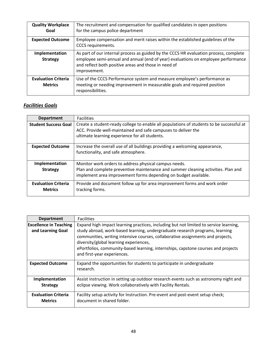| <b>Quality Workplace</b><br>Goal             | The recruitment and compensation for qualified candidates in open positions<br>for the campus police department                                                                                                                                    |
|----------------------------------------------|----------------------------------------------------------------------------------------------------------------------------------------------------------------------------------------------------------------------------------------------------|
| <b>Expected Outcome</b>                      | Employee compensation and merit raises within the established guidelines of the<br>CCCS requirements.                                                                                                                                              |
| Implementation<br><b>Strategy</b>            | As part of our internal process as guided by the CCCS HR evaluation process, complete<br>employee semi-annual and annual (end of year) evaluations on employee performance<br>and reflect both positive areas and those in need of<br>improvement. |
| <b>Evaluation Criteria</b><br><b>Metrics</b> | Use of the CCCS Performance system and measure employee's performance as<br>meeting or needing improvement in measurable goals and required position<br>responsibilities.                                                                          |

## *Facilities Goals*

| <b>Department</b>                            | <b>Facilities</b>                                                                                                                                                                                             |
|----------------------------------------------|---------------------------------------------------------------------------------------------------------------------------------------------------------------------------------------------------------------|
| <b>Student Success Goal</b>                  | Create a student-ready college to enable all populations of students to be successful at<br>ACC. Provide well-maintained and safe campuses to deliver the<br>ultimate learning experience for all students.   |
| <b>Expected Outcome</b>                      | Increase the overall use of all buildings providing a welcoming appearance,<br>functionality, and safe atmosphere.                                                                                            |
| Implementation<br><b>Strategy</b>            | Monitor work orders to address physical campus needs.<br>Plan and complete preventive maintenance and summer cleaning activities. Plan and<br>implement area improvement forms depending on budget available. |
| <b>Evaluation Criteria</b><br><b>Metrics</b> | Provide and document follow up for area improvement forms and work order<br>tracking forms.                                                                                                                   |

| <b>Department</b>                                  | <b>Facilities</b>                                                                                                                                                                                                                                                                                                                                                                                                      |
|----------------------------------------------------|------------------------------------------------------------------------------------------------------------------------------------------------------------------------------------------------------------------------------------------------------------------------------------------------------------------------------------------------------------------------------------------------------------------------|
| <b>Excellence in Teaching</b><br>and Learning Goal | Expand high impact learning practices, including but not limited to service learning,<br>study abroad, work-based learning, undergraduate research programs, learning<br>communities, writing intensive courses, collaborative assignments and projects,<br>diversity/global learning experiences,<br>ePortfolios, community-based learning, internships, capstone courses and projects<br>and first-year experiences. |
| <b>Expected Outcome</b>                            | Expand the opportunities for students to participate in undergraduate<br>research.                                                                                                                                                                                                                                                                                                                                     |
| Implementation<br><b>Strategy</b>                  | Assist instruction in setting up outdoor research events such as astronomy night and<br>eclipse viewing. Work collaboratively with Facility Rentals.                                                                                                                                                                                                                                                                   |
| <b>Evaluation Criteria</b><br><b>Metrics</b>       | Facility setup activity for Instruction. Pre-event and post-event setup check;<br>document in shared folder.                                                                                                                                                                                                                                                                                                           |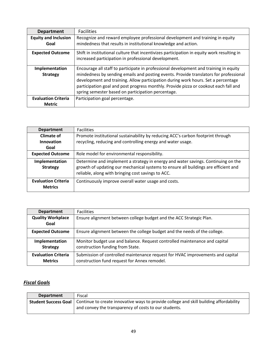| <b>Department</b>                 | <b>Facilities</b>                                                                                                                                                                                                                                                                                                                                                                                                 |
|-----------------------------------|-------------------------------------------------------------------------------------------------------------------------------------------------------------------------------------------------------------------------------------------------------------------------------------------------------------------------------------------------------------------------------------------------------------------|
| <b>Equity and Inclusion</b>       | Recognize and reward employee professional development and training in equity                                                                                                                                                                                                                                                                                                                                     |
| Goal                              | mindedness that results in institutional knowledge and action.                                                                                                                                                                                                                                                                                                                                                    |
| <b>Expected Outcome</b>           | Shift in institutional culture that incentivizes participation in equity work resulting in<br>increased participation in professional development.                                                                                                                                                                                                                                                                |
| Implementation<br><b>Strategy</b> | Encourage all staff to participate in professional development and training in equity<br>mindedness by sending emails and posting events. Provide translators for professional<br>development and training. Allow participation during work hours. Set a percentage<br>participation goal and post progress monthly. Provide pizza or cookout each fall and<br>spring semester based on participation percentage. |
| <b>Evaluation Criteria</b>        | Participation goal percentage.                                                                                                                                                                                                                                                                                                                                                                                    |
| <b>Metric</b>                     |                                                                                                                                                                                                                                                                                                                                                                                                                   |

| <b>Department</b>                            | <b>Facilities</b>                                                                                                                                                                                                              |
|----------------------------------------------|--------------------------------------------------------------------------------------------------------------------------------------------------------------------------------------------------------------------------------|
| Climate of<br>Innovation<br>Goal             | Promote institutional sustainability by reducing ACC's carbon footprint through<br>recycling, reducing and controlling energy and water usage.                                                                                 |
| <b>Expected Outcome</b>                      | Role model for environmental responsibility.                                                                                                                                                                                   |
| Implementation<br><b>Strategy</b>            | Determine and implement a strategy in energy and water savings. Continuing on the<br>growth of updating our mechanical systems to ensure all buildings are efficient and<br>reliable, along with bringing cost savings to ACC. |
| <b>Evaluation Criteria</b><br><b>Metrics</b> | Continuously improve overall water usage and costs.                                                                                                                                                                            |

| <b>Department</b>          | <b>Facilities</b>                                                              |
|----------------------------|--------------------------------------------------------------------------------|
| <b>Quality Workplace</b>   | Ensure alignment between college budget and the ACC Strategic Plan.            |
| Goal                       |                                                                                |
| <b>Expected Outcome</b>    | Ensure alignment between the college budget and the needs of the college.      |
| Implementation             | Monitor budget use and balance. Request controlled maintenance and capital     |
| <b>Strategy</b>            | construction funding from State.                                               |
| <b>Evaluation Criteria</b> | Submission of controlled maintenance request for HVAC improvements and capital |
| <b>Metrics</b>             | construction fund request for Annex remodel.                                   |

# *Fiscal Goals*

| <b>Department</b> | Fiscal                                                                                                                                                                        |
|-------------------|-------------------------------------------------------------------------------------------------------------------------------------------------------------------------------|
|                   | <b>Student Success Goal</b>   Continue to create innovative ways to provide college and skill building affordability<br>and convey the transparency of costs to our students. |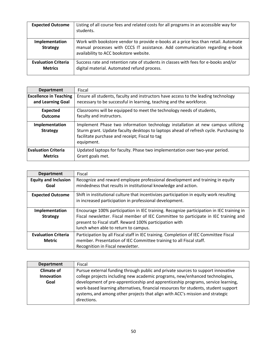| <b>Expected Outcome</b>                      | Listing of all course fees and related costs for all programs in an accessible way for<br>students.                                                                                                           |
|----------------------------------------------|---------------------------------------------------------------------------------------------------------------------------------------------------------------------------------------------------------------|
| Implementation<br><b>Strategy</b>            | Work with bookstore vendor to provide e-books at a price less than retail. Automate<br>manual processes with CCCS IT assistance. Add communication regarding e-book<br>availability to ACC bookstore website. |
| <b>Evaluation Criteria</b><br><b>Metrics</b> | Success rate and retention rate of students in classes with fees for e-books and/or<br>digital material. Automated refund process.                                                                            |

| <b>Department</b>                 | Fiscal                                                                                                                                                                                                                                   |
|-----------------------------------|------------------------------------------------------------------------------------------------------------------------------------------------------------------------------------------------------------------------------------------|
| <b>Excellence in Teaching</b>     | Ensure all students, faculty and instructors have access to the leading technology                                                                                                                                                       |
| and Learning Goal                 | necessary to be successful in learning, teaching and the workforce.                                                                                                                                                                      |
| <b>Expected</b>                   | Classrooms will be equipped to meet the technology needs of students,                                                                                                                                                                    |
| <b>Outcome</b>                    | faculty and instructors.                                                                                                                                                                                                                 |
| Implementation<br><b>Strategy</b> | Implement Phase two information technology installation at new campus utilizing<br>Sturm grant. Update faculty desktops to laptops ahead of refresh cycle. Purchasing to<br>facilitate purchase and receipt; Fiscal to tag<br>equipment. |
| <b>Evaluation Criteria</b>        | Updated laptops for faculty. Phase two implementation over two-year period.                                                                                                                                                              |
| <b>Metrics</b>                    | Grant goals met.                                                                                                                                                                                                                         |

| <b>Department</b>                   | Fiscal                                                                                                                                                                                                                                                                              |
|-------------------------------------|-------------------------------------------------------------------------------------------------------------------------------------------------------------------------------------------------------------------------------------------------------------------------------------|
| <b>Equity and Inclusion</b><br>Goal | Recognize and reward employee professional development and training in equity<br>mindedness that results in institutional knowledge and action.                                                                                                                                     |
|                                     |                                                                                                                                                                                                                                                                                     |
| <b>Expected Outcome</b>             | Shift in institutional culture that incentivizes participation in equity work resulting<br>in increased participation in professional development.                                                                                                                                  |
| Implementation<br><b>Strategy</b>   | Encourage 100% participation in IEC training. Recognize participation in IEC training in<br>Fiscal newsletter. Fiscal member of IEC Committee to participate in IEC training and<br>present to Fiscal staff. Reward 100% participation with<br>lunch when able to return to campus. |
| <b>Evaluation Criteria</b>          | Participation by all Fiscal staff in IEC training. Completion of IEC Committee Fiscal                                                                                                                                                                                               |
| <b>Metric</b>                       | member. Presentation of IEC Committee training to all Fiscal staff.                                                                                                                                                                                                                 |
|                                     | Recognition in Fiscal newsletter.                                                                                                                                                                                                                                                   |

| <b>Department</b> | Fiscal                                                                              |
|-------------------|-------------------------------------------------------------------------------------|
| <b>Climate of</b> | Pursue external funding through public and private sources to support innovative    |
| Innovation        | college projects including new academic programs, new/enhanced technologies,        |
| Goal              | development of pre-apprenticeship and apprenticeship programs, service learning,    |
|                   | work-based learning alternatives, financial resources for students, student support |
|                   | systems, and among other projects that align with ACC's mission and strategic       |
|                   | directions.                                                                         |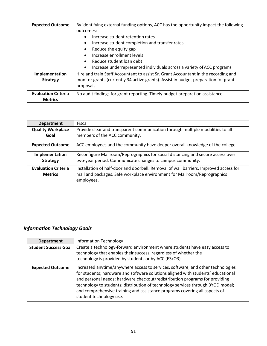| <b>Expected Outcome</b>    | By identifying external funding options, ACC has the opportunity impact the following |
|----------------------------|---------------------------------------------------------------------------------------|
|                            | outcomes:                                                                             |
|                            | Increase student retention rates<br>$\bullet$                                         |
|                            | Increase student completion and transfer rates<br>$\bullet$                           |
|                            | Reduce the equity gap<br>٠                                                            |
|                            | Increase enrollment levels                                                            |
|                            | Reduce student loan debt                                                              |
|                            | Increase underrepresented individuals across a variety of ACC programs                |
| Implementation             | Hire and train Staff Accountant to assist Sr. Grant Accountant in the recording and   |
| <b>Strategy</b>            | monitor grants (currently 34 active grants). Assist in budget preparation for grant   |
|                            | proposals.                                                                            |
| <b>Evaluation Criteria</b> | No audit findings for grant reporting. Timely budget preparation assistance.          |
| <b>Metrics</b>             |                                                                                       |

| <b>Department</b>                            | Fiscal                                                                                                                                                                          |
|----------------------------------------------|---------------------------------------------------------------------------------------------------------------------------------------------------------------------------------|
| <b>Quality Workplace</b><br>Goal             | Provide clear and transparent communication through multiple modalities to all<br>members of the ACC community.                                                                 |
| <b>Expected Outcome</b>                      | ACC employees and the community have deeper overall knowledge of the college.                                                                                                   |
| Implementation<br><b>Strategy</b>            | Reconfigure Mailroom/Reprographics for social distancing and secure access over<br>two-year period. Communicate changes to campus community.                                    |
| <b>Evaluation Criteria</b><br><b>Metrics</b> | Installation of half-door and doorbell. Removal of wall barriers. Improved access for<br>mail and packages. Safe workplace environment for Mailroom/Reprographics<br>employees. |

## *Information Technology Goals*

| <b>Department</b>           | <b>Information Technology</b>                                                                                                                                                                                                                                                                                                                                                                                                                  |
|-----------------------------|------------------------------------------------------------------------------------------------------------------------------------------------------------------------------------------------------------------------------------------------------------------------------------------------------------------------------------------------------------------------------------------------------------------------------------------------|
| <b>Student Success Goal</b> | Create a technology-forward environment where students have easy access to<br>technology that enables their success, regardless of whether the<br>technology is provided by students or by ACC (E3/O3).                                                                                                                                                                                                                                        |
| <b>Expected Outcome</b>     | Increased anytime/anywhere access to services, software, and other technologies<br>for students; hardware and software solutions aligned with students' educational<br>and personal needs; hardware checkout/redistribution programs for providing<br>technology to students; distribution of technology services through BYOD model;<br>and comprehensive training and assistance programs covering all aspects of<br>student technology use. |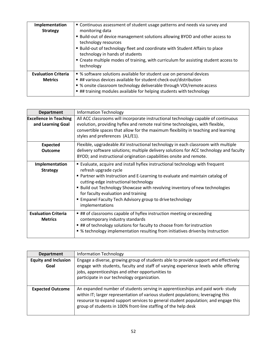| Implementation<br><b>Strategy</b>            | " Continuous assessment of student usage patterns and needs via survey and<br>monitoring data<br>■ Build-out of device management solutions allowing BYOD and other access to<br>technology resources<br>■ Build-out of technology fleet and coordinate with Student Affairs to place<br>technology in hands of students<br>" Create multiple modes of training, with curriculum for assisting student access to<br>technology |
|----------------------------------------------|--------------------------------------------------------------------------------------------------------------------------------------------------------------------------------------------------------------------------------------------------------------------------------------------------------------------------------------------------------------------------------------------------------------------------------|
| <b>Evaluation Criteria</b><br><b>Metrics</b> | • % software solutions available for student use on personal devices<br>## various devices available for student check-out/distribution<br>• % onsite classroom technology deliverable through VDI/remote access<br>■ ## training modules available for helping students with technology                                                                                                                                       |

| <b>Department</b>                                  | <b>Information Technology</b>                                                                                                                                                                                                                                                                                                                                                                                                                   |
|----------------------------------------------------|-------------------------------------------------------------------------------------------------------------------------------------------------------------------------------------------------------------------------------------------------------------------------------------------------------------------------------------------------------------------------------------------------------------------------------------------------|
| <b>Excellence in Teaching</b><br>and Learning Goal | All ACC classrooms will incorporate instructional technology capable of continuous<br>evolution, providing hyflex and remote real time technologies, with flexible,<br>convertible spaces that allow for the maximum flexibility in teaching and learning<br>styles and preferences (A1/E1).                                                                                                                                                    |
| <b>Expected</b><br><b>Outcome</b>                  | Flexible, upgradeable AV instructional technology in each classroom with multiple<br>delivery software solutions; multiple delivery solutions for ACC technology and faculty<br>BYOD; and instructional origination capabilities onsite and remote.                                                                                                                                                                                             |
| Implementation<br><b>Strategy</b>                  | Evaluate, acquire and install hyflex instructional technology with frequent<br>refresh upgrade cycle<br>" Partner with Instruction and E-Learning to evaluate and maintain catalog of<br>cutting-edge instructional technology<br><b>Build out Technology Showcase with revolving inventory of new technologies</b><br>for faculty evaluation and training<br><b>Empanel Faculty Tech Advisory group to drive technology</b><br>implementations |
| <b>Evaluation Criteria</b><br><b>Metrics</b>       | ## of classrooms capable of hyflex instruction meeting or exceeding<br>contemporary industry standards<br>■ ## of technology solutions for faculty to choose from for instruction<br>■ % technology implementation resulting from initiatives driven by Instruction                                                                                                                                                                             |

| <b>Department</b>                   | <b>Information Technology</b>                                                                                                                                                                                                                                                                                             |
|-------------------------------------|---------------------------------------------------------------------------------------------------------------------------------------------------------------------------------------------------------------------------------------------------------------------------------------------------------------------------|
| <b>Equity and Inclusion</b><br>Goal | Engage a diverse, growing group of students able to provide support and effectively<br>engage with students, faculty and staff of varying experience levels while offering<br>jobs, apprenticeships and other opportunities to<br>participate in our technology organization.                                             |
| <b>Expected Outcome</b>             | An expanded number of students serving in apprenticeships and paid work-study<br>within IT; larger representation of various student populations; leveraging this<br>resource to expand support services to general student population; and engage this<br>group of students in 100% front-line staffing of the help desk |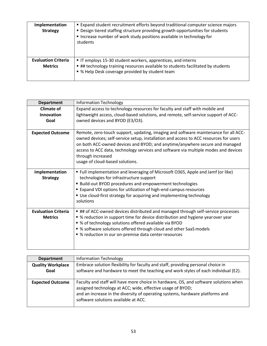| Implementation<br><b>Strategy</b>            | <b>Expand student recruitment efforts beyond traditional computer science majors</b><br>" Design tiered staffing structure providing growth opportunities for students<br>Increase number of work study positions available in technology for<br>students |
|----------------------------------------------|-----------------------------------------------------------------------------------------------------------------------------------------------------------------------------------------------------------------------------------------------------------|
| <b>Evaluation Criteria</b><br><b>Metrics</b> | " IT employs 15-30 student workers, apprentices, and interns<br>## technology training resources available to students facilitated by students<br>• % Help Desk coverage provided by student team                                                         |

| <b>Department</b>          | <b>Information Technology</b>                                                                                                                                                                                                                                                                                                                                                                              |
|----------------------------|------------------------------------------------------------------------------------------------------------------------------------------------------------------------------------------------------------------------------------------------------------------------------------------------------------------------------------------------------------------------------------------------------------|
| <b>Climate of</b>          | Expand access to technology resources for faculty and staff with mobile and                                                                                                                                                                                                                                                                                                                                |
| Innovation                 | lightweight access, cloud-based solutions, and remote, self-service support of ACC-                                                                                                                                                                                                                                                                                                                        |
| Goal                       | owned devices and BYOD (E3/O3).                                                                                                                                                                                                                                                                                                                                                                            |
|                            |                                                                                                                                                                                                                                                                                                                                                                                                            |
| <b>Expected Outcome</b>    | Remote, zero-touch support, updating, imaging and software maintenance for all ACC-<br>owned devices; self-service setup, installation and access to ACC resources for users<br>on both ACC-owned devices and BYOD; and anytime/anywhere secure and managed<br>access to ACC data, technology services and software via multiple modes and devices<br>through increased<br>usage of cloud-based solutions. |
| Implementation             | ■ Full implementation and leveraging of Microsoft O365, Apple and Jamf (or like)                                                                                                                                                                                                                                                                                                                           |
| <b>Strategy</b>            | technologies for infrastructure support                                                                                                                                                                                                                                                                                                                                                                    |
|                            | <b>Build-out BYOD procedures and empowerment technologies</b>                                                                                                                                                                                                                                                                                                                                              |
|                            | Expand VDI options for utilization of high-end campus resources                                                                                                                                                                                                                                                                                                                                            |
|                            | ■ Use cloud-first strategy for acquiring and implementing technology                                                                                                                                                                                                                                                                                                                                       |
|                            | solutions                                                                                                                                                                                                                                                                                                                                                                                                  |
| <b>Evaluation Criteria</b> | ## of ACC-owned devices distributed and managed through self-service processes                                                                                                                                                                                                                                                                                                                             |
| <b>Metrics</b>             | ■ % reduction in support time for device distribution and hygiene year over year                                                                                                                                                                                                                                                                                                                           |
|                            | • % of technology solutions offered available via BYOD                                                                                                                                                                                                                                                                                                                                                     |
|                            | • % software solutions offered through cloud and other SaaS models                                                                                                                                                                                                                                                                                                                                         |
|                            | ■ % reduction in our on-premise data center resources                                                                                                                                                                                                                                                                                                                                                      |
|                            |                                                                                                                                                                                                                                                                                                                                                                                                            |

| <b>Department</b>        | <b>Information Technology</b>                                                                                                                      |
|--------------------------|----------------------------------------------------------------------------------------------------------------------------------------------------|
| <b>Quality Workplace</b> | Embrace solution flexibility for faculty and staff, providing personal choice in                                                                   |
| Goal                     | software and hardware to meet the teaching and work styles of each individual (E2).                                                                |
|                          |                                                                                                                                                    |
| <b>Expected Outcome</b>  | Faculty and staff will have more choice in hardware, OS, and software solutions when<br>assigned technology at ACC; wide, effective usage of BYOD; |
|                          | and an increase in the diversity of operating systems, hardware platforms and                                                                      |
|                          | software solutions available at ACC.                                                                                                               |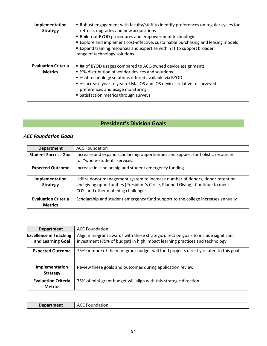| Implementation<br><b>Strategy</b>            | • Robust engagement with faculty/staff to identify preferences on regular cycles for<br>refresh, upgrades and new acquisitions<br><b>E</b> Build-out BYOD procedures and empowerment technologies<br><b>Explore and implement cost-effective, sustainable purchasing and leasing models</b><br><b>Expand training resources and expertise within IT to support broader</b><br>range of technology solutions |
|----------------------------------------------|-------------------------------------------------------------------------------------------------------------------------------------------------------------------------------------------------------------------------------------------------------------------------------------------------------------------------------------------------------------------------------------------------------------|
| <b>Evaluation Criteria</b><br><b>Metrics</b> | ■ ## of BYOD usages compared to ACC-owned device assignments<br>• %% distribution of vendor devices and solutions<br>• % of technology solutions offered available via BYOD<br>■ % increase year to year of MacOS and iOS devices relative to surveyed<br>preferences and usage monitoring<br>• Satisfaction metrics through surveys                                                                        |

# **President's Division Goals**

## *ACC Foundation Goals*

| <b>Department</b>                            | <b>ACC Foundation</b>                                                                                                                                                                                   |
|----------------------------------------------|---------------------------------------------------------------------------------------------------------------------------------------------------------------------------------------------------------|
| <b>Student Success Goal</b>                  | Increase and expand scholarship opportunities and support for holistic resources<br>for "whole-student" services.                                                                                       |
| <b>Expected Outcome</b>                      | Increase in scholarship and student emergency funding.                                                                                                                                                  |
| Implementation<br><b>Strategy</b>            | Utilize donor management system to increase number of donors, donor retention<br>and giving opportunities (President's Circle, Planned Giving). Continue to meet<br>COSI and other matching challenges. |
| <b>Evaluation Criteria</b><br><b>Metrics</b> | Scholarship and student emergency fund support to the college increases annually                                                                                                                        |

| <b>Department</b>                                  | <b>ACC Foundation</b>                                                                                                                                              |
|----------------------------------------------------|--------------------------------------------------------------------------------------------------------------------------------------------------------------------|
| <b>Excellence in Teaching</b><br>and Learning Goal | Align mini-grant awards with these strategic direction goals to include significant<br>investment (75% of budget) in high impact learning practices and technology |
| <b>Expected Outcome</b>                            | 75% or more of the mini-grant budget will fund projects directly related to this goal                                                                              |
| Implementation<br><b>Strategy</b>                  | Review these goals and outcomes during application review                                                                                                          |
| <b>Evaluation Criteria</b><br><b>Metrics</b>       | 75% of mini-grant budget will align with this strategic direction                                                                                                  |

| Der<br>----<br>31 I L<br>-- | $\sim$ $\sim$ $\sim$<br>- AC<br>.<br>.<br>udduul. |
|-----------------------------|---------------------------------------------------|
|                             |                                                   |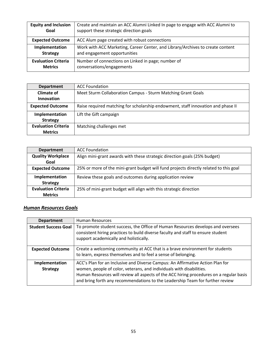| <b>Equity and Inclusion</b> | Create and maintain an ACC Alumni Linked In page to engage with ACC Alumni to  |
|-----------------------------|--------------------------------------------------------------------------------|
| Goal                        | support these strategic direction goals                                        |
| <b>Expected Outcome</b>     | ACC Alum page created with robust connections                                  |
| Implementation              | Work with ACC Marketing, Career Center, and Library/Archives to create content |
| <b>Strategy</b>             | and engagement opportunities                                                   |
| <b>Evaluation Criteria</b>  | Number of connections on Linked in page; number of                             |
| <b>Metrics</b>              | conversations/engagements                                                      |

| <b>Department</b>          | <b>ACC Foundation</b>                                                            |
|----------------------------|----------------------------------------------------------------------------------|
| <b>Climate of</b>          | Meet Sturm Collaboration Campus - Sturm Matching Grant Goals                     |
| <b>Innovation</b>          |                                                                                  |
| <b>Expected Outcome</b>    | Raise required matching for scholarship endowment, staff innovation and phase II |
| Implementation             | Lift the Gift campaign                                                           |
| <b>Strategy</b>            |                                                                                  |
| <b>Evaluation Criteria</b> | Matching challenges met                                                          |
| <b>Metrics</b>             |                                                                                  |

| <b>Department</b>          | <b>ACC Foundation</b>                                                                 |
|----------------------------|---------------------------------------------------------------------------------------|
| <b>Quality Workplace</b>   | Align mini-grant awards with these strategic direction goals (25% budget)             |
| Goal                       |                                                                                       |
| <b>Expected Outcome</b>    | 25% or more of the mini-grant budget will fund projects directly related to this goal |
| Implementation             | Review these goals and outcomes during application review                             |
| <b>Strategy</b>            |                                                                                       |
| <b>Evaluation Criteria</b> | 25% of mini-grant budget will align with this strategic direction                     |
| <b>Metrics</b>             |                                                                                       |

## *Human Resources Goals*

| <b>Department</b>                 | <b>Human Resources</b>                                                                                                                                                                                                                                                                                                             |
|-----------------------------------|------------------------------------------------------------------------------------------------------------------------------------------------------------------------------------------------------------------------------------------------------------------------------------------------------------------------------------|
| <b>Student Success Goal</b>       | To promote student success, the Office of Human Resources develops and oversees<br>consistent hiring practices to build diverse faculty and staff to ensure student<br>support academically and holistically.                                                                                                                      |
| <b>Expected Outcome</b>           | Create a welcoming community at ACC that is a brave environment for students<br>to learn, express themselves and to feel a sense of belonging.                                                                                                                                                                                     |
| Implementation<br><b>Strategy</b> | ACC's Plan for an Inclusive and Diverse Campus: An Affirmative Action Plan for<br>women, people of color, veterans, and individuals with disabilities.<br>Human Resources will review all aspects of the ACC hiring procedures on a regular basis<br>and bring forth any recommendations to the Leadership Team for further review |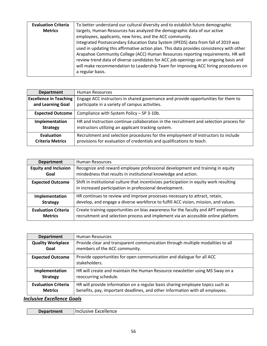| <b>Evaluation Criteria</b> | To better understand our cultural diversity and to establish future demographic          |
|----------------------------|------------------------------------------------------------------------------------------|
| <b>Metrics</b>             | targets, Human Resources has analyzed the demographic data of our active                 |
|                            | employees, applicants, new hires, and the ACC community.                                 |
|                            | Integrated Postsecondary Education Data System (IPEDS) data from fall of 2019 was        |
|                            | used in updating this affirmative action plan. This data provides consistency with other |
|                            | Arapahoe Community College (ACC) Human Resources reporting requirements. HR will         |
|                            | review trend data of diverse candidates for ACC job openings on an ongoing basis and     |
|                            | will make recommendation to Leadership Team for improving ACC hiring procedures on       |
|                            | a regular basis.                                                                         |
|                            |                                                                                          |

| <b>Department</b>             | Human Resources                                                                        |
|-------------------------------|----------------------------------------------------------------------------------------|
| <b>Excellence in Teaching</b> | Engage ACC instructors in shared governance and provide opportunities for them to      |
| and Learning Goal             | participate in a variety of campus activities.                                         |
| <b>Expected Outcome</b>       | Compliance with System Policy - SP 3-10b.                                              |
| Implementation                | HR and Instruction continue collaboration in the recruitment and selection process for |
| <b>Strategy</b>               | instructors utilizing an applicant tracking system.                                    |
| Evaluation                    | Recruitment and selection procedures for the employment of instructors to include      |
| <b>Criteria Metrics</b>       | provisions for evaluation of credentials and qualifications to teach.                  |

| <b>Department</b>           | <b>Human Resources</b>                                                                                                                             |
|-----------------------------|----------------------------------------------------------------------------------------------------------------------------------------------------|
| <b>Equity and Inclusion</b> | Recognize and reward employee professional development and training in equity                                                                      |
| Goal                        | mindedness that results in institutional knowledge and action.                                                                                     |
| <b>Expected Outcome</b>     | Shift in institutional culture that incentivizes participation in equity work resulting<br>in increased participation in professional development. |
| Implementation              | HR continues to review and improve processes necessary to attract, retain,                                                                         |
| <b>Strategy</b>             | develop, and engage a diverse workforce to fulfill ACC vision, mission, and values.                                                                |
| <b>Evaluation Criteria</b>  | Create training opportunities on bias awareness for the faculty and APT employee                                                                   |
| <b>Metrics</b>              | recruitment and selection process and implement via an accessible online platform.                                                                 |

| <b>Department</b>          | <b>Human Resources</b>                                                                 |
|----------------------------|----------------------------------------------------------------------------------------|
| <b>Quality Workplace</b>   | Provide clear and transparent communication through multiple modalities to all         |
| Goal                       | members of the ACC community.                                                          |
| <b>Expected Outcome</b>    | Provide opportunities for open communication and dialogue for all ACC<br>stakeholders. |
| Implementation             | HR will create and maintain the Human Resource newsletter using MS Sway on a           |
| <b>Strategy</b>            | reoccurring schedule.                                                                  |
| <b>Evaluation Criteria</b> | HR will provide information on a regular basis sharing employee topics such as         |
| <b>Metrics</b>             | benefits, pay, important deadlines, and other information with all employees.          |

*Inclusive Excellence Goals*

| <b>Department</b> | Excellence<br>Inc<br>:lusive |
|-------------------|------------------------------|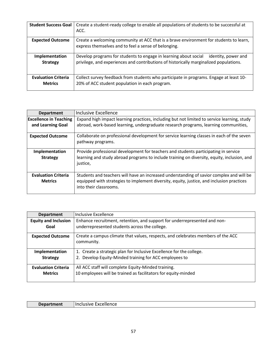| <b>Student Success Goal</b>                  | Create a student-ready college to enable all populations of students to be successful at<br>ACC.                                                                                  |
|----------------------------------------------|-----------------------------------------------------------------------------------------------------------------------------------------------------------------------------------|
| <b>Expected Outcome</b>                      | Create a welcoming community at ACC that is a brave environment for students to learn,<br>express themselves and to feel a sense of belonging.                                    |
| Implementation<br><b>Strategy</b>            | Develop programs for students to engage in learning about social<br>identity, power and<br>privilege, and experiences and contributions of historically marginalized populations. |
| <b>Evaluation Criteria</b><br><b>Metrics</b> | Collect survey feedback from students who participate in programs. Engage at least 10-<br>20% of ACC student population in each program.                                          |

| <b>Department</b>                            | Inclusive Excellence                                                                                                                                                                                            |
|----------------------------------------------|-----------------------------------------------------------------------------------------------------------------------------------------------------------------------------------------------------------------|
| <b>Excellence in Teaching</b>                | Expand high impact learning practices, including but not limited to service learning, study                                                                                                                     |
| and Learning Goal                            | abroad, work-based learning, undergraduate research programs, learning communities,                                                                                                                             |
| <b>Expected Outcome</b>                      | Collaborate on professional development for service learning classes in each of the seven<br>pathway programs.                                                                                                  |
| Implementation<br><b>Strategy</b>            | Provide professional development for teachers and students participating in service<br>learning and study abroad programs to include training on diversity, equity, inclusion, and<br>justice,                  |
| <b>Evaluation Criteria</b><br><b>Metrics</b> | Students and teachers will have an increased understanding of savior complex and will be<br>equipped with strategies to implement diversity, equity, justice, and inclusion practices<br>into their classrooms. |

| <b>Department</b>                            | Inclusive Excellence                                                                                                  |
|----------------------------------------------|-----------------------------------------------------------------------------------------------------------------------|
| <b>Equity and Inclusion</b>                  | Enhance recruitment, retention, and support for underrepresented and non-                                             |
| Goal                                         | underrepresented students across the college.                                                                         |
| <b>Expected Outcome</b>                      | Create a campus climate that values, respects, and celebrates members of the ACC<br>community.                        |
| Implementation                               | 1. Create a strategic plan for Inclusive Excellence for the college.                                                  |
| <b>Strategy</b>                              | 2. Develop Equity-Minded training for ACC employees to                                                                |
| <b>Evaluation Criteria</b><br><b>Metrics</b> | All ACC staff will complete Equity-Minded training.<br>10 employees will be trained as facilitators for equity-minded |

| <b>Department</b> | Excellence<br>Inclusive |
|-------------------|-------------------------|
|                   |                         |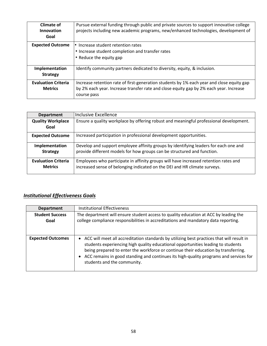| Climate of<br>Innovation<br>Goal | Pursue external funding through public and private sources to support innovative college<br>projects including new academic programs, new/enhanced technologies, development of |
|----------------------------------|---------------------------------------------------------------------------------------------------------------------------------------------------------------------------------|
| <b>Expected Outcome</b>          | • Increase student retention rates                                                                                                                                              |
|                                  | • Increase student completion and transfer rates                                                                                                                                |
|                                  | • Reduce the equity gap                                                                                                                                                         |
| Implementation                   | Identify community partners dedicated to diversity, equity, & inclusion.                                                                                                        |
| <b>Strategy</b>                  |                                                                                                                                                                                 |
| <b>Evaluation Criteria</b>       | Increase retention rate of first-generation students by 1% each year and close equity gap                                                                                       |
| <b>Metrics</b>                   | by 2% each year. Increase transfer rate and close equity gap by 2% each year. Increase                                                                                          |
|                                  | course pass                                                                                                                                                                     |

| <b>Department</b>                            | Inclusive Excellence                                                                                                                                              |
|----------------------------------------------|-------------------------------------------------------------------------------------------------------------------------------------------------------------------|
| <b>Quality Workplace</b><br>Goal             | Ensure a quality workplace by offering robust and meaningful professional development.                                                                            |
| <b>Expected Outcome</b>                      | Increased participation in professional development opportunities.                                                                                                |
| Implementation<br><b>Strategy</b>            | Develop and support employee affinity groups by identifying leaders for each one and<br>provide different models for how groups can be structured and function.   |
| <b>Evaluation Criteria</b><br><b>Metrics</b> | Employees who participate in affinity groups will have increased retention rates and<br>increased sense of belonging indicated on the DEI and HR climate surveys. |

## *Institutional Effectiveness Goals*

| <b>Department</b>              | Institutional Effectiveness                                                                                                                                                                                                                                                                                                                                                                     |
|--------------------------------|-------------------------------------------------------------------------------------------------------------------------------------------------------------------------------------------------------------------------------------------------------------------------------------------------------------------------------------------------------------------------------------------------|
| <b>Student Success</b><br>Goal | The department will ensure student access to quality education at ACC by leading the<br>college compliance responsibilities in accreditations and mandatory data reporting.                                                                                                                                                                                                                     |
| <b>Expected Outcomes</b>       | • ACC will meet all accreditation standards by utilizing best practices that will result in<br>students experiencing high quality educational opportunities leading to students<br>being prepared to enter the workforce or continue their education by transferring.<br>• ACC remains in good standing and continues its high-quality programs and services for<br>students and the community. |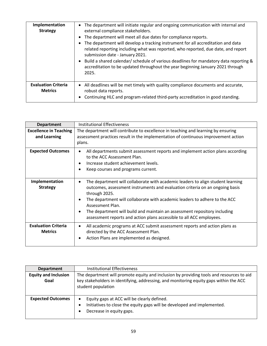| Implementation<br><b>Strategy</b>            | The department will initiate regular and ongoing communication with internal and<br>$\bullet$<br>external compliance stakeholders.<br>The department will meet all due dates for compliance reports.<br>$\bullet$<br>The department will develop a tracking instrument for all accreditation and data<br>$\bullet$<br>related reporting including what was reported, who reported, due date, and report<br>submission date - January 2021.<br>Build a shared calendar/ schedule of various deadlines for mandatory data reporting &<br>$\bullet$<br>accreditation to be updated throughout the year beginning January 2021 through<br>2025. |
|----------------------------------------------|---------------------------------------------------------------------------------------------------------------------------------------------------------------------------------------------------------------------------------------------------------------------------------------------------------------------------------------------------------------------------------------------------------------------------------------------------------------------------------------------------------------------------------------------------------------------------------------------------------------------------------------------|
|                                              |                                                                                                                                                                                                                                                                                                                                                                                                                                                                                                                                                                                                                                             |
| <b>Evaluation Criteria</b><br><b>Metrics</b> | All deadlines will be met timely with quality compliance documents and accurate,<br>$\bullet$<br>robust data reports.<br>Continuing HLC and program-related third-party accreditation in good standing.<br>$\bullet$                                                                                                                                                                                                                                                                                                                                                                                                                        |

| <b>Department</b>                             | <b>Institutional Effectiveness</b>                                                                                                                                                                                                                                                                                                                                                                                                                                             |
|-----------------------------------------------|--------------------------------------------------------------------------------------------------------------------------------------------------------------------------------------------------------------------------------------------------------------------------------------------------------------------------------------------------------------------------------------------------------------------------------------------------------------------------------|
| <b>Excellence in Teaching</b><br>and Learning | The department will contribute to excellence in teaching and learning by ensuring<br>assessment practices result in the implementation of continuous improvement action<br>plans.                                                                                                                                                                                                                                                                                              |
| <b>Expected Outcomes</b>                      | All departments submit assessment reports and implement action plans according<br>$\bullet$<br>to the ACC Assessment Plan.<br>Increase student achievement levels.<br>$\bullet$<br>Keep courses and programs current.<br>$\bullet$                                                                                                                                                                                                                                             |
| Implementation<br><b>Strategy</b>             | The department will collaborate with academic leaders to align student learning<br>$\bullet$<br>outcomes, assessment instruments and evaluation criteria on an ongoing basis<br>through 2025.<br>The department will collaborate with academic leaders to adhere to the ACC<br>$\bullet$<br>Assessment Plan.<br>The department will build and maintain an assessment repository including<br>$\bullet$<br>assessment reports and action plans accessible to all ACC employees. |
| <b>Evaluation Criteria</b><br><b>Metrics</b>  | All academic programs at ACC submit assessment reports and action plans as<br>$\bullet$<br>directed by the ACC Assessment Plan.<br>Action Plans are implemented as designed.<br>$\bullet$                                                                                                                                                                                                                                                                                      |

| <b>Department</b>           | Institutional Effectiveness                                                                                  |
|-----------------------------|--------------------------------------------------------------------------------------------------------------|
| <b>Equity and Inclusion</b> | The department will promote equity and inclusion by providing tools and resources to aid                     |
| Goal                        | key stakeholders in identifying, addressing, and monitoring equity gaps within the ACC<br>student population |
|                             |                                                                                                              |
| <b>Expected Outcomes</b>    | Equity gaps at ACC will be clearly defined.<br>$\bullet$                                                     |
|                             | Initiatives to close the equity gaps will be developed and implemented.<br>$\bullet$                         |
|                             | Decrease in equity gaps.                                                                                     |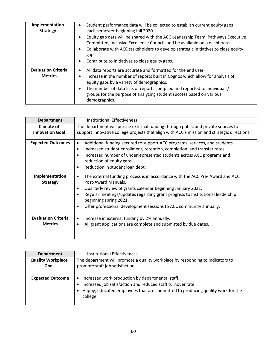| Implementation<br><b>Strategy</b>            | Student performance data will be collected to establish current equity gaps<br>$\bullet$<br>each semester beginning fall 2020.<br>Equity gap data will be shared with the ACC Leadership Team, Pathways Executive<br>٠<br>Committee, Inclusive Excellence Council, and be available on a dashboard.<br>Collaborate with ACC stakeholders to develop strategic initiatives to close equity<br>٠<br>gaps.<br>Contribute to initiatives to close equity gaps.<br>٠ |
|----------------------------------------------|-----------------------------------------------------------------------------------------------------------------------------------------------------------------------------------------------------------------------------------------------------------------------------------------------------------------------------------------------------------------------------------------------------------------------------------------------------------------|
| <b>Evaluation Criteria</b><br><b>Metrics</b> | All data reports are accurate and formatted for the end user.<br>$\bullet$<br>Increase in the number of reports built in Cognos which allow for analysis of<br>$\bullet$<br>equity gaps by a variety of demographics.<br>The number of data lists or reports compiled and reported to individuals/<br>٠<br>groups for the purpose of analyzing student success based on various<br>demographics.                                                                |

| <b>Department</b>          | <b>Institutional Effectiveness</b>                                                                      |
|----------------------------|---------------------------------------------------------------------------------------------------------|
| <b>Climate of</b>          | The department will pursue external funding through public and private sources to                       |
| <b>Innovation Goal</b>     | support innovative college projects that align with ACC's mission and strategic directions.             |
| <b>Expected Outcomes</b>   | Additional funding secured to support ACC programs, services, and students.<br>$\bullet$                |
|                            | Increased student enrollment, retention, completion, and transfer rates.<br>$\bullet$                   |
|                            | Increased number of underrepresented students across ACC programs and                                   |
|                            | reduction of equity gaps.                                                                               |
|                            | Reduction in student loan debt.                                                                         |
| Implementation             | The external funding process is in accordance with the ACC Pre-Award and ACC<br>$\bullet$               |
| <b>Strategy</b>            | Post-Award Manuals.                                                                                     |
|                            | Quarterly review of grants calendar beginning January 2021.                                             |
|                            | Regular meetings/updates regarding grant progress to institutional leadership<br>beginning spring 2021. |
|                            | Offer professional development sessions to ACC community annually.                                      |
| <b>Evaluation Criteria</b> | Increase in external funding by 2% annually.<br>٠                                                       |
| <b>Metrics</b>             | All grant applications are complete and submitted by due dates.                                         |
|                            |                                                                                                         |

| <b>Department</b>                | <b>Institutional Effectiveness</b>                                                                                                                                                                            |
|----------------------------------|---------------------------------------------------------------------------------------------------------------------------------------------------------------------------------------------------------------|
| <b>Quality Workplace</b><br>Goal | The department will promote a quality workplace by responding to indicators to<br>promote staff job satisfaction.                                                                                             |
|                                  |                                                                                                                                                                                                               |
| <b>Expected Outcome</b>          | Increased work production by departmental staff.<br>Increased job satisfaction and reduced staff turnover rate.<br>Happy, educated employees that are committed to producing quality work for the<br>college. |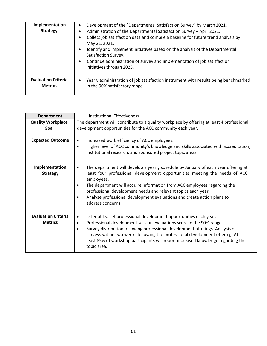| Implementation<br><b>Strategy</b>            | Development of the "Departmental Satisfaction Survey" by March 2021.<br>$\bullet$<br>Administration of the Departmental Satisfaction Survey - April 2021.<br>Collect job satisfaction data and compile a baseline for future trend analysis by<br>May 21, 2021.<br>Identify and implement initiatives based on the analysis of the Departmental<br>$\bullet$<br>Satisfaction Survey.<br>Continue administration of survey and implementation of job satisfaction<br>$\bullet$<br>initiatives through 2025. |
|----------------------------------------------|------------------------------------------------------------------------------------------------------------------------------------------------------------------------------------------------------------------------------------------------------------------------------------------------------------------------------------------------------------------------------------------------------------------------------------------------------------------------------------------------------------|
| <b>Evaluation Criteria</b><br><b>Metrics</b> | Yearly administration of job satisfaction instrument with results being benchmarked<br>$\bullet$<br>in the 90% satisfactory range.                                                                                                                                                                                                                                                                                                                                                                         |

| <b>Department</b>          | <b>Institutional Effectiveness</b>                                                                                                                                                                                                                                            |
|----------------------------|-------------------------------------------------------------------------------------------------------------------------------------------------------------------------------------------------------------------------------------------------------------------------------|
| <b>Quality Workplace</b>   | The department will contribute to a quality workplace by offering at least 4 professional                                                                                                                                                                                     |
| Goal                       | development opportunities for the ACC community each year.                                                                                                                                                                                                                    |
|                            |                                                                                                                                                                                                                                                                               |
| <b>Expected Outcome</b>    | Increased work efficiency of ACC employees.<br>٠                                                                                                                                                                                                                              |
|                            | Higher level of ACC community's knowledge and skills associated with accreditation,<br>٠                                                                                                                                                                                      |
|                            | institutional research, and sponsored project topic areas.                                                                                                                                                                                                                    |
|                            |                                                                                                                                                                                                                                                                               |
| Implementation             | The department will develop a yearly schedule by January of each year offering at<br>٠                                                                                                                                                                                        |
| <b>Strategy</b>            | least four professional development opportunities meeting the needs of ACC<br>employees.                                                                                                                                                                                      |
|                            | The department will acquire information from ACC employees regarding the<br>٠                                                                                                                                                                                                 |
|                            | professional development needs and relevant topics each year.                                                                                                                                                                                                                 |
|                            | Analyze professional development evaluations and create action plans to<br>address concerns.                                                                                                                                                                                  |
|                            |                                                                                                                                                                                                                                                                               |
|                            |                                                                                                                                                                                                                                                                               |
| <b>Evaluation Criteria</b> | Offer at least 4 professional development opportunities each year.<br>$\bullet$                                                                                                                                                                                               |
| <b>Metrics</b>             | Professional development session evaluations score in the 90% range.<br>٠                                                                                                                                                                                                     |
|                            | Survey distribution following professional development offerings. Analysis of<br>$\bullet$<br>surveys within two weeks following the professional development offering. At<br>least 85% of workshop participants will report increased knowledge regarding the<br>topic area. |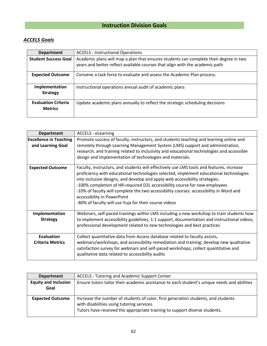## *ACCELS Goals*

| <b>Department</b>                            | <b>ACCELS - Instructional Operations</b>                                                                                                                              |
|----------------------------------------------|-----------------------------------------------------------------------------------------------------------------------------------------------------------------------|
| <b>Student Success Goal</b>                  | Academic plans will map a plan that ensures students can complete their degree in two<br>years and better reflect available courses that align with the academic path |
| <b>Expected Outcome</b>                      | Convene a task force to evaluate and assess the Academic Plan process.                                                                                                |
| Implementation<br><b>Strategy</b>            | Instructional operations annual audit of academic plans                                                                                                               |
| <b>Evaluation Criteria</b><br><b>Metrics</b> | Update academic plans annually to reflect the strategic scheduling decisions                                                                                          |

| <b>Department</b>                                  | <b>ACCELS - eLearning</b>                                                                                                                                                                                                                                                                                                                                                                                                                                                                                                         |
|----------------------------------------------------|-----------------------------------------------------------------------------------------------------------------------------------------------------------------------------------------------------------------------------------------------------------------------------------------------------------------------------------------------------------------------------------------------------------------------------------------------------------------------------------------------------------------------------------|
| <b>Excellence in Teaching</b><br>and Learning Goal | Promote success of faculty, instructors, and students teaching and learning online and<br>remotely through Learning Management System (LMS) support and administration,<br>research, and training related to inclusivity and educational technologies and accessible<br>design and implementation of technologies and materials.                                                                                                                                                                                                  |
| <b>Expected Outcome</b>                            | Faculty, instructors, and students will effectively use LMS tools and features, increase<br>proficiency with educational technologies selected, implement educational technologies<br>into inclusive designs, and develop and apply web accessibility strategies.<br>-100% completion of HR-required D2L accessibility course for new employees<br>-10% of faculty will complete the two accessibility courses: accessibility in Word and<br>accessibility in PowerPoint<br>-80% of faculty will use Yuja for their course videos |
| Implementation<br><b>Strategy</b>                  | Webinars, self-paced trainings within LMS including a new workshop to train students how<br>to implement accessibility guidelines, 1:1 support, documentation and instructional videos,<br>professional development related to new technologies and best practices                                                                                                                                                                                                                                                                |
| Evaluation<br><b>Criteria Metrics</b>              | Collect quantitative data from Access database related to faculty assists,<br>webinars/workshops, and accessibility remediation and training; develop new qualitative<br>satisfaction survey for webinars and self-paced workshops; collect quantitative and<br>qualitative data related to accessibility audits                                                                                                                                                                                                                  |

| <b>Department</b>                   | ACCELS - Tutoring and Academic Support Center                                                                                                                                                                 |
|-------------------------------------|---------------------------------------------------------------------------------------------------------------------------------------------------------------------------------------------------------------|
| <b>Equity and Inclusion</b><br>Goal | Ensure tutors tailor their academic assistance to each student's unique needs and abilities                                                                                                                   |
| <b>Expected Outcome</b>             | Increase the number of students of color, first generation students, and students<br>with disabilities using tutoring services.<br>Tutors have received the appropriate training to support diverse students. |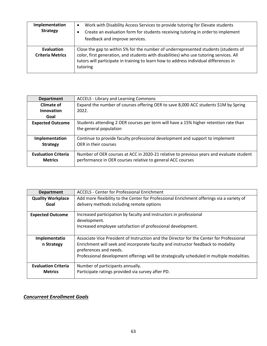| Implementation<br><b>Strategy</b>            | Work with Disability Access Services to provide tutoring for Elevate students<br>$\bullet$<br>Create an evaluation form for students receiving tutoring in order to implement<br>feedback and improve services.                                                                     |
|----------------------------------------------|-------------------------------------------------------------------------------------------------------------------------------------------------------------------------------------------------------------------------------------------------------------------------------------|
| <b>Evaluation</b><br><b>Criteria Metrics</b> | Close the gap to within 5% for the number of underrepresented students (students of<br>color, first generation, and students with disabilities) who use tutoring services. All<br>tutors will participate in training to learn how to address individual differences in<br>tutoring |

| <b>Department</b>                            | <b>ACCELS - Library and Learning Commons</b>                                                                                                          |
|----------------------------------------------|-------------------------------------------------------------------------------------------------------------------------------------------------------|
| Climate of                                   | Expand the number of courses offering OER to save 8,000 ACC students \$1M by Spring                                                                   |
| Innovation                                   | 2022.                                                                                                                                                 |
| Goal                                         |                                                                                                                                                       |
| <b>Expected Outcome</b>                      | Students attending 2 OER courses per term will have a 15% higher retention rate than<br>the general population                                        |
| Implementation                               | Continue to provide faculty professional development and support to implement                                                                         |
| <b>Strategy</b>                              | OER in their courses                                                                                                                                  |
| <b>Evaluation Criteria</b><br><b>Metrics</b> | Number of OER courses at ACC in 2020-21 relative to previous years and evaluate student<br>performance in OER courses relative to general ACC courses |

| <b>Department</b>          | <b>ACCELS - Center for Professional Enrichment</b>                                                         |
|----------------------------|------------------------------------------------------------------------------------------------------------|
| <b>Quality Workplace</b>   | Add more flexibility to the Center for Professional Enrichment offerings via a variety of                  |
| Goal                       | delivery methods including remote options                                                                  |
| <b>Expected Outcome</b>    | Increased participation by faculty and instructors in professional<br>development.                         |
|                            | Increased employee satisfaction of professional development.                                               |
| Implementatio              | Associate Vice President of Instruction and the Director for the Center for Professional                   |
| n Strategy                 | Enrichment will seek and incorporate faculty and instructor feedback to modality<br>preferences and needs. |
|                            | Professional development offerings will be strategically scheduled in multiple modalities.                 |
| <b>Evaluation Criteria</b> | Number of participants annually.                                                                           |
| <b>Metrics</b>             | Participate ratings provided via survey after PD.                                                          |

# *Concurrent Enrollment Goals*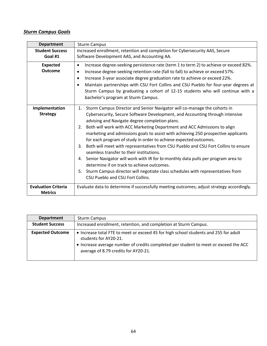## *Sturm Campus Goals*

| <b>Department</b>                            | <b>Sturm Campus</b>                                                                                                                                                                                                                                                                                                                                                                                                                                                                                                                                                                                                                                                                                                                                                                                                                                          |
|----------------------------------------------|--------------------------------------------------------------------------------------------------------------------------------------------------------------------------------------------------------------------------------------------------------------------------------------------------------------------------------------------------------------------------------------------------------------------------------------------------------------------------------------------------------------------------------------------------------------------------------------------------------------------------------------------------------------------------------------------------------------------------------------------------------------------------------------------------------------------------------------------------------------|
| <b>Student Success</b>                       | Increased enrollment, retention and completion for Cybersecurity AAS, Secure                                                                                                                                                                                                                                                                                                                                                                                                                                                                                                                                                                                                                                                                                                                                                                                 |
| Goal #1                                      | Software Development AAS, and Accounting AA.                                                                                                                                                                                                                                                                                                                                                                                                                                                                                                                                                                                                                                                                                                                                                                                                                 |
| <b>Expected</b><br><b>Outcome</b>            | Increase degree-seeking persistence rate (term 1 to term 2) to achieve or exceed 82%.<br>$\bullet$<br>Increase degree-seeking retention rate (fall to fall) to achieve or exceed 57%.<br>Increase 3-year associate degree graduation rate to achieve or exceed 22%.<br>Maintain partnerships with CSU Fort Collins and CSU Pueblo for four-year degrees at<br>Sturm Campus by graduating a cohort of 12-15 students who will continue with a<br>bachelor's program at Sturm Campus.                                                                                                                                                                                                                                                                                                                                                                          |
| Implementation<br><b>Strategy</b>            | 1. Sturm Campus Director and Senior Navigator will co-manage the cohorts in<br>Cybersecurity, Secure Software Development, and Accounting through intensive<br>advising and Navigate degree completion plans.<br>2. Both will work with ACC Marketing Department and ACC Admissions to align<br>marketing and admissions goals to assist with achieving 250 prospective applicants<br>for each program of study in order to achieve expected outcomes.<br>Both will meet with representatives from CSU Pueblo and CSU Fort Collins to ensure<br>3.<br>seamless transfer to their institutions.<br>4. Senior Navigator will work with IR for bi-monthly data pulls per program area to<br>determine if on track to achieve outcomes.<br>5. Sturm Campus director will negotiate class schedules with representatives from<br>CSU Pueblo and CSU Fort Collins. |
| <b>Evaluation Criteria</b><br><b>Metrics</b> | Evaluate data to determine if successfully meeting outcomes; adjust strategy accordingly.                                                                                                                                                                                                                                                                                                                                                                                                                                                                                                                                                                                                                                                                                                                                                                    |

| <b>Department</b>       | <b>Sturm Campus</b>                                                                                                                                                                                                                           |
|-------------------------|-----------------------------------------------------------------------------------------------------------------------------------------------------------------------------------------------------------------------------------------------|
| <b>Student Success</b>  | Increased enrollment, retention, and completion at Sturm Campus.                                                                                                                                                                              |
| <b>Expected Outcome</b> | • Increase total FTE to meet or exceed 45 for high school students and 255 for adult<br>students for AY20-21.<br>• Increase average number of credits completed per student to meet or exceed the ACC<br>average of 8.79 credits for AY20-21. |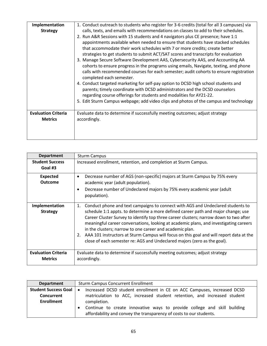| Implementation             | 1. Conduct outreach to students who register for 3-6 credits (total for all 3 campuses) via                        |
|----------------------------|--------------------------------------------------------------------------------------------------------------------|
| <b>Strategy</b>            | calls, texts, and emails with recommendations on classes to add to their schedules.                                |
|                            | 2. Run A&R Sessions with 15 students and 4 navigators plus CE presence; have 1:1                                   |
|                            | appointments available when needed to ensure that students have stacked schedules                                  |
|                            | that accommodate their work schedules with 7 or more credits; create better                                        |
|                            | strategies to get students to submit ACT/SAT scores and transcripts for evaluation                                 |
|                            | 3. Manage Secure Software Development AAS, Cybersecurity AAS, and Accounting AA                                    |
|                            | cohorts to ensure progress in the programs using emails, Navigate, texting, and phone                              |
|                            | calls with recommended courses for each semester; audit cohorts to ensure registration<br>completed each semester. |
|                            | 4. Conduct targeted marketing for self-pay option to DCSD high school students and                                 |
|                            | parents; timely coordinate with DCSD administrators and the DCSD counselors                                        |
|                            | regarding course offerings for students and modalities for AY21-22.                                                |
|                            | 5. Edit Sturm Campus webpage; add video clips and photos of the campus and technology                              |
|                            |                                                                                                                    |
| <b>Evaluation Criteria</b> | Evaluate data to determine if successfully meeting outcomes; adjust strategy                                       |
| <b>Metrics</b>             | accordingly.                                                                                                       |
|                            |                                                                                                                    |
|                            |                                                                                                                    |
|                            |                                                                                                                    |

| <b>Department</b>          | <b>Sturm Campus</b>                                                                           |
|----------------------------|-----------------------------------------------------------------------------------------------|
| <b>Student Success</b>     | Increased enrollment, retention, and completion at Sturm Campus.                              |
| Goal #3                    |                                                                                               |
| <b>Expected</b>            | Decrease number of AGS (non-specific) majors at Sturm Campus by 75% every                     |
| <b>Outcome</b>             | academic year (adult population).                                                             |
|                            | Decrease number of Undeclared majors by 75% every academic year (adult                        |
|                            | population).                                                                                  |
|                            |                                                                                               |
| Implementation             | Conduct phone and text campaigns to connect with AGS and Undeclared students to<br>1.         |
| <b>Strategy</b>            | schedule 1:1 appts. to determine a more defined career path and major change; use             |
|                            | Career Cluster Survey to identify top three career clusters; narrow down to two after         |
|                            | meaningful career conversations, looking at academic plans, and investigating careers         |
|                            | in the clusters; narrow to one career and academic plan.                                      |
|                            | AAA 101 instructors at Sturm Campus will focus on this goal and will report data at the<br>2. |
|                            | close of each semester re: AGS and Undeclared majors (zero as the goal).                      |
|                            |                                                                                               |
| <b>Evaluation Criteria</b> | Evaluate data to determine if successfully meeting outcomes; adjust strategy                  |
| <b>Metrics</b>             | accordingly.                                                                                  |
|                            |                                                                                               |

| <b>Department</b>        | <b>Sturm Campus Concurrent Enrollment</b>                                                                                                       |
|--------------------------|-------------------------------------------------------------------------------------------------------------------------------------------------|
| Student Success Goal   • | Increased DCSD student enrollment in CE on ACC Campuses, increased DCSD                                                                         |
| <b>Concurrent</b>        | matriculation to ACC, increased student retention, and increased student                                                                        |
| <b>Enrollment</b>        | completion.                                                                                                                                     |
|                          | Continue to create innovative ways to provide college and skill building<br>affordability and convey the transparency of costs to our students. |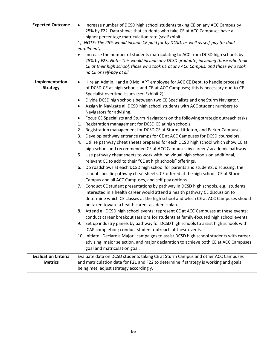| <b>Expected Outcome</b>    | Increase number of DCSD high school students taking CE on any ACC Campus by<br>$\bullet$<br>25% by F22. Data shows that students who take CE at ACC Campuses have a<br>higher percentage matriculation rate (see Exhibit<br>1). NOTE: The 25% would include CE paid for by DCSD, as well as self-pay (or dual<br>enrollment).<br>Increase the number of students matriculating to ACC from DCSD high schools by<br>25% by F23. Note: This would include any DCSD graduate, including those who took<br>CE at their high school, those who took CE at any ACC Campus, and those who took<br>no CE or self-pay at all. |
|----------------------------|----------------------------------------------------------------------------------------------------------------------------------------------------------------------------------------------------------------------------------------------------------------------------------------------------------------------------------------------------------------------------------------------------------------------------------------------------------------------------------------------------------------------------------------------------------------------------------------------------------------------|
| Implementation             | Hire an Admin. I and a 9 Mo. APT employee for ACC CE Dept. to handle processing<br>$\bullet$                                                                                                                                                                                                                                                                                                                                                                                                                                                                                                                         |
| <b>Strategy</b>            | of DCSD CE at high schools and CE at ACC Campuses; this is necessary due to CE                                                                                                                                                                                                                                                                                                                                                                                                                                                                                                                                       |
|                            | Specialist overtime issues (see Exhibit 2).                                                                                                                                                                                                                                                                                                                                                                                                                                                                                                                                                                          |
|                            | Divide DCSD high schools between two CE Specialists and one Sturm Navigator.<br>٠                                                                                                                                                                                                                                                                                                                                                                                                                                                                                                                                    |
|                            | Assign in Navigate all DCSD high school students with ACC student numbers to<br>$\bullet$                                                                                                                                                                                                                                                                                                                                                                                                                                                                                                                            |
|                            | Navigators for advising.<br>Focus CE Specialists and Sturm Navigators on the following strategic outreach tasks:                                                                                                                                                                                                                                                                                                                                                                                                                                                                                                     |
|                            | $\bullet$<br>Registration management for DCSD CE at high schools.<br>1.                                                                                                                                                                                                                                                                                                                                                                                                                                                                                                                                              |
|                            | Registration management for DCSD CE at Sturm, Littleton, and Parker Campuses.<br>2.                                                                                                                                                                                                                                                                                                                                                                                                                                                                                                                                  |
|                            | Develop pathway entrance ramps for CE at ACC Campuses for DCSD counselors.<br>3.                                                                                                                                                                                                                                                                                                                                                                                                                                                                                                                                     |
|                            | Utilize pathway cheat sheets prepared for each DCSD high school which show CE at<br>4.                                                                                                                                                                                                                                                                                                                                                                                                                                                                                                                               |
|                            | high school and recommended CE at ACC Campuses by career / academic pathway.                                                                                                                                                                                                                                                                                                                                                                                                                                                                                                                                         |
|                            | Use pathway cheat sheets to work with individual high schools on additional,<br>5.                                                                                                                                                                                                                                                                                                                                                                                                                                                                                                                                   |
|                            | relevant CE to add to their "CE at high schools" offerings.                                                                                                                                                                                                                                                                                                                                                                                                                                                                                                                                                          |
|                            | Do roadshows at each DCSD high school for parents and students, discussing: the<br>6.                                                                                                                                                                                                                                                                                                                                                                                                                                                                                                                                |
|                            | school-specific pathway cheat sheets, CE offered at the high school, CE at Sturm<br>Campus and all ACC Campuses, and self-pay options.                                                                                                                                                                                                                                                                                                                                                                                                                                                                               |
|                            | 7. Conduct CE student presentations by pathway in DCSD high schools, e.g., students                                                                                                                                                                                                                                                                                                                                                                                                                                                                                                                                  |
|                            | interested in a health career would attend a health pathway CE discussion to                                                                                                                                                                                                                                                                                                                                                                                                                                                                                                                                         |
|                            | determine which CE classes at the high school and which CE at ACC Campuses should                                                                                                                                                                                                                                                                                                                                                                                                                                                                                                                                    |
|                            | be taken toward a health career academic plan.                                                                                                                                                                                                                                                                                                                                                                                                                                                                                                                                                                       |
|                            | 8. Attend all DCSD high school events; represent CE at ACC Campuses at these events;                                                                                                                                                                                                                                                                                                                                                                                                                                                                                                                                 |
|                            | conduct career breakout sessions for students at family-focused high school events;                                                                                                                                                                                                                                                                                                                                                                                                                                                                                                                                  |
|                            | Set up industry panels by pathway for DCSD high schools to assist high schools with<br>9.                                                                                                                                                                                                                                                                                                                                                                                                                                                                                                                            |
|                            | ICAP completion; conduct student outreach at these events.                                                                                                                                                                                                                                                                                                                                                                                                                                                                                                                                                           |
|                            | 10. Initiate "Declare a Major" campaigns to assist DCSD high school students with career                                                                                                                                                                                                                                                                                                                                                                                                                                                                                                                             |
|                            | advising, major selection, and major declaration to achieve both CE at ACC Campuses                                                                                                                                                                                                                                                                                                                                                                                                                                                                                                                                  |
|                            | goal and matriculation goal.                                                                                                                                                                                                                                                                                                                                                                                                                                                                                                                                                                                         |
| <b>Evaluation Criteria</b> | Evaluate data on DCSD students taking CE at Sturm Campus and other ACC Campuses                                                                                                                                                                                                                                                                                                                                                                                                                                                                                                                                      |
| <b>Metrics</b>             | and matriculation data for F21 and F22 to determine if strategy is working and goals                                                                                                                                                                                                                                                                                                                                                                                                                                                                                                                                 |
|                            | being met; adjust strategy accordingly.                                                                                                                                                                                                                                                                                                                                                                                                                                                                                                                                                                              |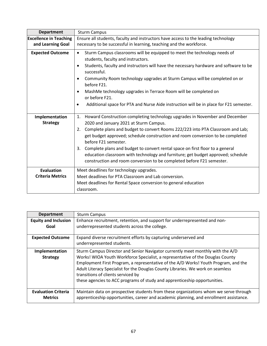| <b>Department</b>                                  | <b>Sturm Campus</b>                                                                                                                                                                                                                                                                                                                                                                                                                                                                                                                                                 |
|----------------------------------------------------|---------------------------------------------------------------------------------------------------------------------------------------------------------------------------------------------------------------------------------------------------------------------------------------------------------------------------------------------------------------------------------------------------------------------------------------------------------------------------------------------------------------------------------------------------------------------|
| <b>Excellence in Teaching</b><br>and Learning Goal | Ensure all students, faculty and instructors have access to the leading technology<br>necessary to be successful in learning, teaching and the workforce.                                                                                                                                                                                                                                                                                                                                                                                                           |
| <b>Expected Outcome</b>                            | Sturm Campus classrooms will be equipped to meet the technology needs of<br>$\bullet$<br>students, faculty and instructors.<br>Students, faculty and instructors will have the necessary hardware and software to be<br>$\bullet$<br>successful.<br>Community Room technology upgrades at Sturm Campus will be completed on or<br>$\bullet$<br>before F21.<br>MashMe technology upgrades in Terrace Room will be completed on<br>$\bullet$<br>or before F21.<br>Additional space for PTA and Nurse Aide instruction will be in place for F21 semester.<br>$\bullet$ |
| Implementation                                     | Howard Construction completing technology upgrades in November and December<br>1.                                                                                                                                                                                                                                                                                                                                                                                                                                                                                   |
| <b>Strategy</b>                                    | 2020 and January 2021 at Sturm Campus.<br>Complete plans and budget to convert Rooms 222/223 into PTA Classroom and Lab;<br>2.<br>get budget approved; schedule construction and room conversion to be completed<br>before F21 semester.<br>Complete plans and budget to convert rental space on first floor to a general<br>3.<br>education classroom with technology and furniture; get budget approved; schedule<br>construction and room conversion to be completed before F21 semester.                                                                        |
| <b>Evaluation</b>                                  | Meet deadlines for technology upgrades.                                                                                                                                                                                                                                                                                                                                                                                                                                                                                                                             |
| <b>Criteria Metrics</b>                            | Meet deadlines for PTA Classroom and Lab conversion.                                                                                                                                                                                                                                                                                                                                                                                                                                                                                                                |
|                                                    | Meet deadlines for Rental Space conversion to general education<br>classroom.                                                                                                                                                                                                                                                                                                                                                                                                                                                                                       |

| <b>Department</b>                            | <b>Sturm Campus</b>                                                                                                                                                                                                                                                                                                                                                                                                                                           |
|----------------------------------------------|---------------------------------------------------------------------------------------------------------------------------------------------------------------------------------------------------------------------------------------------------------------------------------------------------------------------------------------------------------------------------------------------------------------------------------------------------------------|
| <b>Equity and Inclusion</b>                  | Enhance recruitment, retention, and support for underrepresented and non-                                                                                                                                                                                                                                                                                                                                                                                     |
| Goal                                         | underrepresented students across the college.                                                                                                                                                                                                                                                                                                                                                                                                                 |
| <b>Expected Outcome</b>                      | Expand diverse recruitment efforts by capturing underserved and<br>underrepresented students.                                                                                                                                                                                                                                                                                                                                                                 |
| Implementation<br><b>Strategy</b>            | Sturm Campus Director and Senior Navigator currently meet monthly with the A/D<br>Works! WIOA Youth Workforce Specialist, a representative of the Douglas County<br>Employment First Program, a representative of the A/D Works! Youth Program, and the<br>Adult Literacy Specialist for the Douglas County Libraries. We work on seamless<br>transitions of clients serviced by<br>these agencies to ACC programs of study and apprenticeship opportunities. |
| <b>Evaluation Criteria</b><br><b>Metrics</b> | Maintain data on prospective students from these organizations whom we serve through<br>apprenticeship opportunities, career and academic planning, and enrollment assistance.                                                                                                                                                                                                                                                                                |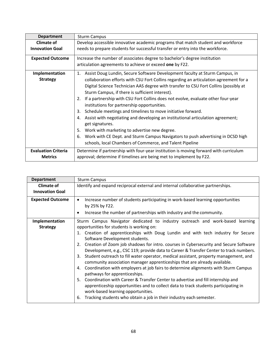| <b>Department</b>          | <b>Sturm Campus</b>                                                                    |
|----------------------------|----------------------------------------------------------------------------------------|
| <b>Climate of</b>          | Develop accessible innovative academic programs that match student and workforce       |
| <b>Innovation Goal</b>     | needs to prepare students for successful transfer or entry into the workforce.         |
| <b>Expected Outcome</b>    | Increase the number of associates degree to bachelor's degree institution              |
|                            | articulation agreements to achieve or exceed one by F22.                               |
| Implementation             | Assist Doug Lundin, Secure Software Development faculty at Sturm Campus, in<br>1.      |
| <b>Strategy</b>            | collaboration efforts with CSU Fort Collins regarding an articulation agreement for a  |
|                            | Digital Science Technician AAS degree with transfer to CSU Fort Collins (possibly at   |
|                            | Sturm Campus, if there is sufficient interest).                                        |
|                            | If a partnership with CSU Fort Collins does not evolve, evaluate other four-year<br>2. |
|                            | institutions for partnership opportunities.                                            |
|                            | Schedule meetings and timelines to move initiative forward.<br>3.                      |
|                            | Assist with negotiating and developing an institutional articulation agreement;<br>4.  |
|                            | get signatures.                                                                        |
|                            | Work with marketing to advertise new degree.<br>5.                                     |
|                            | Work with CE Dept. and Sturm Campus Navigators to push advertising in DCSD high<br>6.  |
|                            | schools, local Chambers of Commerce, and Talent Pipeline                               |
| <b>Evaluation Criteria</b> | Determine if partnership with four-year institution is moving forward with curriculum  |
| <b>Metrics</b>             | approval; determine if timelines are being met to implement by F22.                    |

| <b>Department</b>       | <b>Sturm Campus</b>                                                                                                                                                     |
|-------------------------|-------------------------------------------------------------------------------------------------------------------------------------------------------------------------|
| <b>Climate of</b>       | Identify and expand reciprocal external and internal collaborative partnerships.                                                                                        |
| <b>Innovation Goal</b>  |                                                                                                                                                                         |
| <b>Expected Outcome</b> | Increase number of students participating in work-based learning opportunities<br>٠                                                                                     |
|                         | by 25% by F22.                                                                                                                                                          |
|                         | Increase the number of partnerships with industry and the community.                                                                                                    |
| Implementation          | Sturm Campus Navigator dedicated to industry outreach and work-based learning                                                                                           |
| <b>Strategy</b>         | opportunities for students is working on:                                                                                                                               |
|                         | Creation of apprenticeships with Doug Lundin and with tech industry for Secure<br>1.                                                                                    |
|                         | Software Development students.                                                                                                                                          |
|                         | Creation of Zoom job shadows for intro. courses in Cybersecurity and Secure Software<br>2.                                                                              |
|                         | Development, e.g., CSC 119; provide data to Career & Transfer Center to track numbers.                                                                                  |
|                         | Student outreach to fill water operator, medical assistant, property management, and<br>3.<br>community association manager apprenticeships that are already available. |
|                         | Coordination with employers at job fairs to determine alignments with Sturm Campus<br>4.<br>pathways for apprenticeships.                                               |
|                         | Coordination with Career & Transfer Center to advertise and fill internship and<br>5.                                                                                   |
|                         | apprenticeship opportunities and to collect data to track students participating in                                                                                     |
|                         | work-based learning opportunities.                                                                                                                                      |
|                         | Tracking students who obtain a job in their industry each semester.<br>6.                                                                                               |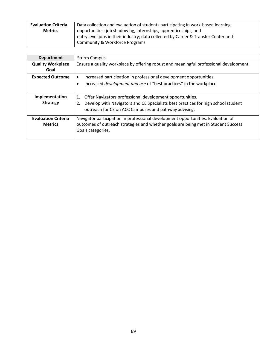| <b>Evaluation Criteria</b> | Data collection and evaluation of students participating in work-based learning    |
|----------------------------|------------------------------------------------------------------------------------|
| <b>Metrics</b>             | opportunities: job shadowing, internships, apprenticeships, and                    |
|                            | entry level jobs in their industry; data collected by Career & Transfer Center and |
|                            | Community & Workforce Programs                                                     |

| <b>Department</b>          | <b>Sturm Campus</b>                                                                     |
|----------------------------|-----------------------------------------------------------------------------------------|
| <b>Quality Workplace</b>   | Ensure a quality workplace by offering robust and meaningful professional development.  |
| Goal                       |                                                                                         |
| <b>Expected Outcome</b>    | Increased participation in professional development opportunities.<br>$\bullet$         |
|                            | Increased <i>development and use</i> of "best practices" in the workplace.<br>$\bullet$ |
|                            |                                                                                         |
| Implementation             | Offer Navigators professional development opportunities.<br>1.                          |
| <b>Strategy</b>            | Develop with Navigators and CE Specialists best practices for high school student<br>2. |
|                            | outreach for CE on ACC Campuses and pathway advising.                                   |
| <b>Evaluation Criteria</b> | Navigator participation in professional development opportunities. Evaluation of        |
| <b>Metrics</b>             | outcomes of outreach strategies and whether goals are being met in Student Success      |
|                            | Goals categories.                                                                       |
|                            |                                                                                         |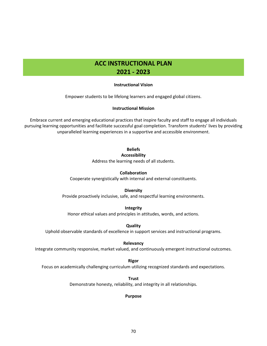## **ACC INSTRUCTIONAL PLAN 2021 - 2023**

#### **Instructional Vision**

Empower students to be lifelong learners and engaged global citizens.

#### **Instructional Mission**

Embrace current and emerging educational practices that inspire faculty and staff to engage all individuals pursuing learning opportunities and facilitate successful goal completion. Transform students' lives by providing unparalleled learning experiences in a supportive and accessible environment.

## **Beliefs**

#### **Accessibility**

Address the learning needs of all students.

#### **Collaboration**

Cooperate synergistically with internal and external constituents.

#### **Diversity**

Provide proactively inclusive, safe, and respectful learning environments.

#### **Integrity**

Honor ethical values and principles in attitudes, words, and actions.

**Quality**

Uphold observable standards of excellence in support services and instructional programs.

#### **Relevancy**

Integrate community responsive, market valued, and continuously emergent instructional outcomes.

**Rigor**

Focus on academically challenging curriculum utilizing recognized standards and expectations.

**Trust** Demonstrate honesty, reliability, and integrity in all relationships.

#### **Purpose**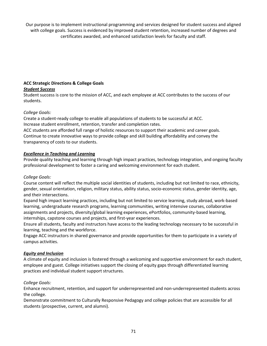Our purpose is to implement instructional programming and services designed for student success and aligned with college goals. Success is evidenced by improved student retention, increased number of degrees and certificates awarded, and enhanced satisfaction levels for faculty and staff.

# **ACC Strategic Directions & College Goals**

### *Student Success*

Student success is core to the mission of ACC, and each employee at ACC contributes to the success of our students.

## *College Goals:*

Create a student-ready college to enable all populations of students to be successful at ACC. Increase student enrollment, retention, transfer and completion rates.

ACC students are afforded full range of holistic resources to support their academic and career goals. Continue to create innovative ways to provide college and skill building affordability and convey the transparency of costs to our students.

## *Excellence in Teaching and Learning*

Provide quality teaching and learning through high impact practices, technology integration, and ongoing faculty professional development to foster a caring and welcoming environment for each student.

### *College Goals:*

Course content will reflect the multiple social identities of students, including but not limited to race, ethnicity, gender, sexual orientation, religion, military status, ability status, socio-economic status, gender identity, age, and their intersections.

Expand high impact learning practices, including but not limited to service learning, study abroad, work-based learning, undergraduate research programs, learning communities, writing intensive courses, collaborative assignments and projects, diversity/global learning experiences, ePortfolios, community-based learning, internships, capstone courses and projects, and first-year experiences.

Ensure all students, faculty and instructors have access to the leading technology necessary to be successful in learning, teaching and the workforce.

Engage ACC instructors in shared governance and provide opportunities for them to participate in a variety of campus activities.

### *Equity and Inclusion*

A climate of equity and inclusion is fostered through a welcoming and supportive environment for each student, employee and guest. College initiatives support the closing of equity gaps through differentiated learning practices and individual student support structures.

### *College Goals:*

Enhance recruitment, retention, and support for underrepresented and non-underrepresented students across the college.

Demonstrate commitment to Culturally Responsive Pedagogy and college policies that are accessible for all students (prospective, current, and alumni).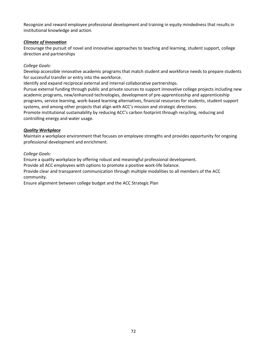Recognize and reward employee professional development and training in equity mindedness that results in institutional knowledge and action.

### *Climate of Innovation*

Encourage the pursuit of novel and innovative approaches to teaching and learning, student support, college direction and partnerships

### *College Goals:*

Develop accessible innovative academic programs that match student and workforce needs to prepare students for successful transfer or entry into the workforce.

Identify and expand reciprocal external and internal collaborative partnerships.

Pursue external funding through public and private sources to support innovative college projects including new academic programs, new/enhanced technologies, development of pre-apprenticeship and apprenticeship programs, service learning, work-based learning alternatives, financial resources for students, student support systems, and among other projects that align with ACC's mission and strategic directions.

Promote institutional sustainability by reducing ACC's carbon footprint through recycling, reducing and controlling energy and water usage.

### *Quality Workplace*

Maintain a workplace environment that focuses on employee strengths and provides opportunity for ongoing professional development and enrichment.

*College Goals:*

Ensure a quality workplace by offering robust and meaningful professional development.

Provide all ACC employees with options to promote a positive work-life balance.

Provide clear and transparent communication through multiple modalities to all members of the ACC community.

Ensure alignment between college budget and the ACC Strategic Plan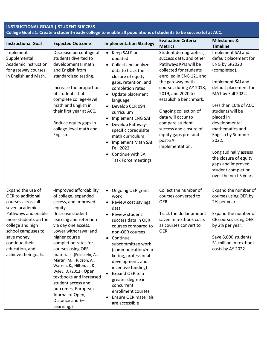| <b>INSTRUCTIONAL GOALS   STUDENT SUCCESS</b><br>College Goal #1: Create a student-ready college to enable all populations of students to be successful at ACC.                                                                                     |                                                                                                                                                                                                                                                                                                                                                                                                                                                                                            |                                                                                                                                                                                                                                                                                                                                                                                                                                                                         |                                                                                                                                                                                                                                                                                                                                                                                 |                                                                                                                                                                                                                                                                                                                                                                                                  |
|----------------------------------------------------------------------------------------------------------------------------------------------------------------------------------------------------------------------------------------------------|--------------------------------------------------------------------------------------------------------------------------------------------------------------------------------------------------------------------------------------------------------------------------------------------------------------------------------------------------------------------------------------------------------------------------------------------------------------------------------------------|-------------------------------------------------------------------------------------------------------------------------------------------------------------------------------------------------------------------------------------------------------------------------------------------------------------------------------------------------------------------------------------------------------------------------------------------------------------------------|---------------------------------------------------------------------------------------------------------------------------------------------------------------------------------------------------------------------------------------------------------------------------------------------------------------------------------------------------------------------------------|--------------------------------------------------------------------------------------------------------------------------------------------------------------------------------------------------------------------------------------------------------------------------------------------------------------------------------------------------------------------------------------------------|
| <b>Instructional Goal</b>                                                                                                                                                                                                                          | <b>Expected Outcome</b>                                                                                                                                                                                                                                                                                                                                                                                                                                                                    | <b>Implementation Strategy</b>                                                                                                                                                                                                                                                                                                                                                                                                                                          | <b>Evaluation Criteria</b><br><b>Metrics</b>                                                                                                                                                                                                                                                                                                                                    | <b>Milestones &amp;</b><br><b>Timeline</b>                                                                                                                                                                                                                                                                                                                                                       |
| Implement<br>Supplemental<br>Academic Instruction<br>for gateway courses<br>in English and Math.                                                                                                                                                   | Decrease percentage of<br>students diverted to<br>developmental math<br>and English from<br>standardized testing.<br>Increase the proportion<br>of students that<br>complete college-level<br>math and English in<br>their first year at ACC.<br>Reduce equity gaps in<br>college-level math and<br>English.                                                                                                                                                                               | • Keep SAI Plan<br>updated<br>Collect and analyze<br>$\bullet$<br>data to track the<br>closure of equity<br>gaps, retention, and<br>completion rates<br>Update placement<br>$\bullet$<br>language<br>Develop CCR 094<br>$\bullet$<br>curriculum<br>Implement ENG SAI<br>$\bullet$<br>Develop Pathway-<br>$\bullet$<br>specific corequisite<br>math curriculum<br><b>Implement Math SAI</b><br>$\bullet$<br><b>Fall 2022</b><br>Continue with SAI<br>Task Force meetings | Student demographics,<br>success data, and other<br>Pathways KPIs will be<br>collected for students<br>enrolled in ENG 121 and<br>the gateway math<br>courses during AY 2018,<br>2019, and 2020 to<br>establish a benchmark.<br>Ongoing collection of<br>data will occur to<br>compare student<br>success and closure of<br>equity gaps pre- and<br>post-SAI<br>implementation. | Implement SAI and<br>default placement for<br>ENG by SP2020<br>(completed).<br>Implement SAI and<br>default placement for<br>MAT by Fall 2022.<br>Less than 10% of ACC<br>students will be<br>placed in<br>developmental<br>mathematics and<br>English by Summer<br>2022.<br>Longitudinally assess<br>the closure of equity<br>gaps and improved<br>student completion<br>over the next 5 years. |
| Expand the use of<br>OER to additional<br>courses across all<br>seven academic<br>Pathways and enable<br>more students on the<br>college and high<br>school campuses to<br>save money,<br>continue their<br>education, and<br>achieve their goals. | -Improved affordability<br>of college, expanded<br>access, and improved<br>equity.<br>-Increase student<br>learning and retention<br>via day one access.<br>Lower withdrawal and<br>higher course<br>completion rates for<br>courses using OER<br>materials. (Feldstein, A.,<br>Martin, M., Hudson, A.,<br>Warren, K., Hilton, J., &<br>Wiley, D. (2012). Open<br>textbooks and increased<br>student access and<br>outcomes. European<br>Journal of Open,<br>Distance and E-<br>Learning.) | Ongoing OER grant<br>$\bullet$<br>work<br>Review cost savings<br>$\bullet$<br>data<br>Review student<br>success data in OER<br>courses compared to<br>non-OER courses<br>Continue<br>$\bullet$<br>subcommittee work<br>(communication/mar<br>keting, professional<br>development, and<br>incentive funding)<br>Expand OER to a<br>$\bullet$<br>greater degree in<br>concurrent<br>enrollment courses<br><b>Ensure OER materials</b><br>٠<br>are accessible              | Collect the number of<br>courses converted to<br>OER.<br>Track the dollar amount<br>saved in textbook costs<br>as courses convert to<br>OER.                                                                                                                                                                                                                                    | Expand the number of<br>courses using OER by<br>2% per year.<br>Expand the number of<br>CE courses using OER<br>by 2% per year.<br>Save 8,000 students<br>\$1 million in textbook<br>costs by AY 2022.                                                                                                                                                                                           |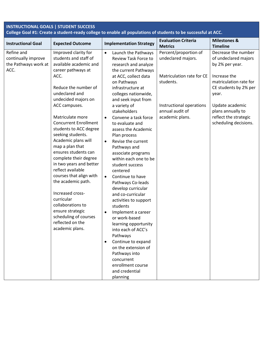| <b>INSTRUCTIONAL GOALS   STUDENT SUCCESS</b><br>College Goal #1: Create a student-ready college to enable all populations of students to be successful at ACC. |                                                                                                 |                                                                                                          |                                              |                                                                 |
|----------------------------------------------------------------------------------------------------------------------------------------------------------------|-------------------------------------------------------------------------------------------------|----------------------------------------------------------------------------------------------------------|----------------------------------------------|-----------------------------------------------------------------|
| <b>Instructional Goal</b>                                                                                                                                      | <b>Expected Outcome</b>                                                                         | <b>Implementation Strategy</b>                                                                           | <b>Evaluation Criteria</b><br><b>Metrics</b> | <b>Milestones &amp;</b><br><b>Timeline</b>                      |
| Refine and<br>continually improve<br>the Pathways work at<br>ACC.                                                                                              | Improved clarity for<br>students and staff of<br>available academic and<br>career pathways at   | Launch the Pathways<br>$\bullet$<br>Review Task Force to<br>research and analyze<br>the current Pathways | Percent/proportion of<br>undeclared majors.  | Decrease the number<br>of undeclared majors<br>by 2% per year.  |
|                                                                                                                                                                | ACC.<br>Reduce the number of                                                                    | at ACC, collect data<br>on Pathways<br>infrastructure at                                                 | Matriculation rate for CE<br>students.       | Increase the<br>matriculation rate for<br>CE students by 2% per |
|                                                                                                                                                                | undeclared and<br>undecided majors on                                                           | colleges nationwide,<br>and seek input from                                                              |                                              | year.                                                           |
|                                                                                                                                                                | ACC campuses.                                                                                   | a variety of<br>stakeholders                                                                             | Instructional operations<br>annual audit of  | Update academic<br>plans annually to                            |
|                                                                                                                                                                | Matriculate more<br><b>Concurrent Enrollment</b><br>students to ACC degree<br>seeking students. | Convene a task force<br>$\bullet$<br>to evaluate and<br>assess the Academic<br>Plan process              | academic plans.                              | reflect the strategic<br>scheduling decisions.                  |
|                                                                                                                                                                | Academic plans will<br>map a plan that<br>ensures students can<br>complete their degree         | Revise the current<br>$\bullet$<br>Pathways and<br>associate programs<br>within each one to be           |                                              |                                                                 |
|                                                                                                                                                                | in two years and better<br>reflect available                                                    | student success<br>centered                                                                              |                                              |                                                                 |
|                                                                                                                                                                | courses that align with<br>the academic path.                                                   | Continue to have<br>$\bullet$<br>Pathways Co-leads<br>develop curricular                                 |                                              |                                                                 |
|                                                                                                                                                                | Increased cross-<br>curricular<br>collaborations to                                             | and co-curricular<br>activities to support<br>students                                                   |                                              |                                                                 |
|                                                                                                                                                                | ensure strategic<br>scheduling of courses<br>reflected on the                                   | Implement a career<br>$\bullet$<br>or work-based<br>learning opportunity                                 |                                              |                                                                 |
|                                                                                                                                                                | academic plans.                                                                                 | into each of ACC's<br>Pathways                                                                           |                                              |                                                                 |
|                                                                                                                                                                |                                                                                                 | Continue to expand<br>$\bullet$<br>on the extension of<br>Pathways into                                  |                                              |                                                                 |
|                                                                                                                                                                |                                                                                                 | concurrent<br>enrollment course<br>and credential<br>planning                                            |                                              |                                                                 |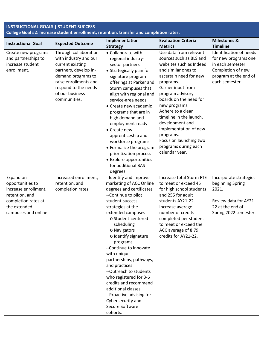| <b>INSTRUCTIONAL GOALS   STUDENT SUCCESS</b><br>College Goal #2: Increase student enrollment, retention, transfer and completion rates. |                                                                                                                                                                                                       |                                                                                                                                                                                                                                                                                                                                                                                                                                                                                                                                    |                                                                                                                                                                                                                                                                                                                                                                                                             |                                                                                                                                    |
|-----------------------------------------------------------------------------------------------------------------------------------------|-------------------------------------------------------------------------------------------------------------------------------------------------------------------------------------------------------|------------------------------------------------------------------------------------------------------------------------------------------------------------------------------------------------------------------------------------------------------------------------------------------------------------------------------------------------------------------------------------------------------------------------------------------------------------------------------------------------------------------------------------|-------------------------------------------------------------------------------------------------------------------------------------------------------------------------------------------------------------------------------------------------------------------------------------------------------------------------------------------------------------------------------------------------------------|------------------------------------------------------------------------------------------------------------------------------------|
| <b>Instructional Goal</b>                                                                                                               | <b>Expected Outcome</b>                                                                                                                                                                               | Implementation<br><b>Strategy</b>                                                                                                                                                                                                                                                                                                                                                                                                                                                                                                  | <b>Evaluation Criteria</b><br><b>Metrics</b>                                                                                                                                                                                                                                                                                                                                                                | <b>Milestones &amp;</b><br><b>Timeline</b>                                                                                         |
| Create new programs<br>and partnerships to<br>increase student<br>enrollment.                                                           | Through collaboration<br>with industry and our<br>current existing<br>partners, develop in-<br>demand programs to<br>raise enrollments and<br>respond to the needs<br>of our business<br>communities. | • Collaborate with<br>regional industry-<br>sector partners<br>• Strategically plan for<br>signature program<br>offerings at Parker and<br>Sturm campuses that<br>align with regional and<br>service-area needs<br>• Create new academic<br>programs that are in<br>high demand and<br>employment-ready<br>• Create new<br>apprenticeship and<br>workforce programs<br>• Formalize the program<br>prioritization process<br>• Explore opportunities<br>for additional BAS<br>degrees                                               | Use data from relevant<br>sources such as BLS and<br>websites such as Indeed<br>and similar ones to<br>ascertain need for new<br>programs.<br>Garner input from<br>program advisory<br>boards on the need for<br>new programs.<br>Adhere to a clear<br>timeline in the launch,<br>development and<br>implementation of new<br>programs.<br>Focus on launching two<br>programs during each<br>calendar year. | Identification of needs<br>for new programs one<br>in each semester<br>Completion of new<br>program at the end of<br>each semester |
| Expand on<br>opportunities to<br>increase enrollment,<br>retention, and<br>completion rates at<br>the extended<br>campuses and online.  | Increased enrollment,<br>retention, and<br>completion rates                                                                                                                                           | --Identify and improve<br>marketing of ACC Online<br>degrees and certificates<br>--Continue to pilot<br>student-success<br>strategies at the<br>extended campuses<br>o Student-centered<br>scheduling<br>o Navigators<br>o Identify signature<br>programs<br>--Continue to innovate<br>with unique<br>partnerships, pathways,<br>and practices<br>--Outreach to students<br>who registered for 3-6<br>credits and recommend<br>additional classes.<br>--Proactive advising for<br>Cybersecurity and<br>Secure Software<br>cohorts. | <b>Increase total Sturm FTE</b><br>to meet or exceed 45<br>for high school students<br>and 255 for adult<br>students AY21-22.<br>Increase average<br>number of credits<br>completed per student<br>to meet or exceed the<br>ACC average of 8.79<br>credits for AY21-22.                                                                                                                                     | Incorporate strategies<br>beginning Spring<br>2021.<br>Review data for AY21-<br>22 at the end of<br>Spring 2022 semester.          |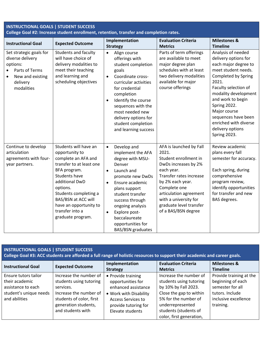| <b>INSTRUCTIONAL GOALS   STUDENT SUCCESS</b><br>College Goal #2: Increase student enrollment, retention, transfer and completion rates. |                                                                                                                                                                                                                                                                                    |                                                                                                                                                                                                                                                                                                                                        |                                                                                                                                                                                                                                                                     |                                                                                                                                                                                                                                                                                                                           |
|-----------------------------------------------------------------------------------------------------------------------------------------|------------------------------------------------------------------------------------------------------------------------------------------------------------------------------------------------------------------------------------------------------------------------------------|----------------------------------------------------------------------------------------------------------------------------------------------------------------------------------------------------------------------------------------------------------------------------------------------------------------------------------------|---------------------------------------------------------------------------------------------------------------------------------------------------------------------------------------------------------------------------------------------------------------------|---------------------------------------------------------------------------------------------------------------------------------------------------------------------------------------------------------------------------------------------------------------------------------------------------------------------------|
| <b>Instructional Goal</b>                                                                                                               | <b>Expected Outcome</b>                                                                                                                                                                                                                                                            | Implementation<br><b>Strategy</b>                                                                                                                                                                                                                                                                                                      | <b>Evaluation Criteria</b><br><b>Metrics</b>                                                                                                                                                                                                                        | <b>Milestones &amp;</b><br><b>Timeline</b>                                                                                                                                                                                                                                                                                |
| Set strategic goals for<br>diverse delivery<br>options:<br>Parts of Terms<br>$\bullet$<br>New and existing<br>delivery<br>modalities    | <b>Students and faculty</b><br>will have choice of<br>delivery modalities to<br>meet their teaching<br>and learning and<br>scheduling objectives                                                                                                                                   | Align course<br>$\bullet$<br>offerings with<br>student completion<br>goals<br>Coordinate cross-<br>$\bullet$<br>curricular activities<br>for credential<br>completion<br>Identify the course<br>$\bullet$<br>sequences with the<br>most needed new<br>delivery options for<br>student completion<br>and learning success               | Parts of term offerings<br>are available to meet<br>major degree plan<br>schedules with at least<br>two delivery modalities<br>available for major<br>course offerings                                                                                              | Analysis of needed<br>delivery options for<br>each major degree to<br>meet student needs.<br><b>Completed by Spring</b><br>2021.<br>Faculty selection of<br>modality development<br>and work to begin<br>Spring 2022.<br>Major course<br>sequences have been<br>enriched with diverse<br>delivery options<br>Spring 2023. |
| Continue to develop<br>articulation<br>agreements with four-<br>year partners.                                                          | Students will have an<br>opportunity to<br>complete an AFA and<br>transfer to at least one<br>BFA program.<br><b>Students have</b><br>additional DwD<br>options.<br>Students completing a<br>BAS/BSN at ACC will<br>have an opportunity to<br>transfer into a<br>graduate program. | Develop and<br>$\bullet$<br>implement the AFA<br>degree with MSU-<br>Denver<br>Launch and<br>$\bullet$<br>promote new DwDs<br>Ensure academic<br>$\bullet$<br>plans support<br>student transfer<br>success through<br>ongoing analysis<br>Explore post-<br>$\bullet$<br>baccalaureate<br>opportunities for<br><b>BAS/BSN</b> graduates | AFA is launched by Fall<br>2021.<br>Student enrollment in<br>DwDs increases by 2%<br>each year.<br>Transfer rates increase<br>by 2% each year.<br>Complete one<br>articulation agreement<br>with a university for<br>graduate level transfer<br>of a BAS/BSN degree | Review academic<br>plans every fall<br>semester for accuracy.<br>Each spring, during<br>comprehensive<br>program review,<br>identify opportunities<br>for transfer and new<br>BAS degrees.                                                                                                                                |

## **INSTRUCTIONAL GOALS | STUDENT SUCCESS**

**College Goal #3: ACC students are afforded a full range of holistic resources to support their academic and career goals.** 

| <b>Instructional Goal</b> | <b>Expected Outcome</b>  | Implementation            | <b>Evaluation Criteria</b> | <b>Milestones &amp;</b> |
|---------------------------|--------------------------|---------------------------|----------------------------|-------------------------|
|                           |                          | <b>Strategy</b>           | <b>Metrics</b>             | <b>Timeline</b>         |
| Ensure tutors tailor      | Increase the number of   | • Provide training        | Increase the number of     | Provide training at the |
| their academic            | students using tutoring  | opportunities for         | students using tutoring    | beginning of each       |
| assistance to each        | services.                | enhanced assistance       | by 10% by Fall 2023.       | semester for all        |
| student's unique needs    | Increase the number of   | • Work with Disability    | Close the gap to within    | tutors. Include         |
| and abilities             | students of color, first | <b>Access Services to</b> | 5% for the number of       | inclusive excellence    |
|                           | generation students,     | provide tutoring for      | underrepresented           | training.               |
|                           | and students with        | Elevate students          | students (students of      |                         |
|                           |                          |                           | color, first generation,   |                         |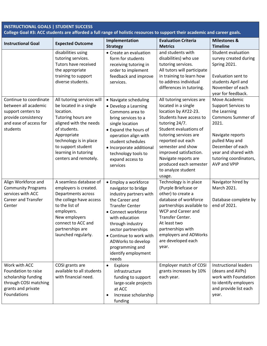| <b>INSTRUCTIONAL GOALS   STUDENT SUCCESS</b><br>College Goal #3: ACC students are afforded a full range of holistic resources to support their academic and career goals. |                                                                                                                                                                                                                                                   |                                                                                                                                                                                                                                                                                                           |                                                                                                                                                                                                                                                                                                                                |                                                                                                                                                                                                                              |
|---------------------------------------------------------------------------------------------------------------------------------------------------------------------------|---------------------------------------------------------------------------------------------------------------------------------------------------------------------------------------------------------------------------------------------------|-----------------------------------------------------------------------------------------------------------------------------------------------------------------------------------------------------------------------------------------------------------------------------------------------------------|--------------------------------------------------------------------------------------------------------------------------------------------------------------------------------------------------------------------------------------------------------------------------------------------------------------------------------|------------------------------------------------------------------------------------------------------------------------------------------------------------------------------------------------------------------------------|
| <b>Instructional Goal</b>                                                                                                                                                 | <b>Expected Outcome</b>                                                                                                                                                                                                                           | Implementation<br><b>Strategy</b>                                                                                                                                                                                                                                                                         | <b>Evaluation Criteria</b><br><b>Metrics</b>                                                                                                                                                                                                                                                                                   | <b>Milestones &amp;</b><br><b>Timeline</b>                                                                                                                                                                                   |
|                                                                                                                                                                           | disabilities using<br>tutoring services.<br>Tutors have received<br>the appropriate<br>training to support<br>diverse students.                                                                                                                   | • Create an evaluation<br>form for students<br>receiving tutoring in<br>order to implement<br>feedback and improve<br>services.                                                                                                                                                                           | and students with<br>disabilities) who use<br>tutoring services.<br>All tutors will participate<br>in training to learn how<br>to address individual<br>differences in tutoring.                                                                                                                                               | Student evaluation<br>survey created during<br>Spring 2021.<br>Evaluation sent to<br>students April and<br>November of each<br>year for feedback.                                                                            |
| Continue to coordinate<br>between all academic<br>support centers to<br>provide consistency<br>and ease of access for<br>students                                         | All tutoring services will<br>be located in a single<br>location.<br>Tutoring hours are<br>aligned with the needs<br>of students.<br>Appropriate<br>technology is in place<br>to support student<br>learning in tutoring<br>centers and remotely. | • Navigate scheduling<br>• Develop a Learning<br>Commons area to<br>bring services to a<br>single location<br>• Expand the hours of<br>operation align with<br>student schedules<br>· Incorporate additional<br>technology tools to<br>expand access to<br>services                                       | All tutoring services are<br>located in a single<br>location by AY22-23.<br>Students have access to<br>tutoring 24/7.<br>Student evaluations of<br>tutoring services are<br>reported out each<br>semester and show<br>improved satisfaction.<br>Navigate reports are<br>produced each semester<br>to analyze student<br>usage. | Move Academic<br><b>Support Services to</b><br>the Learning<br><b>Commons Summer of</b><br>2021.<br>Navigate reports<br>pulled May and<br>December of each<br>year and shared with<br>tutoring coordinators,<br>AVP and VPIP |
| Align Workforce and<br><b>Community Programs</b><br>services with ACC<br><b>Career and Transfer</b><br>Center                                                             | A seamless database of<br>employers is created.<br>Departments across<br>the college have access<br>to the list of<br>employers.<br>New employers<br>connect to ACC and<br>partnerships are<br>launched regularly.                                | • Employ a workforce<br>navigator to bridge<br>industry partners with<br>the Career and<br><b>Transfer Center</b><br>• Connect workforce<br>with education<br>through industry<br>sector partnerships<br>• Continue to work with<br>ADWorks to develop<br>programming and<br>identify employment<br>needs | Technology is in place<br>(Purple Briefcase or<br>other) to create a<br>database of workforce<br>partnerships available to<br>WCP and Career and<br>Transfer Center.<br>At least two<br>partnerships with<br>employers and ADWorks<br>are developed each<br>year.                                                              | Navigator hired by<br>March 2021.<br>Database complete by<br>end of 2021.                                                                                                                                                    |
| Work with ACC<br>Foundation to raise<br>scholarship funding<br>through COSI matching<br>grants and private<br>Foundations                                                 | COSI grants are<br>available to all students<br>with financial need.                                                                                                                                                                              | Explore<br>$\bullet$<br>infrastructure<br>funding to support<br>large-scale projects<br>at ACC<br>Increase scholarship<br>$\bullet$<br>funding                                                                                                                                                            | Employer match of COSI<br>grants increases by 10%<br>each year.                                                                                                                                                                                                                                                                | <b>Instructional leaders</b><br>(deans and AVPs)<br>work with Foundation<br>to identify employers<br>and provide list each<br>year.                                                                                          |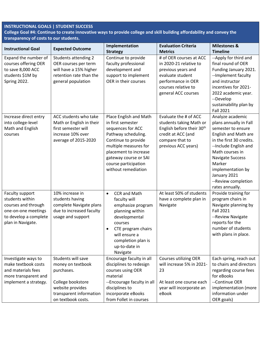## **INSTRUCTIONAL GOALS | STUDENT SUCCESS**

**College Goal #4: Continue to create innovative ways to provide college and skill building affordability and convey the transparency of costs to our students.** 

| <b>Instructional Goal</b>                                                                                                      | <b>Expected Outcome</b>                                                                                                                         | Implementation                                                                                                                                                                                                                           | <b>Evaluation Criteria</b>                                                                                                                                      | <b>Milestones &amp;</b>                                                                                                                                                                                                                                                              |
|--------------------------------------------------------------------------------------------------------------------------------|-------------------------------------------------------------------------------------------------------------------------------------------------|------------------------------------------------------------------------------------------------------------------------------------------------------------------------------------------------------------------------------------------|-----------------------------------------------------------------------------------------------------------------------------------------------------------------|--------------------------------------------------------------------------------------------------------------------------------------------------------------------------------------------------------------------------------------------------------------------------------------|
|                                                                                                                                |                                                                                                                                                 | <b>Strategy</b>                                                                                                                                                                                                                          | <b>Metrics</b>                                                                                                                                                  | <b>Timeline</b>                                                                                                                                                                                                                                                                      |
| Expand the number of<br>courses offering OER<br>to save 8,000 ACC<br>students \$1M by<br>Spring 2022.                          | <b>Students attending 2</b><br>OER courses per term<br>will have a 15% higher<br>retention rate than the<br>general population                  | Continue to provide<br>faculty professional<br>development and<br>support to implement<br>OER in their courses                                                                                                                           | # of OER courses at ACC<br>in 2020-21 relative to<br>previous years and<br>evaluate student<br>performance in OER<br>courses relative to<br>general ACC courses | --Apply for third and<br>final round of OER<br>Funding January 2021.<br>--Implement faculty<br>and instructor<br>incentives for 2021-<br>2022 academic year.<br>--Develop<br>sustainability plan by<br><b>Fall 2021</b>                                                              |
| Increase direct entry<br>into college-level<br>Math and English<br>courses                                                     | ACC students who take<br>Math or English in their<br>first semester will<br>increase 10% over<br>average of 2015-2020                           | Place English and Math<br>in first semester<br>sequences for ACC<br>Pathway scheduling.<br>Continue to provide<br>multiple measures for<br>placement to increase<br>gateway course or SAI<br>course participation<br>without remediation | Evaluate the # of ACC<br>students taking Math or<br>English before their 30 <sup>th</sup><br>credit at ACC (and<br>compare that to<br>previous ACC years)       | Analyze academic<br>plans annually in Fall<br>semester to ensure<br>English and Math are<br>in the first 30 credits.<br>--Include English and<br>Math courses in<br><b>Navigate Success</b><br>Marker<br>implementation by<br>January 2021<br>--Review completion<br>rates annually. |
| Faculty support<br>students within<br>courses and through<br>one-on-one meetings<br>to develop a complete<br>plan in Navigate. | 10% increase in<br>students having<br>complete Navigate plans<br>due to increased faculty<br>usage and support                                  | <b>CCR and Math</b><br>$\bullet$<br>faculty will<br>emphasize program<br>planning within<br>developmental<br>courses<br>CTE program chairs<br>$\bullet$<br>will ensure a<br>completion plan is<br>up-to-date in<br>Navigate              | At least 50% of students<br>have a complete plan in<br>Navigate                                                                                                 | Provide training for<br>program chairs in<br>Navigate planning by<br><b>Fall 2021</b><br>--Review Navigate<br>reports for the<br>number of students<br>with plans in place.                                                                                                          |
| Investigate ways to<br>make textbook costs<br>and materials fees<br>more transparent and<br>implement a strategy.              | Students will save<br>money on textbook<br>purchases.<br>College bookstore<br>website provides<br>transparent information<br>on textbook costs. | Encourage faculty in all<br>disciplines to redesign<br>courses using OER<br>material<br>--Encourage faculty in all<br>disciplines to<br>incorporate eBooks<br>from Follet in courses                                                     | Courses utilizing OER<br>will increase 5% in 2021-<br>23<br>At least one course each<br>year will incorporate an<br>eBook                                       | Each spring, reach out<br>to chairs and directors<br>regarding course fees<br>for eBooks<br>--Continue OER<br>implementation (more<br>information under<br>OER goals)                                                                                                                |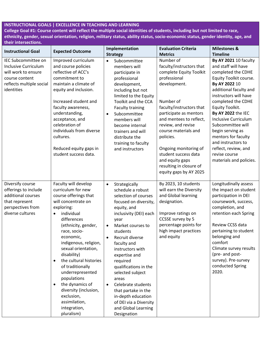**College Goal #1: Course content will reflect the multiple social identities of students, including but not limited to race, ethnicity, gender, sexual orientation, religion, military status, ability status, socio-economic status, gender identity, age, and their intersections.** 

| <b>Instructional Goal</b>                                                                                                             | <b>Expected Outcome</b>                                                                                                                                                                                                                                                                                                                                                                                                                                                      | Implementation                                                                                                                                                                                                                                                                                                                                                                                                                                                                                        | <b>Evaluation Criteria</b>                                                                                                                                                                                                                                                                                                                                                         | <b>Milestones &amp;</b>                                                                                                                                                                                                                                                                                                                                                                                                  |
|---------------------------------------------------------------------------------------------------------------------------------------|------------------------------------------------------------------------------------------------------------------------------------------------------------------------------------------------------------------------------------------------------------------------------------------------------------------------------------------------------------------------------------------------------------------------------------------------------------------------------|-------------------------------------------------------------------------------------------------------------------------------------------------------------------------------------------------------------------------------------------------------------------------------------------------------------------------------------------------------------------------------------------------------------------------------------------------------------------------------------------------------|------------------------------------------------------------------------------------------------------------------------------------------------------------------------------------------------------------------------------------------------------------------------------------------------------------------------------------------------------------------------------------|--------------------------------------------------------------------------------------------------------------------------------------------------------------------------------------------------------------------------------------------------------------------------------------------------------------------------------------------------------------------------------------------------------------------------|
|                                                                                                                                       |                                                                                                                                                                                                                                                                                                                                                                                                                                                                              | <b>Strategy</b>                                                                                                                                                                                                                                                                                                                                                                                                                                                                                       | <b>Metrics</b>                                                                                                                                                                                                                                                                                                                                                                     | <b>Timeline</b>                                                                                                                                                                                                                                                                                                                                                                                                          |
| IEC Subcommittee on<br><b>Inclusive Curriculum</b><br>will work to ensure<br>course content<br>reflects multiple social<br>identities | Improved curriculum<br>and course policies<br>reflective of ACC's<br>commitment to<br>maintain a climate of<br>equity and inclusion.<br>Increased student and<br>faculty awareness,<br>understanding,<br>acceptance, and<br>celebration of<br>individuals from diverse<br>cultures.<br>Reduced equity gaps in<br>student success data.                                                                                                                                       | Subcommittee<br>$\bullet$<br>members will<br>participate in<br>professional<br>development,<br>including but not<br>limited to the Equity<br>Toolkit and the CCA<br><b>Faculty training</b><br>Subcommittee<br>$\bullet$<br>members will<br>become internal<br>trainers and will<br>distribute the<br>training to faculty<br>and instructors                                                                                                                                                          | Number of<br>faculty/instructors that<br>complete Equity Toolkit<br>professional<br>development.<br>Number of<br>faculty/instructors that<br>participate as mentors<br>and mentees to reflect,<br>review, and revise<br>course materials and<br>policies.<br>Ongoing monitoring of<br>student success data<br>and equity gaps<br>resulting in closure of<br>equity gaps by AY 2025 | By AY 2021 10 faculty<br>and staff will have<br>completed the CDHE<br>Equity Toolkit course.<br>By AY 2022 10<br>additional faculty and<br>instructors will have<br>completed the CDHE<br>Equity Toolkit.<br>By AY 2022 the IEC<br><b>Inclusive Curriculum</b><br>Subcommittee will<br>begin serving as<br>mentors for faculty<br>and instructors to<br>reflect, review, and<br>revise course<br>materials and policies. |
| Diversify course<br>offerings to include<br>additional courses<br>that represent<br>perspectives from<br>diverse cultures             | Faculty will develop<br>curriculum for new<br>course offerings that<br>will concentrate on<br>exploring:<br>individual<br>differences<br>(ethnicity, gender,<br>race, socio-<br>economic,<br>indigenous, religion,<br>sexual orientation,<br>disability)<br>the cultural histories<br>$\bullet$<br>of traditionally<br>underrepresented<br>populations<br>the dynamics of<br>$\bullet$<br>diversity (inclusion,<br>exclusion,<br>assimilation,<br>integration,<br>pluralism) | Strategically<br>$\bullet$<br>schedule a robust<br>selection of courses<br>focused on diversity,<br>equity, and<br>inclusivity (DEI) each<br>year<br>Market courses to<br>$\bullet$<br>students<br>Recruit diverse<br>$\bullet$<br>faculty and<br>instructors with<br>expertise and<br>required<br>qualifications in the<br>selected subject<br>areas<br>Celebrate students<br>$\bullet$<br>that partake in the<br>in-depth education<br>of DEI via a Diversity<br>and Global Learning<br>Designation | By 2023, 10 students<br>will earn the Diversity<br>and Global learning<br>designation.<br>Improve ratings on<br>CCSSE survey by 5<br>percentage points for<br>high impact practices<br>and equity                                                                                                                                                                                  | Longitudinally assess<br>the impact on student<br>participation in DEI<br>coursework, success,<br>completion, and<br>retention each Spring<br>Review CCSS data<br>pertaining to student<br>belonging and<br>comfort<br>Climate survey results<br>(pre- and post-<br>survey). Pre-survey<br>conducted Spring<br>2020.                                                                                                     |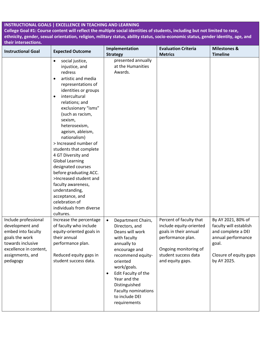**College Goal #1: Course content will reflect the multiple social identities of students, including but not limited to race, ethnicity, gender, sexual orientation, religion, military status, ability status, socio-economic status, gender identity, age, and their intersections.** 

| <b>Instructional Goal</b>                                                                                                                                      | <b>Expected Outcome</b>                                                                                                                                                                                                                                                                                                                                                                                                                                                                                                                                                                     | Implementation<br><b>Strategy</b>                                                                                                                                                                                                                                                                  | <b>Evaluation Criteria</b><br><b>Metrics</b>                                                                                                                          | <b>Milestones &amp;</b><br><b>Timeline</b>                                                                                                 |
|----------------------------------------------------------------------------------------------------------------------------------------------------------------|---------------------------------------------------------------------------------------------------------------------------------------------------------------------------------------------------------------------------------------------------------------------------------------------------------------------------------------------------------------------------------------------------------------------------------------------------------------------------------------------------------------------------------------------------------------------------------------------|----------------------------------------------------------------------------------------------------------------------------------------------------------------------------------------------------------------------------------------------------------------------------------------------------|-----------------------------------------------------------------------------------------------------------------------------------------------------------------------|--------------------------------------------------------------------------------------------------------------------------------------------|
|                                                                                                                                                                | social justice,<br>$\bullet$<br>injustice, and<br>redress<br>artistic and media<br>representations of<br>identities or groups<br>intercultural<br>$\bullet$<br>relations; and<br>exclusionary "isms"<br>(such as racism,<br>sexism,<br>heterosexism,<br>ageism, ableism,<br>nationalism)<br>> Increased number of<br>students that complete<br>4 GT Diversity and<br><b>Global Learning</b><br>designated courses<br>before graduating ACC.<br>>Increased student and<br>faculty awareness,<br>understanding,<br>acceptance, and<br>celebration of<br>individuals from diverse<br>cultures. | presented annually<br>at the Humanities<br>Awards.                                                                                                                                                                                                                                                 |                                                                                                                                                                       |                                                                                                                                            |
| Include professional<br>development and<br>embed into faculty<br>goals the work<br>towards inclusive<br>excellence in content,<br>assignments, and<br>pedagogy | Increase the percentage<br>of faculty who include<br>equity-oriented goals in<br>their annual<br>performance plan.<br>Reduced equity gaps in<br>student success data.                                                                                                                                                                                                                                                                                                                                                                                                                       | Department Chairs,<br>$\bullet$<br>Directors, and<br>Deans will work<br>with faculty<br>annually to<br>encourage and<br>recommend equity-<br>oriented<br>work/goals.<br>Edit Faculty of the<br>$\bullet$<br>Year and the<br>Distinguished<br>Faculty nominations<br>to include DEI<br>requirements | Percent of faculty that<br>include equity-oriented<br>goals in their annual<br>performance plan.<br>Ongoing monitoring of<br>student success data<br>and equity gaps. | By AY 2021, 80% of<br>faculty will establish<br>and complete a DEI<br>annual performance<br>goal.<br>Closure of equity gaps<br>by AY 2025. |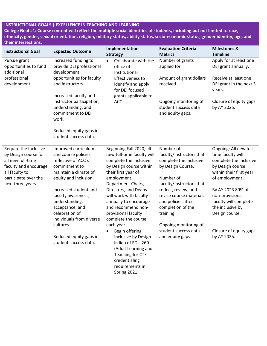**College Goal #1: Course content will reflect the multiple social identities of students, including but not limited to race, ethnicity, gender, sexual orientation, religion, military status, ability status, socio-economic status, gender identity, age, and their intersections.** 

| <b>Instructional Goal</b>                                                                                                                                 | <b>Expected Outcome</b>                                                                                                                                                                                                                                                                                                                | Implementation<br><b>Strategy</b>                                                                                                                                                                                                                                                                                                                                                                                                                                                                 | <b>Evaluation Criteria</b><br><b>Metrics</b>                                                                                                                                                                                                                                                                  | <b>Milestones &amp;</b><br><b>Timeline</b>                                                                                                                                                                                                                                             |
|-----------------------------------------------------------------------------------------------------------------------------------------------------------|----------------------------------------------------------------------------------------------------------------------------------------------------------------------------------------------------------------------------------------------------------------------------------------------------------------------------------------|---------------------------------------------------------------------------------------------------------------------------------------------------------------------------------------------------------------------------------------------------------------------------------------------------------------------------------------------------------------------------------------------------------------------------------------------------------------------------------------------------|---------------------------------------------------------------------------------------------------------------------------------------------------------------------------------------------------------------------------------------------------------------------------------------------------------------|----------------------------------------------------------------------------------------------------------------------------------------------------------------------------------------------------------------------------------------------------------------------------------------|
| Pursue grant<br>opportunities to fund<br>additional<br>professional<br>development                                                                        | Increased funding to<br>provide DEI professional<br>development<br>opportunities for faculty<br>and instructors.<br>Increased faculty and<br>instructor participation,<br>understanding, and<br>commitment to DEI<br>work.<br>Reduced equity gaps in<br>student success data.                                                          | Collaborate with the<br>$\bullet$<br>office of<br>Institutional<br>Effectiveness to<br>identify and apply<br>for DEI focused<br>grants applicable to<br><b>ACC</b>                                                                                                                                                                                                                                                                                                                                | Number of grants<br>applied for.<br>Amount of grant dollars<br>received.<br>Ongoing monitoring of<br>student success data<br>and equity gaps.                                                                                                                                                                 | Apply for at least one<br>DEI grant annually.<br>Receive at least one<br>DEI grant in the next 3<br>years.<br>Closure of equity gaps<br>by AY 2025.                                                                                                                                    |
| Require the Inclusive<br>by Design course for<br>all new full-time<br>faculty and encourage<br>all faculty to<br>participate over the<br>next three years | Improved curriculum<br>and course policies<br>reflective of ACC's<br>commitment to<br>maintain a climate of<br>equity and inclusion.<br>Increased student and<br>faculty awareness,<br>understanding,<br>acceptance, and<br>celebration of<br>individuals from diverse<br>cultures.<br>Reduced equity gaps in<br>student success data. | Beginning Fall 2020, all<br>new full-time faculty will<br>complete the Inclusive<br>by Design course within<br>their first year of<br>employment.<br>Department Chairs,<br>Directors, and Deans<br>will work with faculty<br>annually to encourage<br>and recommend non-<br>provisional faculty<br>complete the course<br>each year.<br>Begin offering<br>Inclusive by Design<br>in lieu of EDU 260<br>(Adult Learning and<br>Teaching for CTE<br>credentialing<br>requirements in<br>Spring 2021 | Number of<br>faculty/instructors that<br>complete the Inclusive<br>by Design Course.<br>Number of<br>faculty/instructors that<br>reflect, review, and<br>revise course materials<br>and policies after<br>completion of the<br>training.<br>Ongoing monitoring of<br>student success data<br>and equity gaps. | Ongoing: All new full-<br>time faculty will<br>complete the Inclusive<br>by Design course<br>within their first year<br>of employment.<br>By AY 2023 80% of<br>non-provisional<br>faculty will complete<br>the inclusive by<br>Design course.<br>Closure of equity gaps<br>by AY 2025. |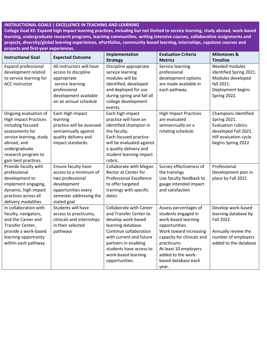**College Goal #2: Expand high impact learning practices, including but not limited to service learning, study abroad, work-based learning, undergraduate research programs, learning communities, writing intensive courses, collaborative assignments and projects, diversity/global learning experiences, ePortfolios, community-based learning, internships, capstone courses and projects and first-year experiences.** 

| <b>Instructional Goal</b>                                                                                                                                                                               | <b>Expected Outcome</b>                                                                                                                                | Implementation<br><b>Strategy</b>                                                                                                                                                                                                                     | <b>Evaluation Criteria</b><br><b>Metrics</b>                                                                                                                                                                                               | <b>Milestones &amp;</b><br><b>Timeline</b>                                                                                              |
|---------------------------------------------------------------------------------------------------------------------------------------------------------------------------------------------------------|--------------------------------------------------------------------------------------------------------------------------------------------------------|-------------------------------------------------------------------------------------------------------------------------------------------------------------------------------------------------------------------------------------------------------|--------------------------------------------------------------------------------------------------------------------------------------------------------------------------------------------------------------------------------------------|-----------------------------------------------------------------------------------------------------------------------------------------|
| Expand professional<br>development related<br>to service learning for<br><b>ACC</b> instructor                                                                                                          | All instructors will have<br>access to discipline<br>appropriate<br>service learning<br>professional<br>development available<br>on an annual schedule | Discipline appropriate<br>service learning<br>modules will be<br>identified, developed<br>and deployed for use<br>during spring and fall all<br>college development<br>events.                                                                        | Service learning<br>professional<br>development options<br>are made available in<br>each pathway.                                                                                                                                          | Needed modules<br>identified Spring 2021.<br>Modules developed<br>fall 2021.<br>Deployment begins<br>Spring 2022.                       |
| Ongoing evaluation of<br><b>High Impact Practices</b><br>including focused<br>assessments for<br>service learning, study<br>abroad, and<br>undergraduate<br>research program to<br>gain best practices. | Each High Impact<br>learning<br>practice will be assessed<br>semiannually against<br>quality delivery and<br>impact standards.                         | Each high impact<br>practice will have an<br>identified champion in<br>the faculty.<br>Each focused practice<br>will be evaluated against<br>a quality delivery and<br>student learning impact<br>rubric.                                             | <b>High Impact Practices</b><br>are evaluated<br>semiannually on a<br>rotating schedule.                                                                                                                                                   | Champions identified<br>Spring 2021.<br><b>Evaluation rubrics</b><br>developed Fall 2021.<br>HIP evaluation cycle<br>begins Spring 2022 |
| Provide faculty with<br>professional<br>development to<br>implement engaging,<br>dynamic, high impact<br>practices across all<br>delivery modalities                                                    | Ensure faculty have<br>access to a minimum of<br>two professional<br>development<br>opportunities every<br>semester addressing the<br>stated goal      | <b>Collaborate with Megan</b><br>Rector at Center for<br><b>Professional Excellence</b><br>to offer targeted<br>trainings with specific<br>dates                                                                                                      | Survey effectiveness of<br>the trainings<br>Use faculty feedback to<br>gauge intended impact<br>and satisfaction                                                                                                                           | Professional<br>Development plan in<br>place by Fall 2021                                                                               |
| In collaboration with<br>faculty, navigators,<br>and the Career and<br>Transfer Center,<br>provide a work-based<br>learning opportunity<br>within each pathway                                          | Students will have<br>access to practicums,<br>clinicals and internships<br>in their selected<br>pathways                                              | <b>Collaborate with Career</b><br>and Transfer Center to<br>develop work-based<br>learning database.<br>Continue collaboration<br>with current and future<br>partners in enabling<br>students have access to<br>work-based learning<br>opportunities. | Assess percentages of<br>students engaged in<br>work-based learning<br>opportunities.<br>Work toward increasing<br>capacity for clinicals and<br>practicums<br>At least 10 employers<br>added to the work-<br>based database each<br>year. | Develop work-based<br>learning database by<br><b>Fall 2022</b><br>Annually review the<br>number of employers<br>added to the database   |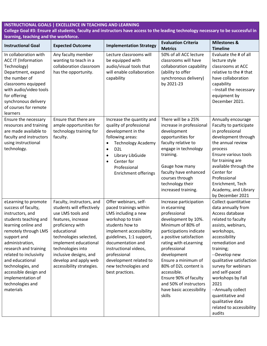## **College Goal #3: Ensure all students, faculty and instructors have access to the leading technology necessary to be successful in learning, teaching and the workforce.**

| <b>Instructional Goal</b>                                                                                                                                                                                                                                                                                                                           | <b>Expected Outcome</b>                                                                                                                                                                                                                                                                      | <b>Implementation Strategy</b>                                                                                                                                                                                                                                                                           | <b>Evaluation Criteria</b><br><b>Metrics</b>                                                                                                                                                                                                                                                                                                                             | <b>Milestones &amp;</b><br><b>Timeline</b>                                                                                                                                                                                                                                                                                                                                                      |
|-----------------------------------------------------------------------------------------------------------------------------------------------------------------------------------------------------------------------------------------------------------------------------------------------------------------------------------------------------|----------------------------------------------------------------------------------------------------------------------------------------------------------------------------------------------------------------------------------------------------------------------------------------------|----------------------------------------------------------------------------------------------------------------------------------------------------------------------------------------------------------------------------------------------------------------------------------------------------------|--------------------------------------------------------------------------------------------------------------------------------------------------------------------------------------------------------------------------------------------------------------------------------------------------------------------------------------------------------------------------|-------------------------------------------------------------------------------------------------------------------------------------------------------------------------------------------------------------------------------------------------------------------------------------------------------------------------------------------------------------------------------------------------|
| In collaboration with<br><b>ACC IT (Information</b><br>Technology)<br>Department, expand<br>the number of<br>classrooms equipped<br>with audio/video tools<br>for offering<br>synchronous delivery<br>of courses for remote<br>learners                                                                                                             | Any faculty member<br>wanting to teach in a<br>collaboration classroom<br>has the opportunity.                                                                                                                                                                                               | Lecture classrooms will<br>be equipped with<br>audio/visual tools that<br>will enable collaboration<br>capability                                                                                                                                                                                        | 50% of all ACC lecture<br>classrooms will have<br>collaboration capability<br>(ability to offer<br>synchronous delivery)<br>by 2021-23                                                                                                                                                                                                                                   | Evaluate the # of all<br>lecture style<br>classrooms at ACC<br>relative to the # that<br>have collaboration<br>capability<br>--Install the necessary<br>equipment by<br>December 2021.                                                                                                                                                                                                          |
| Ensure the necessary<br>resources and training<br>are made available to<br>faculty and instructors<br>using instructional<br>technology.                                                                                                                                                                                                            | Ensure that there are<br>ample opportunities for<br>technology training for<br>faculty.                                                                                                                                                                                                      | Increase the quantity and<br>quality of professional<br>development in the<br>following areas:<br><b>Technology Academy</b><br>$\bullet$<br>D <sub>2</sub> L<br>$\bullet$<br>Library LibGuide<br>$\bullet$<br>Center for<br>$\bullet$<br>Professional<br><b>Enrichment offerings</b>                     | There will be a 25%<br>increase in professional<br>development<br>opportunities for<br>faculty relative to<br>engage in technology<br>training.<br>Gauge how many<br>faculty have enhanced<br>courses through<br>technology their<br>increased training.                                                                                                                 | Annually encourage<br>Faculty to participate<br>in professional<br>development through<br>the annual review<br>process<br>Ensure various tools<br>for training are<br>available through the<br>Center for<br>Professional<br>Enrichment, Tech<br>Academy, and Library<br>by December 2021                                                                                                       |
| eLearning to promote<br>success of faculty,<br>instructors, and<br>students teaching and<br>learning online and<br>remotely through LMS<br>support and<br>administration,<br>research and training<br>related to inclusivity<br>and educational<br>technologies, and<br>accessible design and<br>implementation of<br>technologies and<br>materials | Faculty, instructors, and<br>students will effectively<br>use LMS tools and<br>features, increase<br>proficiency with<br>educational<br>technologies selected,<br>implement educational<br>technologies into<br>inclusive designs, and<br>develop and apply web<br>accessibility strategies. | Offer webinars, self-<br>paced trainings within<br>LMS including a new<br>workshop to train<br>students how to<br>implement accessibility<br>guidelines, 1:1 support,<br>documentation and<br>instructional videos,<br>professional<br>development related to<br>new technologies and<br>best practices. | Increase participation<br>in eLearning<br>professional<br>development by 10%.<br>Minimum of 80% of<br>participations indicate<br>a positive satisfaction<br>rating with eLearning<br>professional<br>development<br>Ensure a minimum of<br>80% of D2L content is<br>accessible.<br>Ensure 90% of faculty<br>and 50% of instructors<br>have basic accessibility<br>skills | Collect quantitative<br>data annually from<br>Access database<br>related to faculty<br>assists, webinars,<br>workshops,<br>accessibility<br>remediation and<br>training;<br>--Develop new<br>qualitative satisfaction<br>survey for webinars<br>and self-paced<br>workshops by Fall<br>2021<br>--Annually collect<br>quantitative and<br>qualitative data<br>related to accessibility<br>audits |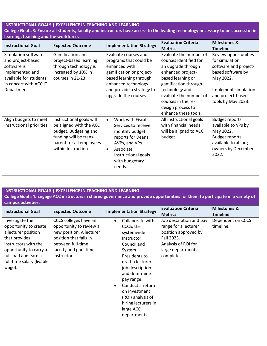### **College Goal #3: Ensure all students, faculty and instructors have access to the leading technology necessary to be successful in learning, teaching and the workforce.**

| <b>Instructional Goal</b> | <b>Expected Outcome</b>  | <b>Implementation Strategy</b> | <b>Evaluation Criteria</b> | <b>Milestones &amp;</b> |
|---------------------------|--------------------------|--------------------------------|----------------------------|-------------------------|
|                           |                          |                                | <b>Metrics</b>             | <b>Timeline</b>         |
| Simulation software       | Gamification and         | Evaluate courses and           | Evaluate the number of     | Review opportunities    |
| and project-based         | project-based learning   | programs that could be         | courses identified for     | for simulation          |
| software is               | through technology is    | enhanced with                  | an upgrade through         | software and project-   |
| implemented and           | increased by 10% in      | gamification or project-       | enhanced project-          | based software by       |
| available for students    | courses in 21-23         | based learning through         | based learning or          | May 2022.               |
| in concert with ACC IT    |                          | enhanced technology            | gamification through       |                         |
| Department                |                          | and provide a strategy to      | technology and             | Implement simulation    |
|                           |                          | upgrade the courses.           | evaluate the number of     | and project-based       |
|                           |                          |                                | courses in the re-         | tools by May 2023.      |
|                           |                          |                                | design process to          |                         |
|                           |                          |                                | enhance these tools.       |                         |
| Align budgets to meet     | Instructional goals will | Work with Fiscal<br>$\bullet$  | All instructional goals    | <b>Budget reports</b>   |
| instructional priorities  | be aligned with the ACC  | Services to receive            | with financial needs       | available to VPs by     |
|                           | budget. Budgeting and    | monthly budget                 | will be aligned to ACC     | May 2022.               |
|                           | funding will be trans-   | reports for Deans,             | budget.                    | <b>Budget reports</b>   |
|                           | parent for all employees | AVPs, and VPs.                 |                            | available to all org    |
|                           | within Instruction       | Associate<br>$\bullet$         |                            | owners by December      |
|                           |                          | Instructional goals            |                            | 2022.                   |
|                           |                          | with budgetary                 |                            |                         |
|                           |                          | needs.                         |                            |                         |
|                           |                          |                                |                            |                         |

### **INSTRUCTIONAL GOALS | EXCELLENCE IN TEACHING AND LEARNING College Goal #4: Engage ACC instructors in shared governance and provide opportunities for them to participate in a variety of campus activities.**

| <b>Instructional Goal</b>                                                                                                                                                                         | <b>Expected Outcome</b>                                                                                                                                             | <b>Implementation Strategy</b>                                                                                                                                                                                                                                                          | <b>Evaluation Criteria</b><br><b>Metrics</b>                                                                                                   | <b>Milestones &amp;</b><br><b>Timeline</b> |
|---------------------------------------------------------------------------------------------------------------------------------------------------------------------------------------------------|---------------------------------------------------------------------------------------------------------------------------------------------------------------------|-----------------------------------------------------------------------------------------------------------------------------------------------------------------------------------------------------------------------------------------------------------------------------------------|------------------------------------------------------------------------------------------------------------------------------------------------|--------------------------------------------|
| Investigate the<br>opportunity to create<br>a lecturer position<br>that provides<br>instructors with the<br>opportunity to carry a<br>full load and earn a<br>full-time salary (livable<br>wage). | CCCS colleges have an<br>opportunity to review a<br>new position. A lecturer<br>position that falls in<br>between full-time<br>faculty and part-time<br>instructor. | Collaborate with<br>CCCS, the<br>systemwide<br>Instructor<br>Council and<br>System<br>Presidents to<br>draft a lecturer<br>job description<br>and determine<br>pay range.<br>Conduct a return<br>on investment<br>(ROI) analysis of<br>hiring lecturers in<br>large ACC<br>departments. | Job description and pay<br>range for a lecturer<br>position approved by<br>Fall 2023.<br>Analysis of ROI for<br>large departments<br>complete. | Dependent on CCCS<br>timeline.             |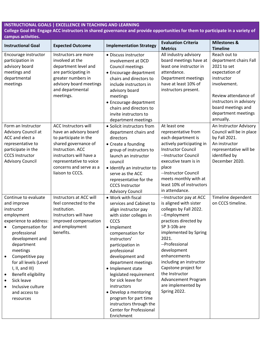## **College Goal #4: Engage ACC instructors in shared governance and provide opportunities for them to participate in a variety of campus activities.**

| <b>Instructional Goal</b>                                                                                                                                                                                                                                                                                                         |                                                                                                                                                                                                                                 | <b>Implementation Strategy</b>                                                                                                                                                                                                                                                                                                                                                                                                                             | <b>Evaluation Criteria</b>                                                                                                                                                                                                                                                                                                                                        | <b>Milestones &amp;</b>                                                                                                                                                                                            |
|-----------------------------------------------------------------------------------------------------------------------------------------------------------------------------------------------------------------------------------------------------------------------------------------------------------------------------------|---------------------------------------------------------------------------------------------------------------------------------------------------------------------------------------------------------------------------------|------------------------------------------------------------------------------------------------------------------------------------------------------------------------------------------------------------------------------------------------------------------------------------------------------------------------------------------------------------------------------------------------------------------------------------------------------------|-------------------------------------------------------------------------------------------------------------------------------------------------------------------------------------------------------------------------------------------------------------------------------------------------------------------------------------------------------------------|--------------------------------------------------------------------------------------------------------------------------------------------------------------------------------------------------------------------|
|                                                                                                                                                                                                                                                                                                                                   | <b>Expected Outcome</b>                                                                                                                                                                                                         |                                                                                                                                                                                                                                                                                                                                                                                                                                                            | <b>Metrics</b>                                                                                                                                                                                                                                                                                                                                                    | <b>Timeline</b>                                                                                                                                                                                                    |
| Encourage instructor<br>participation in<br>advisory board<br>meetings and<br>departmental<br>meetings                                                                                                                                                                                                                            | Instructors are more<br>involved at the<br>department level and<br>are participating in<br>greater numbers in<br>advisory board meetings<br>and departmental<br>meetings.                                                       | • Discuss instructor<br>involvement at DCD<br>Council meetings<br>• Encourage department<br>chairs and directors to<br>include instructors in<br>advisory board<br>meetings<br>• Encourage department<br>chairs and directors to<br>invite instructors to<br>department meetings                                                                                                                                                                           | All industry advisory<br>board meetings have at<br>least one instructor in<br>attendance.<br>Department meetings<br>have at least 10% of<br>instructors present.                                                                                                                                                                                                  | Reach out to<br>department chairs Fall<br>2021 to set<br>expectation of<br>instructor<br>involvement.<br>Review attendance of<br>instructors in advisory<br>board meetings and<br>department meetings<br>annually. |
| Form an Instructor<br>Advisory Council at<br>ACC and elect a<br>representative to<br>participate in the<br><b>CCCS Instructor</b><br><b>Advisory Council</b>                                                                                                                                                                      | <b>ACC Instructors will</b><br>have an advisory board<br>to participate in the<br>shared governance of<br>Instruction. ACC<br>instructors will have a<br>representative to voice<br>concerns and serve as a<br>liaison to CCCS. | • Solicit instructors from<br>department chairs and<br>directors<br>• Create a founding<br>group of instructors to<br>launch an instructor<br>council<br>· Identify an instructor to<br>serve as the ACC<br>representative for the<br><b>CCCS Instructor</b><br><b>Advisory Council</b>                                                                                                                                                                    | At least one<br>representative from<br>each department is<br>actively participating in<br><b>Instructor Council</b><br>--Instructor Council<br>executive team is in<br>place<br>--Instructor Council<br>meets monthly with at<br>least 10% of instructors<br>in attendance.                                                                                       | An Instructor Advisory<br>Council will be in place<br>by Fall 2021.<br>An instructor<br>representative will be<br>identified by<br>December 2020.                                                                  |
| Continue to evaluate<br>and improve<br>instructor<br>employment<br>experience to address:<br>Compensation for<br>professional<br>development and<br>department<br>meetings<br>Competitive pay<br>for all levels (Level<br>I, II, and III)<br>Benefit eligibility<br>Sick leave<br>Inclusive culture<br>and access to<br>resources | Instructors at ACC will<br>feel connected to the<br>institution.<br>Instructors will have<br>improved compensation<br>and employment<br>benefits.                                                                               | • Work with fiscal<br>services and Cabinet to<br>align instructor pay<br>with sister colleges in<br>CCCS<br>• Implement<br>compensation for<br>instructors'<br>participation in<br>professional<br>development and<br>department meetings<br>• Implement state<br>legislated requirement<br>for sick leave for<br>instructors<br>• Develop a mentoring<br>program for part time<br>instructors through the<br><b>Center for Professional</b><br>Enrichment | -- Instructor pay at ACC<br>is aligned with sister<br>colleges by Fall 2022.<br>--Employment<br>practices directed by<br>SP 3-10b are<br>implemented by Spring<br>2021.<br>--Professional<br>development<br>enhancements<br>including an instructor<br>Capstone project for<br>the Instructor<br><b>Advancement Program</b><br>are implemented by<br>Spring 2022. | Timeline dependent<br>on CCCS timeline.                                                                                                                                                                            |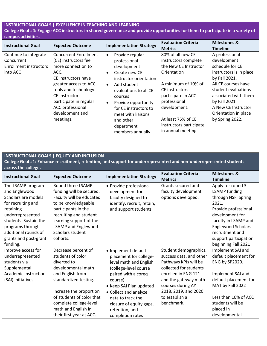### **INSTRUCTIONAL GOALS | EXCELLENCE IN TEACHING AND LEARNING College Goal #4: Engage ACC instructors in shared governance and provide opportunities for them to participate in a variety of campus activities.**

| <b>Instructional Goal</b>                                                        | <b>Expected Outcome</b>                                                                                                                                                                                                                                      | <b>Implementation Strategy</b>                                                                                                                                                                                                                                                                                | <b>Evaluation Criteria</b><br><b>Metrics</b>                                                                                                                                                                                                            | <b>Milestones &amp;</b><br><b>Timeline</b>                                                                                                                                                                                                           |
|----------------------------------------------------------------------------------|--------------------------------------------------------------------------------------------------------------------------------------------------------------------------------------------------------------------------------------------------------------|---------------------------------------------------------------------------------------------------------------------------------------------------------------------------------------------------------------------------------------------------------------------------------------------------------------|---------------------------------------------------------------------------------------------------------------------------------------------------------------------------------------------------------------------------------------------------------|------------------------------------------------------------------------------------------------------------------------------------------------------------------------------------------------------------------------------------------------------|
| Continue to integrate<br>Concurrent<br><b>Enrollment instructors</b><br>into ACC | <b>Concurrent Enrollment</b><br>(CE) instructors feel<br>more connection to<br>ACC.<br>CE instructors have<br>greater access to ACC<br>tools and technology.<br>CE instructors<br>participate in regular<br>ACC professional<br>development and<br>meetings. | Provide regular<br>$\bullet$<br>professional<br>development<br>Create new CE<br>٠<br>instructor orientation<br>Add student<br>$\bullet$<br>evaluations to all CE<br>courses<br>Provide opportunity<br>$\bullet$<br>for CE instructors to<br>meet with liaisons<br>and other<br>department<br>members annually | 80% of all new CE<br>instructors complete<br>the New CE Instructor<br>Orientation<br>A minimum of 10% of<br>CE instructors<br>participate in ACC<br>professional<br>development.<br>At least 75% of CE<br>instructors participate<br>in annual meeting. | A professional<br>development<br>schedule for CE<br>instructors is in place<br>by Fall 2021.<br>All CE courses have<br>student evaluations<br>associated with them<br>by Fall 2021<br>A New CE Instructor<br>Orientation in place<br>by Spring 2022. |

## **INSTRUCTIONAL GOALS | EQUITY AND INCLUSION**

**College Goal #1: Enhance recruitment, retention, and support for underrepresented and non-underrepresented students across the college.** 

| <b>Instructional Goal</b> | <b>Expected Outcome</b>    | <b>Implementation Strategy</b> | <b>Evaluation Criteria</b> | <b>Milestones &amp;</b>   |
|---------------------------|----------------------------|--------------------------------|----------------------------|---------------------------|
|                           |                            |                                | <b>Metrics</b>             | <b>Timeline</b>           |
| The LSAMP program         | Round three LSAMP          | • Provide professional         | Grants secured and         | Apply for round 3         |
| and Englewood             | funding will be secured.   | development for                | faculty development        | <b>LSAMP</b> funding      |
| Scholars are models       | Faculty will be educated   | faculty designed to            | options developed.         | through NSF. Spring       |
| for recruiting and        | to be knowledgeable        | identify, recruit, retain,     |                            | 2021.                     |
| retaining                 | participants in the        | and support students           |                            | Provide professional      |
| underrepresented          | recruiting and student     |                                |                            | development for           |
| students. Sustain the     | learning support of the    |                                |                            | faculty in LSAMP and      |
| programs through          | <b>LSAMP</b> and Englewood |                                |                            | <b>Englewood Scholars</b> |
| additional rounds of      | Scholars student           |                                |                            | recruitment and           |
| grants and post-grant     | cohorts.                   |                                |                            | support participation     |
| funding.                  |                            |                                |                            | beginning Fall 2021       |
| Improve access for        | Decrease percent of        | · Implement default            | Student demographics,      | Implement SAI and         |
| underrepresented          | students of color          | placement for college-         | success data, and other    | default placement for     |
| students via              | diverted to                | level math and English         | Pathways KPIs will be      | ENG by SP2020.            |
| Supplemental              | developmental math         | (college-level course          | collected for students     |                           |
| Academic Instruction      | and English from           | paired with a coreq            | enrolled in ENG 121        | Implement SAI and         |
| (SAI) initiatives         | standardized testing.      | course)                        | and the gateway math       | default placement for     |
|                           |                            | • Keep SAI Plan updated        | courses during AY          | MAT by Fall 2022          |
|                           | Increase the proportion    | • Collect and analyze          | 2018, 2019, and 2020       |                           |
|                           | of students of color that  | data to track the              | to establish a             | Less than 10% of ACC      |
|                           | complete college-level     | closure of equity gaps,        | benchmark.                 | students will be          |
|                           | math and English in        | retention, and                 |                            | placed in                 |
|                           | their first year at ACC.   | completion rates               |                            | developmental             |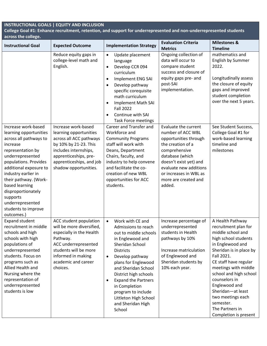**College Goal #1: Enhance recruitment, retention, and support for underrepresented and non-underrepresented students across the college.** 

| <b>Instructional Goal</b>                                                                                                                                                                                                                                                                                                                    | <b>Expected Outcome</b>                                                                                                                                                                                  | <b>Implementation Strategy</b>                                                                                                                                                                                                                                                                                                                                                            | <b>Evaluation Criteria</b><br><b>Metrics</b>                                                                                                                                                                                                | <b>Milestones &amp;</b><br><b>Timeline</b>                                                                                                                                                                                                                                                                                                                         |
|----------------------------------------------------------------------------------------------------------------------------------------------------------------------------------------------------------------------------------------------------------------------------------------------------------------------------------------------|----------------------------------------------------------------------------------------------------------------------------------------------------------------------------------------------------------|-------------------------------------------------------------------------------------------------------------------------------------------------------------------------------------------------------------------------------------------------------------------------------------------------------------------------------------------------------------------------------------------|---------------------------------------------------------------------------------------------------------------------------------------------------------------------------------------------------------------------------------------------|--------------------------------------------------------------------------------------------------------------------------------------------------------------------------------------------------------------------------------------------------------------------------------------------------------------------------------------------------------------------|
|                                                                                                                                                                                                                                                                                                                                              | Reduce equity gaps in<br>college-level math and<br>English.                                                                                                                                              | Update placement<br>$\bullet$<br>language<br>Develop CCR 094<br>$\bullet$<br>curriculum<br>Implement ENG SAI<br>$\bullet$<br>Develop pathway<br>$\bullet$<br>specific corequisite<br>math curriculum<br><b>Implement Math SAI</b><br>$\bullet$<br><b>Fall 2022</b><br>Continue with SAI<br><b>Task Force meetings</b>                                                                     | Ongoing collection of<br>data will occur to<br>compare student<br>success and closure of<br>equity gaps pre- and<br>post-SAI<br>implementation.                                                                                             | mathematics and<br>English by Summer<br>2022.<br>Longitudinally assess<br>the closure of equity<br>gaps and improved<br>student completion<br>over the next 5 years.                                                                                                                                                                                               |
| Increase work-based<br>learning opportunities<br>across all pathways to<br>increase<br>representation by<br>underrepresented<br>populations. Provides<br>additional exposure to<br>industry earlier in<br>their pathway. (Work-<br>based learning<br>disproportionately<br>supports<br>underrepresented<br>students to improve<br>outcomes.) | Increase work-based<br>learning opportunities<br>across all ACC pathways<br>by 10% by 21-23. This<br>includes internships,<br>apprenticeships, pre-<br>apprenticeships, and job<br>shadow opportunities. | Career and Transfer and<br>Workforce and<br><b>Community Programs</b><br>staff will work with<br>Deans, Department<br>Chairs, faculty, and<br>industry to help convene<br>and facilitate the co-<br>creation of new WBL<br>opportunities for ACC<br>students.                                                                                                                             | Evaluate the current<br>number of ACC WBL<br>opportunities through<br>the creation of a<br>comprehensive<br>database (which<br>doesn't exist yet) and<br>evaluate new additions<br>or increases in WBL as<br>more are created and<br>added. | See Student Success,<br>College Goal #1 for<br>work-based learning<br>timeline and<br>milestones                                                                                                                                                                                                                                                                   |
| <b>Expand student</b><br>recruitment in middle<br>schools and high<br>schools with high<br>populations of<br>underrepresented<br>students. Focus on<br>programs such as<br>Allied Health and<br>Nursing where the<br>representation of<br>underrepresented<br>students is low                                                                | ACC student population<br>will be more diversified,<br>especially in the Health<br>Pathway.<br>ACC underrepresented<br>students will be more<br>informed in making<br>academic and career<br>choices.    | Work with CE and<br>$\bullet$<br>Admissions to reach<br>out to middle schools<br>in Englewood and<br>Sheridan School<br><b>Districts</b><br>Develop pathway<br>$\bullet$<br>plans for Englewood<br>and Sheridan School<br>District high schools<br><b>Expand the Partners</b><br>$\bullet$<br>in Completion<br>program to include<br>Littleton High School<br>and Sheridan High<br>School | Increase percentage of<br>underrepresented<br>students in Health<br>pathways by 10%<br>Increase matriculation<br>of Englewood and<br>Sheridan students by<br>10% each year.                                                                 | A Health Pathway<br>recruitment plan for<br>middle school and<br>high school students<br>in Englewood and<br>Sheridan is in place by<br>Fall 2021.<br>CE staff have regular<br>meetings with middle<br>school and high school<br>counselors in<br>Englewood and<br>Sheridan-at least<br>two meetings each<br>semester.<br>The Partners in<br>Completion is present |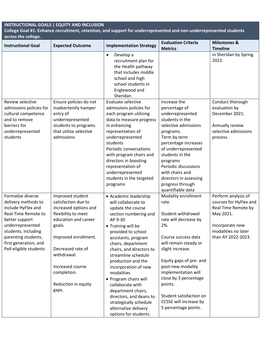**College Goal #1: Enhance recruitment, retention, and support for underrepresented and non-underrepresented students across the college.** 

| <b>Instructional Goal</b>                                                                                                                                                                                                    | <b>Expected Outcome</b>                                                                                                                                                                                                                                  | <b>Implementation Strategy</b>                                                                                                                                                                                                                                                                                                                                                                                                                                                         | <b>Evaluation Criteria</b>                                                                                                                                                                                                                                                                                                                     | <b>Milestones &amp;</b>                                                                                                                           |
|------------------------------------------------------------------------------------------------------------------------------------------------------------------------------------------------------------------------------|----------------------------------------------------------------------------------------------------------------------------------------------------------------------------------------------------------------------------------------------------------|----------------------------------------------------------------------------------------------------------------------------------------------------------------------------------------------------------------------------------------------------------------------------------------------------------------------------------------------------------------------------------------------------------------------------------------------------------------------------------------|------------------------------------------------------------------------------------------------------------------------------------------------------------------------------------------------------------------------------------------------------------------------------------------------------------------------------------------------|---------------------------------------------------------------------------------------------------------------------------------------------------|
|                                                                                                                                                                                                                              |                                                                                                                                                                                                                                                          |                                                                                                                                                                                                                                                                                                                                                                                                                                                                                        | <b>Metrics</b>                                                                                                                                                                                                                                                                                                                                 | <b>Timeline</b>                                                                                                                                   |
|                                                                                                                                                                                                                              |                                                                                                                                                                                                                                                          | Develop a<br>$\bullet$<br>recruitment plan for<br>the Health pathway<br>that includes middle<br>school and high<br>school students in<br>Englewood and<br>Sheridan                                                                                                                                                                                                                                                                                                                     |                                                                                                                                                                                                                                                                                                                                                | in Sheridan by Spring<br>2022.                                                                                                                    |
| Review selective<br>admissions policies for<br>cultural competence<br>and to remove<br>barriers for<br>underrepresented<br>students                                                                                          | Ensure policies do not<br>inadvertently hamper<br>entry of<br>underrepresented<br>students to programs<br>that utilize selective<br>admissions                                                                                                           | Evaluate selective<br>admissions policies for<br>each program utilizing<br>data to measure progress<br>in enhancing<br>representation of<br>underrepresented<br>students<br>Periodic conversations<br>with program chairs and<br>directors in boosting<br>representation of<br>underrepresented<br>students in the targeted<br>programs                                                                                                                                                | Increase the<br>percentage of<br>underrepresented<br>students in the<br>selective admissions<br>programs.<br>Term by term<br>percentage increases<br>of underrepresented<br>students in the<br>programs<br>Periodic discussions<br>with chairs and<br>directors in assessing<br>progress through<br>quantifiable data                          | Conduct thorough<br>evaluation by<br>December 2021.<br>Annually review<br>selective admissions<br>process.                                        |
| Formalize diverse<br>delivery methods to<br>include HyFlex and<br>Real-Time Remote to<br>better support<br>underrepresented<br>students, including<br>parenting students,<br>first generation, and<br>Pell-eligible students | Improved student<br>satisfaction due to<br>increased options and<br>flexibility to meet<br>education and career<br>goals.<br>Improved enrollment.<br>Decreased rate of<br>withdrawal.<br>Increased course<br>completion.<br>Reduction in equity<br>gaps. | • Academic leadership<br>will collaborate to<br>update the course<br>section numbering and<br>AP 9-30<br>• Training will be<br>provided to school<br>assistants, program<br>chairs, department<br>chairs, and directors to<br>streamline schedule<br>production and the<br>incorporation of new<br>modalities<br>• Program chairs will<br>collaborate with<br>department chairs,<br>directors, and deans to<br>strategically schedule<br>alternative delivery<br>options for students. | Modality enrollment<br>rate.<br>Student withdrawal<br>rate will decrease by<br>2%.<br>Course success data<br>will remain steady or<br>slight increase.<br>Equity gaps of pre- and<br>post-new modality<br>implementation will<br>close by 3 percentage<br>points.<br>Student satisfaction on<br>CCSSE will increase by<br>5 percentage points. | Perform analysis of<br>courses for HyFlex and<br>Real Time Remote by<br>May 2021.<br>Incorporate new<br>modalities no later<br>than AY 2022-2023. |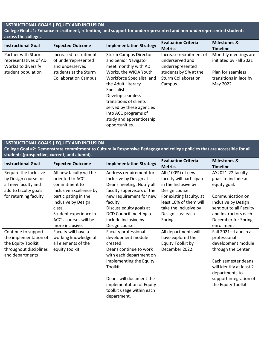**College Goal #1: Enhance recruitment, retention, and support for underrepresented and non-underrepresented students across the college.** 

| <b>Instructional Goal</b> | <b>Expected Outcome</b>      | <b>Implementation Strategy</b> | <b>Evaluation Criteria</b><br><b>Metrics</b> | <b>Milestones &amp;</b><br><b>Timeline</b> |
|---------------------------|------------------------------|--------------------------------|----------------------------------------------|--------------------------------------------|
| Partner with Sturm        | Increased recruitment        | <b>Sturm Campus Director</b>   | Increase recruitment of                      | Monthly meetings are                       |
| representatives of AD     | of underrepresented          | and Senior Navigator           | underserved and                              | initiated by Fall 2021                     |
| Works! to diversify       | and underserved              | meet monthly with AD           | underrepresented                             |                                            |
| student population        | students at the Sturm        | Works, the WIOA Youth          | students by 5% at the                        | Plan for seamless                          |
|                           | <b>Collaboration Campus.</b> | Workforce Specialist, and      | <b>Sturm Collaboration</b>                   | transitions in lace by                     |
|                           |                              | the Adult Literacy             | Campus.                                      | May 2022.                                  |
|                           |                              | Specialist.                    |                                              |                                            |
|                           |                              | Develop seamless               |                                              |                                            |
|                           |                              | transitions of clients         |                                              |                                            |
|                           |                              | served by these agencies       |                                              |                                            |
|                           |                              | into ACC programs of           |                                              |                                            |
|                           |                              | study and apprenticeship       |                                              |                                            |
|                           |                              | opportunities.                 |                                              |                                            |

## **INSTRUCTIONAL GOALS | EQUITY AND INCLUSION**

**College Goal #2: Demonstrate commitment to Culturally Responsive Pedagogy and college policies that are accessible for all students (prospective, current, and alumni).** 

| <b>Instructional Goal</b> | <b>Expected Outcome</b> | <b>Implementation Strategy</b> | <b>Evaluation Criteria</b> | <b>Milestones &amp;</b>  |
|---------------------------|-------------------------|--------------------------------|----------------------------|--------------------------|
|                           |                         |                                | <b>Metrics</b>             | <b>Timeline</b>          |
| Require the Inclusive     | All new faculty will be | Address requirement for        | All (100%) of new          | AY2021-22 faculty        |
| by Design course for      | oriented to ACC's       | Inclusive by Design at         | faculty will participate   | goals to include an      |
| all new faculty and       | commitment to           | Deans meeting. Notify all      | in the Inclusive by        | equity goal.             |
| add to faculty goals      | Inclusive Excellence by | faculty supervisors of the     | Design course.             |                          |
| for returning faculty     | participating in the    | new requirement for new        | For existing faculty, at   | Communication on         |
|                           | Inclusive by Design     | faculty.                       | least 10% of them will     | Inclusive by Design      |
|                           | class.                  | Discuss equity goals at        | take the Inclusive by      | sent out to all Faculty  |
|                           | Student experience in   | DCD Council meeting to         | Design class each          | and Instructors each     |
|                           | ACC's courses will be   | include Inclusive by           | Spring.                    | December for Spring      |
|                           | more inclusive.         | Design course.                 |                            | enrollment               |
| Continue to support       | Faculty will have a     | Faculty professional           | All departments will       | Fall 2021-Launch a       |
| the implementation of     | working knowledge of    | development module             | have explored the          | professional             |
| the Equity Toolkit        | all elements of the     | created                        | Equity Toolkit by          | development module       |
| throughout disciplines    | equity toolkit.         | Deans continue to work         | December 2022.             | through the Center       |
| and departments           |                         | with each department on        |                            |                          |
|                           |                         | implementing the Equity        |                            | Each semester deans      |
|                           |                         | Toolkit                        |                            | will identify at least 2 |
|                           |                         |                                |                            | departments to           |
|                           |                         | Deans will document the        |                            | support integration of   |
|                           |                         | implementation of Equity       |                            | the Equity Toolkit       |
|                           |                         | toolkit usage within each      |                            |                          |
|                           |                         | department.                    |                            |                          |
|                           |                         |                                |                            |                          |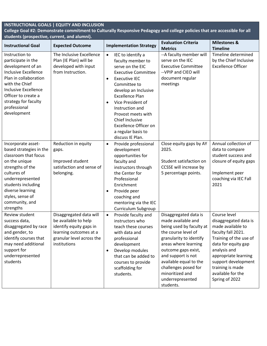**College Goal #2: Demonstrate commitment to Culturally Responsive Pedagogy and college policies that are accessible for all students (prospective, current, and alumni).** 

| <b>Instructional Goal</b>                                                                                                                                                                                                                        | <b>Expected Outcome</b>                                                                                                                           | <b>Implementation Strategy</b>                                                                                                                                                                                                                                                                                                                                                       | <b>Evaluation Criteria</b><br><b>Metrics</b>                                                                                                                                                                                                                                                         | <b>Milestones &amp;</b><br><b>Timeline</b>                                                                                                                                                                                                                  |
|--------------------------------------------------------------------------------------------------------------------------------------------------------------------------------------------------------------------------------------------------|---------------------------------------------------------------------------------------------------------------------------------------------------|--------------------------------------------------------------------------------------------------------------------------------------------------------------------------------------------------------------------------------------------------------------------------------------------------------------------------------------------------------------------------------------|------------------------------------------------------------------------------------------------------------------------------------------------------------------------------------------------------------------------------------------------------------------------------------------------------|-------------------------------------------------------------------------------------------------------------------------------------------------------------------------------------------------------------------------------------------------------------|
| Instruction to<br>participate in the<br>development of an<br><b>Inclusive Excellence</b><br>Plan in collaboration<br>with the Chief<br><b>Inclusive Excellence</b><br>Officer to create a<br>strategy for faculty<br>professional<br>development | The Inclusive Excellence<br>Plan (IE Plan) will be<br>developed with input<br>from Instruction.                                                   | IEC to identify a<br>$\bullet$<br>faculty member to<br>serve on the EIC<br><b>Executive Committee</b><br><b>Executive IEC</b><br>$\bullet$<br>Committee to<br>develop an Inclusive<br><b>Excellence Plan</b><br>Vice President of<br>$\bullet$<br>Instruction and<br>Provost meets with<br>Chief Inclusive<br><b>Excellence Officer on</b><br>a regular basis to<br>discuss IE Plan. | -- A faculty member will<br>serve on the IEC<br><b>Executive Committee</b><br>-- VPIP and CIEO will<br>document regular<br>meetings                                                                                                                                                                  | Timeline determined<br>by the Chief Inclusive<br><b>Excellence Officer</b>                                                                                                                                                                                  |
| Incorporate asset-<br>based strategies in the<br>classroom that focus<br>on the unique<br>strengths of the<br>cultures of<br>underrepresented<br>students including<br>diverse learning<br>styles, sense of<br>community, and<br>strengths       | Reduction in equity<br>gaps.<br>Improved student<br>satisfaction and sense of<br>belonging.                                                       | Provide professional<br>$\bullet$<br>development<br>opportunities for<br>faculty and<br>instructors through<br>the Center for<br>Professional<br>Enrichment<br>Provide peer<br>$\bullet$<br>coaching and<br>mentoring via the IEC<br>Curriculum Subgroup                                                                                                                             | Close equity gaps by AY<br>2025.<br>Student satisfaction on<br>CCSSE will increase by<br>5 percentage points.                                                                                                                                                                                        | Annual collection of<br>data to compare<br>student success and<br>closure of equity gaps<br>Implement peer<br>coaching via IEC Fall<br>2021                                                                                                                 |
| Review student<br>success data,<br>disaggregated by race<br>and gender, to<br>identify courses that<br>may need additional<br>support for<br>underrepresented<br>students                                                                        | Disaggregated data will<br>be available to help<br>identify equity gaps in<br>learning outcomes at a<br>granular level across the<br>institutions | Provide faculty and<br>$\bullet$<br>instructors who<br>teach these courses<br>with data and<br>professional<br>development<br>Develop modules<br>$\bullet$<br>that can be added to<br>courses to provide<br>scaffolding for<br>students.                                                                                                                                             | Disaggregated data is<br>made available and<br>being used by faculty at<br>the course level of<br>granularity to identify<br>areas where learning<br>outcome gaps exist,<br>and support is not<br>available equal to the<br>challenges posed for<br>minoritized and<br>underrepresented<br>students. | Course level<br>disaggregated data is<br>made available to<br>faculty fall 2021.<br>Training of the use of<br>data for equity gap<br>analysis and<br>appropriate learning<br>support development<br>training is made<br>available for the<br>Spring of 2022 |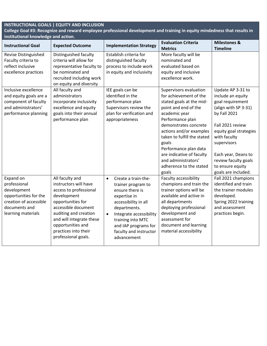**College Goal #3: Recognize and reward employee professional development and training in equity mindedness that results in institutional knowledge and action.** 

| <b>Instructional Goal</b>                                                                                                          | <b>Expected Outcome</b>                                                                                                                                                                                                                                | <b>Implementation Strategy</b>                                                                                                                                                                                                                                  | <b>Evaluation Criteria</b><br><b>Metrics</b>                                                                                                                                                                                                                                                                                                           | <b>Milestones &amp;</b><br><b>Timeline</b>                                                                                                                                                                                                                                |
|------------------------------------------------------------------------------------------------------------------------------------|--------------------------------------------------------------------------------------------------------------------------------------------------------------------------------------------------------------------------------------------------------|-----------------------------------------------------------------------------------------------------------------------------------------------------------------------------------------------------------------------------------------------------------------|--------------------------------------------------------------------------------------------------------------------------------------------------------------------------------------------------------------------------------------------------------------------------------------------------------------------------------------------------------|---------------------------------------------------------------------------------------------------------------------------------------------------------------------------------------------------------------------------------------------------------------------------|
| Revise Distinguished<br>Faculty criteria to<br>reflect inclusive<br>excellence practices                                           | Distinguished faculty<br>criteria will allow for<br>representative faculty to<br>be nominated and<br>recruited including work<br>on equity and diversity                                                                                               | Establish criteria for<br>distinguished faculty<br>process to include work<br>in equity and inclusivity                                                                                                                                                         | More faculty will be<br>nominated and<br>evaluated based on<br>equity and inclusive<br>excellence work.                                                                                                                                                                                                                                                |                                                                                                                                                                                                                                                                           |
| Inclusive excellence<br>and equity goals are a<br>component of faculty<br>and administrators'<br>performance planning              | All faculty and<br>administrators<br>incorporate inclusivity<br>excellence and equity<br>goals into their annual<br>performance plan                                                                                                                   | IEE goals can be<br>identified in the<br>performance plan<br>Supervisors review the<br>plan for verification and<br>appropriateness                                                                                                                             | Supervisors evaluation<br>for achievement of the<br>stated goals at the mid-<br>point and end of the<br>academic year<br>Performance plan<br>demonstrates concrete<br>actions and/or examples<br>taken to fulfill the stated<br>goals<br>Performance plan data<br>are indicative of faculty<br>and administrators'<br>adherence to the stated<br>goals | Update AP 3-31 to<br>include an equity<br>goal requirement<br>(align with SP 3-31)<br>by Fall 2021<br>Fall 2021 review<br>equity goal strategies<br>with faculty<br>supervisors<br>Each year, Deans to<br>review faculty goals<br>to ensure equity<br>goals are included. |
| Expand on<br>professional<br>development<br>opportunities for the<br>creation of accessible<br>documents and<br>learning materials | All faculty and<br>instructors will have<br>access to professional<br>development<br>opportunities for<br>accessible document<br>auditing and creation<br>and will integrate these<br>opportunities and<br>practices into their<br>professional goals. | Create a train-the-<br>$\bullet$<br>trainer program to<br>ensure there is<br>expertise in<br>accessibility in all<br>departments.<br>Integrate accessibility<br>$\bullet$<br>training into MTC<br>and IAP programs for<br>faculty and instructor<br>advancement | Faculty accessibility<br>champions and train the<br>trainer options will be<br>available and active in<br>all departments<br>deploying professional<br>development and<br>assessment for<br>document and learning<br>material accessibility                                                                                                            | Fall 2021 champions<br>identified and train<br>the trainer modules<br>developed.<br>Spring 2022 training<br>and assessment<br>practices begin.                                                                                                                            |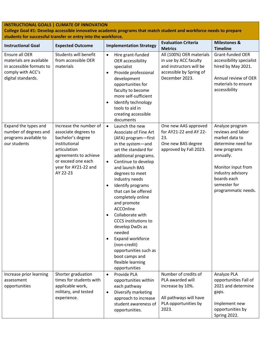**College Goal #1: Develop accessible innovative academic programs that match student and workforce needs to prepare students for successful transfer or entry into the workforce.** 

| <b>Instructional Goal</b>                                                                                        | <b>Expected Outcome</b>                                                                                                                                                                 | <b>Implementation Strategy</b>                                                                                                                                                                                                                                                                                                                                                                                                                                                                                                                                                                           | <b>Evaluation Criteria</b>                                                                                                                  | <b>Milestones &amp;</b>                                                                                                                                                                                    |
|------------------------------------------------------------------------------------------------------------------|-----------------------------------------------------------------------------------------------------------------------------------------------------------------------------------------|----------------------------------------------------------------------------------------------------------------------------------------------------------------------------------------------------------------------------------------------------------------------------------------------------------------------------------------------------------------------------------------------------------------------------------------------------------------------------------------------------------------------------------------------------------------------------------------------------------|---------------------------------------------------------------------------------------------------------------------------------------------|------------------------------------------------------------------------------------------------------------------------------------------------------------------------------------------------------------|
| Ensure all OER<br>materials are available<br>in accessible formats to<br>comply with ACC's<br>digital standards. | Students will benefit<br>from accessible OER<br>materials                                                                                                                               | Hire grant-funded<br>$\bullet$<br>OER accessibility<br>specialist<br>Provide professional<br>$\bullet$<br>development<br>opportunities for<br>faculty to become<br>more self-sufficient<br>Identify technology<br>$\bullet$<br>tools to aid in<br>creating accessible                                                                                                                                                                                                                                                                                                                                    | <b>Metrics</b><br>All (100%) OER materials<br>in use by ACC faculty<br>and instructors will be<br>accessible by Spring of<br>December 2023. | <b>Timeline</b><br>Grant-funded OER<br>accessibility specialist<br>hired by May 2021.<br>Annual review of OER<br>materials to ensure<br>accessibility                                                      |
| Expand the types and<br>number of degrees and<br>programs available to<br>our students                           | Increase the number of<br>associate degrees to<br>bachelor's degree<br>institutional<br>articulation<br>agreements to achieve<br>or exceed one each<br>year for AY21-22 and<br>AY 22-23 | documents<br>$\bullet$<br>Launch the new<br>Associate of Fine Art<br>(AFA) program-first<br>in the system-and<br>set the standard for<br>additional programs.<br>Continue to develop<br>$\bullet$<br>and launch BAS<br>degrees to meet<br>industry needs<br>Identify programs<br>$\bullet$<br>that can be offered<br>completely online<br>and promote<br>ACCOnline<br>Collaborate with<br>$\bullet$<br><b>CCCS</b> institutions to<br>develop DwDs as<br>needed<br><b>Expand workforce</b><br>$\bullet$<br>(non-credit)<br>opportunities such as<br>boot camps and<br>flexible learning<br>opportunities | One new AAS approved<br>for AY21-22 and AY 22-<br>23.<br>One new BAS degree<br>approved by Fall 2023.                                       | Analyze program<br>reviews and labor<br>market data to<br>determine need for<br>new programs<br>annually.<br>Monitor input from<br>industry advisory<br>boards each<br>semester for<br>programmatic needs. |
| Increase prior learning<br>assessment<br>opportunities                                                           | Shorter graduation<br>times for students with<br>applicable work,<br>military, and tested<br>experience.                                                                                | Provide PLA<br>$\bullet$<br>opportunities within<br>each pathway<br>Diversify marketing<br>$\bullet$<br>approach to increase<br>student awareness of<br>opportunities.                                                                                                                                                                                                                                                                                                                                                                                                                                   | Number of credits of<br>PLA awarded will<br>increase by 10%.<br>All pathways will have<br>PLA opportunities by<br>2023.                     | Analyze PLA<br>opportunities Fall of<br>2021 and determine<br>gaps.<br>Implement new<br>opportunities by<br>Spring 2022.                                                                                   |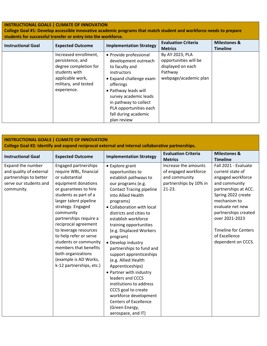**College Goal #1: Develop accessible innovative academic programs that match student and workforce needs to prepare students for successful transfer or entry into the workforce.** 

| <b>Instructional Goal</b> | <b>Expected Outcome</b>                                                                                                                        | <b>Implementation Strategy</b>                                                                                                                                                                                                                                            | <b>Evaluation Criteria</b><br><b>Metrics</b>                                                      | <b>Milestones &amp;</b><br><b>Timeline</b> |
|---------------------------|------------------------------------------------------------------------------------------------------------------------------------------------|---------------------------------------------------------------------------------------------------------------------------------------------------------------------------------------------------------------------------------------------------------------------------|---------------------------------------------------------------------------------------------------|--------------------------------------------|
|                           | Increased enrollment,<br>persistence, and<br>degree completion for<br>students with<br>applicable work,<br>military, and tested<br>experience. | • Provide professional<br>development outreach<br>to faculty and<br><i>instructors</i><br>• Expand challenge exam<br>offerings<br>• Pathway leads will<br>survey academic leads<br>in pathway to collect<br>PLA opportunities each<br>fall during academic<br>plan review | By AY 2023, PLA<br>opportunities will be<br>displayed on each<br>Pathway<br>webpage/academic plan |                                            |

#### **INSTRUCTIONAL GOALS | CLIMATE OF INNOVATION College Goal #2: Identify and expand reciprocal external and internal collaborative partnerships. Instructional Goal Expected Outcome Implementation Strategy Evaluation Criteria Evaluation Criteria** Milestones &

| <b>Instructional Goal</b>                                                                                      | <b>Expected Outcome</b>                                                                                                                                                                                                                                                                                                                                                                                                                 | <b>Implementation Strategy</b>                                                                                                                                                                                                                                                                                                                                                                                                                                                                                                                                                                                                      | Lvaluation Chitenia<br><b>Metrics</b>                                                               | ואוווכאנטווכא פג<br><b>Timeline</b>                                                                                                                                                                                                                                              |
|----------------------------------------------------------------------------------------------------------------|-----------------------------------------------------------------------------------------------------------------------------------------------------------------------------------------------------------------------------------------------------------------------------------------------------------------------------------------------------------------------------------------------------------------------------------------|-------------------------------------------------------------------------------------------------------------------------------------------------------------------------------------------------------------------------------------------------------------------------------------------------------------------------------------------------------------------------------------------------------------------------------------------------------------------------------------------------------------------------------------------------------------------------------------------------------------------------------------|-----------------------------------------------------------------------------------------------------|----------------------------------------------------------------------------------------------------------------------------------------------------------------------------------------------------------------------------------------------------------------------------------|
| Expand the number<br>and quality of external<br>partnerships to better<br>serve our students and<br>community. | Engaged partnerships<br>require WBL, financial<br>or substantial<br>equipment donations<br>or guarantees to hire<br>students as part of a<br>larger talent pipeline<br>strategy. Engaged<br>community<br>partnerships require a<br>reciprocal agreement<br>to leverage resources<br>to help refer or serve<br>students or community<br>members that benefits<br>both organizations<br>(example is AD Works,<br>k-12 partnerships, etc.) | • Explore grant<br>opportunities to<br>establish pathways to<br>our programs (e.g.<br><b>Contact Tracing pipeline</b><br>into Allied Health<br>programs)<br>• Collaboration with local<br>districts and cities to<br>establish workforce<br>training opportunities<br>(e.g. Displaced Workers<br>program)<br>• Develop industry<br>partnerships to fund and<br>support apprenticeships<br>(e.g. Allied Health<br>Apprenticeships)<br>• Partner with industry<br>leaders and CCCS<br>institutions to address<br>CCCS goal to create<br>workforce development<br><b>Centers of Excellence</b><br>(Green Energy,<br>aerospace, and IT) | Increase the amounts<br>of engaged workforce<br>and community<br>partnerships by 10% in<br>$21-23.$ | Fall 2021 - Evaluate<br>current state of<br>engaged workforce<br>and community<br>partnerships at ACC.<br>Spring 2022 create<br>mechanism to<br>evaluate net new<br>partnerships created<br>over 2021-2023<br><b>Timeline for Centers</b><br>of Excellence<br>dependent on CCCS. |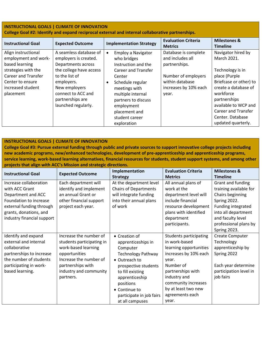| <b>INSTRUCTIONAL GOALS   CLIMATE OF INNOVATION</b><br>College Goal #2: Identify and expand reciprocal external and internal collaborative partnerships.           |                                                                                                                                                                                                                    |                                                                                                                                                                                                                                                                     |                                                                                                                                       |                                                                                                                                                                                                                          |  |
|-------------------------------------------------------------------------------------------------------------------------------------------------------------------|--------------------------------------------------------------------------------------------------------------------------------------------------------------------------------------------------------------------|---------------------------------------------------------------------------------------------------------------------------------------------------------------------------------------------------------------------------------------------------------------------|---------------------------------------------------------------------------------------------------------------------------------------|--------------------------------------------------------------------------------------------------------------------------------------------------------------------------------------------------------------------------|--|
| <b>Instructional Goal</b>                                                                                                                                         | <b>Expected Outcome</b>                                                                                                                                                                                            | <b>Implementation Strategy</b>                                                                                                                                                                                                                                      | <b>Evaluation Criteria</b><br><b>Metrics</b>                                                                                          | <b>Milestones &amp;</b><br><b>Timeline</b>                                                                                                                                                                               |  |
| Align instructional<br>employment and work-<br>based learning<br>strategies with the<br>Career and Transfer<br>Center to ensure<br>increased student<br>placement | A seamless database of<br>employers is created.<br>Departments across<br>the college have access<br>to the list of<br>employers.<br>New employers<br>connect to ACC and<br>partnerships are<br>launched regularly. | <b>Employ a Navigator</b><br>$\bullet$<br>who bridges<br>Instruction and the<br><b>Career and Transfer</b><br>Center<br>Schedule regular<br>$\bullet$<br>meetings with<br>multiple internal<br>partners to discuss<br>employment<br>placement and<br>student career | Database is complete<br>and includes all<br>partnerships.<br>Number of employers<br>within database<br>increases by 10% each<br>year. | Navigator hired by<br>March 2021.<br>Technology is in<br>place (Purple<br>Briefcase or other) to<br>create a database of<br>workforce<br>partnerships<br>available to WCP and<br>Career and Transfer<br>Center. Database |  |

**College Goal #3: Pursue external funding through public and private sources to support innovative college projects including new academic programs, new/enhanced technologies, development of pre-apprenticeship and apprenticeship programs, service learning, work-based learning alternatives, financial resources for students, student support systems, and among other projects that align with ACC's Mission and strategic directions.** 

| <b>Instructional Goal</b>  |                           | Implementation               | <b>Evaluation Criteria</b>    | <b>Milestones &amp;</b> |
|----------------------------|---------------------------|------------------------------|-------------------------------|-------------------------|
|                            | <b>Expected Outcome</b>   | <b>Strategy</b>              | <b>Metrics</b>                | <b>Timeline</b>         |
| Increase collaboration     | Each department will      | At the department level      | All annual plans of           | Grant and funding       |
| with ACC Grant             | identify and implement    | <b>Chairs of Departments</b> | work at the                   | training available for  |
| Department and ACC         | an annual Grant or        | will integrate funding       | department level will         | Chairs beginning        |
| Foundation to increase     | other financial support   | into their annual plans      | include financial             | Spring 2022.            |
| external funding through   | project each year.        | of work                      | resource development          | Funding integrated      |
| grants, donations, and     |                           |                              | plans with identified         | into all department     |
| industry financial support |                           |                              | department                    | and faculty level       |
|                            |                           |                              | participants.                 | professional plans by   |
|                            |                           |                              |                               | Spring 2023.            |
| Identify and expand        | Increase the number of    | • Creation of                | <b>Students participating</b> | Create Computer         |
| external and internal      | students participating in | apprenticeships in           | in work-based                 | Technology              |
| collaborative              | work-based learning       | Computer                     | learning opportunities        | apprenticeship by       |
| partnerships to increase   | opportunities             | <b>Technology Pathway</b>    | increases by 10% each         | Spring 2022             |
| the number of students     | Increase the number of    | • Outreach to                | year.                         |                         |
| participating in work-     | partnerships with         | prospective students         | Number of                     | Each year determine     |
| based learning.            | industry and community    | to fill existing             | partnerships with             | participation level in  |
|                            | partners.                 | apprenticeship               | industry and                  | job fairs               |
|                            |                           | positions                    | community increases           |                         |
|                            |                           | • Continue to                | by at least two new           |                         |
|                            |                           | participate in job fairs     | agreements each               |                         |
|                            |                           | at all campuses              | year.                         |                         |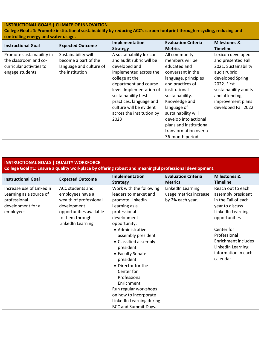### **College Goal #4: Promote institutional sustainability by reducing ACC's carbon footprint through recycling, reducing and controlling energy and water usage.**

| <b>Instructional Goal</b> | <b>Expected Outcome</b> | Implementation            | <b>Evaluation Criteria</b> | <b>Milestones &amp;</b> |
|---------------------------|-------------------------|---------------------------|----------------------------|-------------------------|
|                           |                         | <b>Strategy</b>           | <b>Metrics</b>             | <b>Timeline</b>         |
| Promote sustainability in | Sustainability will     | A sustainability lexicon  | All community              | Lexicon developed       |
| the classroom and co-     | become a part of the    | and audit rubric will be  | members will be            | and presented Fall      |
| curricular activities to  | language and culture of | developed and             | educated and               | 2021. Sustainability    |
| engage students           | the institution         | implemented across the    | conversant in the          | audit rubric            |
|                           |                         | college at the            | language, principles       | developed Spring        |
|                           |                         | department and course     | and practices of           | 2022. First             |
|                           |                         | level. Implementation of  | institutional              | sustainability audits   |
|                           |                         | sustainability best       | sustainability.            | and attending           |
|                           |                         | practices, language and   | Knowledge and              | improvement plans       |
|                           |                         | culture will be evident   | language of                | developed Fall 2022.    |
|                           |                         | across the institution by | sustainability will        |                         |
|                           |                         | 2023                      | develop into actional      |                         |
|                           |                         |                           | plans and institutional    |                         |
|                           |                         |                           | transformation over a      |                         |
|                           |                         |                           | 36-month period.           |                         |

| <b>INSTRUCTIONAL GOALS   QUALITY WORKFORCE</b><br>College Goal #1: Ensure a quality workplace by offering robust and meaningful professional development. |                         |                                   |                                              |                                            |
|-----------------------------------------------------------------------------------------------------------------------------------------------------------|-------------------------|-----------------------------------|----------------------------------------------|--------------------------------------------|
| <b>Instructional Goal</b>                                                                                                                                 | <b>Expected Outcome</b> | Implementation<br><b>Strategy</b> | <b>Evaluation Criteria</b><br><b>Metrics</b> | <b>Milestones &amp;</b><br><b>Timeline</b> |
| Increase use of LinkedIn                                                                                                                                  | ACC students and        | Work with the following           | LinkedIn Learning                            | Reach out to each                          |
| Learning as a source of                                                                                                                                   | employees have a        | leaders to market and             | usage metrics increase                       | assembly president                         |
| professional                                                                                                                                              | wealth of professional  | promote LinkedIn                  | by 2% each year.                             | in the Fall of each                        |
| development for all                                                                                                                                       | development             | Learning as a                     |                                              | year to discuss                            |
| employees                                                                                                                                                 | opportunities available | professional                      |                                              | LinkedIn Learning                          |
|                                                                                                                                                           | to them through         | development                       |                                              | opportunities                              |
|                                                                                                                                                           | LinkedIn Learning.      | opportunity:                      |                                              |                                            |
|                                                                                                                                                           |                         | • Administrative                  |                                              | Center for                                 |
|                                                                                                                                                           |                         | assembly president                |                                              | Professional                               |
|                                                                                                                                                           |                         | • Classified assembly             |                                              | Enrichment includes                        |
|                                                                                                                                                           |                         | president                         |                                              | LinkedIn Learning                          |
|                                                                                                                                                           |                         | • Faculty Senate                  |                                              | information in each                        |
|                                                                                                                                                           |                         | president                         |                                              | calendar                                   |
|                                                                                                                                                           |                         | • Director for the                |                                              |                                            |
|                                                                                                                                                           |                         | Center for                        |                                              |                                            |
|                                                                                                                                                           |                         | Professional                      |                                              |                                            |
|                                                                                                                                                           |                         | Enrichment                        |                                              |                                            |
|                                                                                                                                                           |                         | Run regular workshops             |                                              |                                            |
|                                                                                                                                                           |                         | on how to incorporate             |                                              |                                            |
|                                                                                                                                                           |                         | LinkedIn Learning during          |                                              |                                            |
|                                                                                                                                                           |                         | <b>BCC and Summit Days.</b>       |                                              |                                            |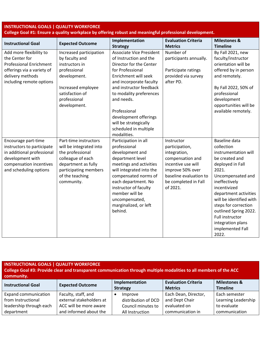| <b>INSTRUCTIONAL GOALS   QUALITY WORKFORCE</b><br>College Goal #1: Ensure a quality workplace by offering robust and meaningful professional development. |                                                                                                                                                                            |                                                                                                                                                                                                                                                                                                                                           |                                                                                                                                                                          |                                                                                                                                                                                                                                                                                                                                           |  |
|-----------------------------------------------------------------------------------------------------------------------------------------------------------|----------------------------------------------------------------------------------------------------------------------------------------------------------------------------|-------------------------------------------------------------------------------------------------------------------------------------------------------------------------------------------------------------------------------------------------------------------------------------------------------------------------------------------|--------------------------------------------------------------------------------------------------------------------------------------------------------------------------|-------------------------------------------------------------------------------------------------------------------------------------------------------------------------------------------------------------------------------------------------------------------------------------------------------------------------------------------|--|
| <b>Instructional Goal</b>                                                                                                                                 | <b>Expected Outcome</b>                                                                                                                                                    | Implementation<br><b>Strategy</b>                                                                                                                                                                                                                                                                                                         | <b>Evaluation Criteria</b><br><b>Metrics</b>                                                                                                                             | <b>Milestones &amp;</b><br><b>Timeline</b>                                                                                                                                                                                                                                                                                                |  |
| Add more flexibility to<br>the Center for<br><b>Professional Enrichment</b><br>offerings via a variety of<br>delivery methods<br>including remote options | Increased participation<br>by faculty and<br>instructors in<br>professional<br>development.<br>Increased employee<br>satisfaction of<br>professional<br>development.       | <b>Associate Vice President</b><br>of Instruction and the<br>Director for the Center<br>for Professional<br>Enrichment will seek<br>and incorporate faculty<br>and instructor feedback<br>to modality preferences<br>and needs.<br>Professional<br>development offerings<br>will be strategically<br>scheduled in multiple<br>modalities. | Number of<br>participants annually.<br>Participate ratings<br>provided via survey<br>after PD.                                                                           | By Fall 2021, new<br>faculty/instructor<br>orientation will be<br>offered by in person<br>and remotely.<br>By Fall 2022, 50% of<br>professional<br>development<br>opportunities will be<br>available remotely.                                                                                                                            |  |
| Encourage part-time<br>instructors to participate<br>in additional professional<br>development with<br>compensation incentives<br>and scheduling options  | Part-time instructors<br>will be integrated into<br>the professional<br>colleague of each<br>department as fully<br>participating members<br>of the teaching<br>community. | Participation in all<br>professional<br>development and<br>department level<br>meetings and activities<br>will integrated into the<br>compensated norms of<br>each department. No<br>instructor of faculty<br>member will be<br>uncompensated,<br>marginalized, or left<br>behind.                                                        | Instructor<br>participation,<br>integration,<br>compensation and<br>incentive use will<br>improve 50% over<br>baseline evaluation to<br>be completed in Fall<br>of 2021. | <b>Baseline data</b><br>collection<br>instrumentation will<br>be created and<br>deployed in Fall<br>2021.<br>Uncompensated and<br>ineffectively<br>incentivized<br>department activities<br>will be identified with<br>steps for correction<br>outlined Spring 2022.<br>Full instructor<br>integration plans<br>implemented Fall<br>2022. |  |

#### **INSTRUCTIONAL GOALS | QUALITY WORKFORCE**

**College Goal #3: Provide clear and transparent communication through multiple modalities to all members of the ACC community. Instructional Goal Expected Outcome Implementation Strategy Evaluation Criteria Metrics Milestones & Timeline** Expand communication from Instructional leadership through each department Faculty, staff, and external stakeholders at ACC will be more aware and informed about the • Improve distribution of DCD Council minutes to All Instruction Each Dean, Director, and Dept Chair evaluated on communication in Each semester Learning Leadership to evaluate communication